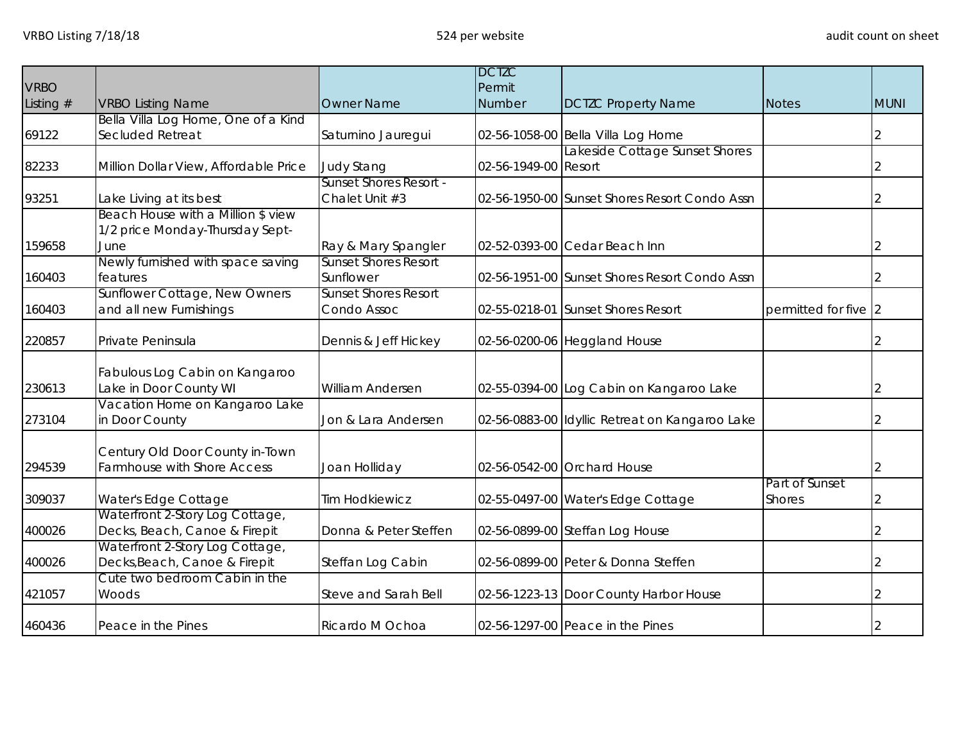|             |                                       |                               | <b>DCTZC</b>         |                                                |                      |             |
|-------------|---------------------------------------|-------------------------------|----------------------|------------------------------------------------|----------------------|-------------|
| <b>VRBO</b> |                                       |                               | Permit               |                                                |                      |             |
| Listing #   | <b>VRBO Listing Name</b>              | <b>Owner Name</b>             | Number               | <b>DCTZC Property Name</b>                     | <b>Notes</b>         | <b>MUNI</b> |
|             | Bella Villa Log Home, One of a Kind   |                               |                      |                                                |                      |             |
| 69122       | Secluded Retreat                      | Saturnino Jauregui            |                      | 02-56-1058-00 Bella Villa Log Home             |                      | 2           |
|             |                                       |                               |                      | Lakeside Cottage Sunset Shores                 |                      |             |
| 82233       | Million Dollar View, Affordable Price | <b>Judy Stang</b>             | 02-56-1949-00 Resort |                                                |                      |             |
|             |                                       | <b>Sunset Shores Resort -</b> |                      |                                                |                      |             |
| 93251       | Lake Living at its best               | Chalet Unit #3                |                      | 02-56-1950-00 Sunset Shores Resort Condo Assn  |                      |             |
|             | Beach House with a Million \$ view    |                               |                      |                                                |                      |             |
|             | 1/2 price Monday-Thursday Sept-       |                               |                      |                                                |                      |             |
| 159658      | June                                  | Ray & Mary Spangler           |                      | 02-52-0393-00 Cedar Beach Inn                  |                      | 2           |
|             | Newly furnished with space saving     | <b>Sunset Shores Resort</b>   |                      |                                                |                      |             |
| 160403      | features                              | Sunflower                     |                      | 02-56-1951-00 Sunset Shores Resort Condo Assn  |                      |             |
|             | Sunflower Cottage, New Owners         | <b>Sunset Shores Resort</b>   |                      |                                                |                      |             |
| 160403      | and all new Furnishings               | Condo Assoc                   |                      | 02-55-0218-01 Sunset Shores Resort             | permitted for five 2 |             |
| 220857      | Private Peninsula                     | Dennis & Jeff Hickey          |                      | 02-56-0200-06 Heggland House                   |                      |             |
|             |                                       |                               |                      |                                                |                      |             |
|             | Fabulous Log Cabin on Kangaroo        |                               |                      |                                                |                      |             |
| 230613      | Lake in Door County WI                | <b>William Andersen</b>       |                      | 02-55-0394-00 Log Cabin on Kangaroo Lake       |                      | 2           |
|             | Vacation Home on Kangaroo Lake        |                               |                      |                                                |                      |             |
| 273104      | in Door County                        | Jon & Lara Andersen           |                      | 02-56-0883-00 Idyllic Retreat on Kangaroo Lake |                      |             |
|             |                                       |                               |                      |                                                |                      |             |
|             | Century Old Door County in-Town       |                               |                      |                                                |                      |             |
| 294539      | Farmhouse with Shore Access           | Joan Holliday                 |                      | 02-56-0542-00 Orchard House                    |                      | 2           |
|             |                                       |                               |                      |                                                | Part of Sunset       |             |
| 309037      | Water's Edge Cottage                  | <b>Tim Hodkiewicz</b>         |                      | 02-55-0497-00 Water's Edge Cottage             | <b>Shores</b>        |             |
|             | Waterfront 2-Story Log Cottage,       |                               |                      |                                                |                      |             |
| 400026      | Decks, Beach, Canoe & Firepit         | Donna & Peter Steffen         |                      | 02-56-0899-00 Steffan Log House                |                      |             |
|             | Waterfront 2-Story Log Cottage,       |                               |                      |                                                |                      |             |
| 400026      | Decks, Beach, Canoe & Firepit         | Steffan Log Cabin             |                      | 02-56-0899-00 Peter & Donna Steffen            |                      | 2           |
|             | Cute two bedroom Cabin in the         |                               |                      |                                                |                      |             |
| 421057      | Woods                                 | Steve and Sarah Bell          |                      | 02-56-1223-13 Door County Harbor House         |                      |             |
| 460436      | Peace in the Pines                    | Ricardo M Ochoa               |                      | 02-56-1297-00 Peace in the Pines               |                      |             |
|             |                                       |                               |                      |                                                |                      |             |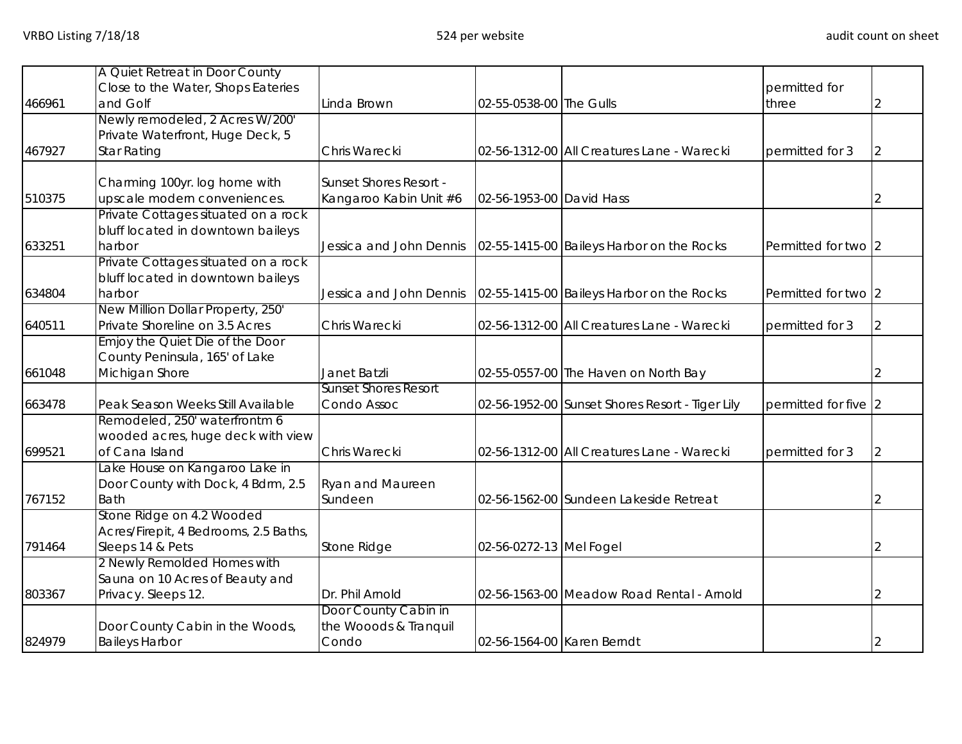|        | A Quiet Retreat in Door County                    |                                    |                            |                                                 |                      |  |
|--------|---------------------------------------------------|------------------------------------|----------------------------|-------------------------------------------------|----------------------|--|
| 466961 | Close to the Water, Shops Eateries<br>and Golf    | Linda Brown                        | 02-55-0538-00 The Gulls    |                                                 | permitted for        |  |
|        | Newly remodeled, 2 Acres W/200'                   |                                    |                            |                                                 | three                |  |
|        | Private Waterfront, Huge Deck, 5                  |                                    |                            |                                                 |                      |  |
| 467927 | <b>Star Rating</b>                                | Chris Warecki                      |                            | 02-56-1312-00 All Creatures Lane - Warecki      | permitted for 3      |  |
|        | Charming 100yr. log home with                     | Sunset Shores Resort -             |                            |                                                 |                      |  |
| 510375 | upscale modern conveniences.                      | Kangaroo Kabin Unit #6             | 02-56-1953-00 David Hass   |                                                 |                      |  |
|        | Private Cottages situated on a rock               |                                    |                            |                                                 |                      |  |
|        | bluff located in downtown baileys                 |                                    |                            |                                                 |                      |  |
| 633251 | harbor                                            | Jessica and John Dennis            |                            | 02-55-1415-00 Baileys Harbor on the Rocks       | Permitted for two 2  |  |
|        | Private Cottages situated on a rock               |                                    |                            |                                                 |                      |  |
|        | bluff located in downtown baileys                 |                                    |                            |                                                 |                      |  |
| 634804 | harbor                                            | Jessica and John Dennis            |                            | 02-55-1415-00 Baileys Harbor on the Rocks       | Permitted for two 2  |  |
|        | New Million Dollar Property, 250'                 |                                    |                            |                                                 |                      |  |
| 640511 | Private Shoreline on 3.5 Acres                    | Chris Warecki                      |                            | 02-56-1312-00 All Creatures Lane - Warecki      | permitted for 3      |  |
|        | Emjoy the Quiet Die of the Door                   |                                    |                            |                                                 |                      |  |
|        | County Peninsula, 165' of Lake                    |                                    |                            |                                                 |                      |  |
| 661048 | Michigan Shore                                    | Janet Batzli                       |                            | 02-55-0557-00 The Haven on North Bay            |                      |  |
|        |                                                   | <b>Sunset Shores Resort</b>        |                            |                                                 |                      |  |
| 663478 | Peak Season Weeks Still Available                 | Condo Assoc                        |                            | 02-56-1952-00 Sunset Shores Resort - Tiger Lily | permitted for five 2 |  |
|        | Remodeled, 250' waterfrontm 6                     |                                    |                            |                                                 |                      |  |
|        | wooded acres, huge deck with view                 |                                    |                            |                                                 |                      |  |
| 699521 | of Cana Island                                    | Chris Warecki                      |                            | 02-56-1312-00 All Creatures Lane - Warecki      | permitted for 3      |  |
|        | Lake House on Kangaroo Lake in                    |                                    |                            |                                                 |                      |  |
| 767152 | Door County with Dock, 4 Bdrm, 2.5<br><b>Bath</b> | <b>Ryan and Maureen</b><br>Sundeen |                            | 02-56-1562-00 Sundeen Lakeside Retreat          |                      |  |
|        | Stone Ridge on 4.2 Wooded                         |                                    |                            |                                                 |                      |  |
|        | Acres/Firepit, 4 Bedrooms, 2.5 Baths,             |                                    |                            |                                                 |                      |  |
| 791464 | Sleeps 14 & Pets                                  | Stone Ridge                        | 02-56-0272-13 Mel Fogel    |                                                 |                      |  |
|        | 2 Newly Remolded Homes with                       |                                    |                            |                                                 |                      |  |
|        | Sauna on 10 Acres of Beauty and                   |                                    |                            |                                                 |                      |  |
| 803367 | Privacy. Sleeps 12.                               | Dr. Phil Arnold                    |                            | 02-56-1563-00 Meadow Road Rental - Arnold       |                      |  |
|        |                                                   | Door County Cabin in               |                            |                                                 |                      |  |
|        | Door County Cabin in the Woods,                   | the Wooods & Tranquil              |                            |                                                 |                      |  |
| 824979 | <b>Baileys Harbor</b>                             | Condo                              | 02-56-1564-00 Karen Berndt |                                                 |                      |  |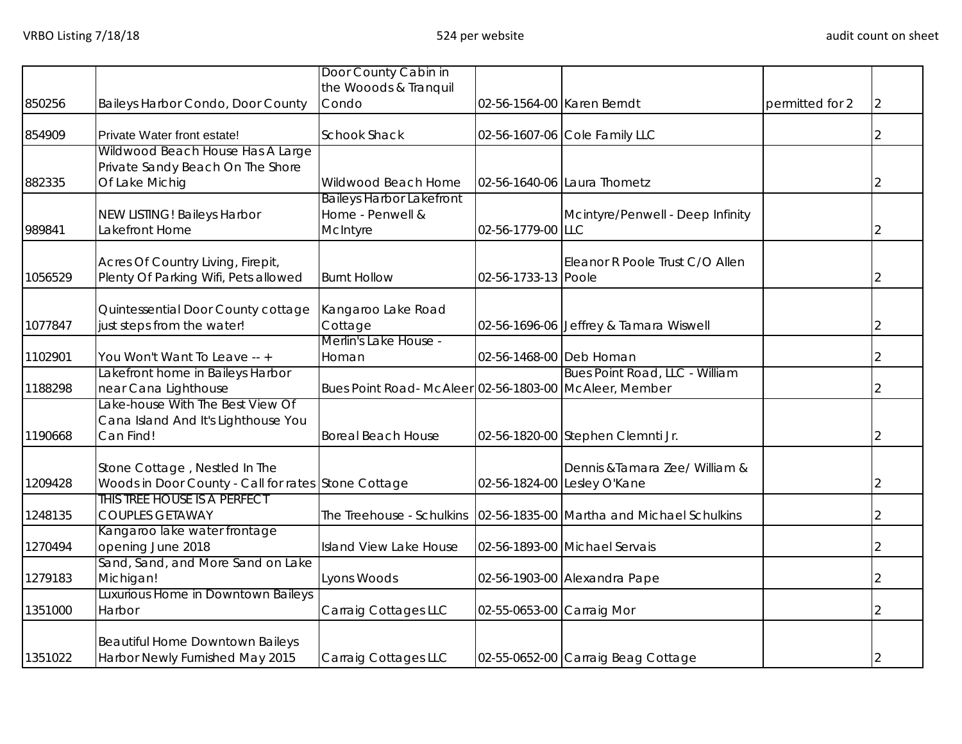|         |                                                          | Door County Cabin in                                  |                            |                                            |                 |   |
|---------|----------------------------------------------------------|-------------------------------------------------------|----------------------------|--------------------------------------------|-----------------|---|
|         |                                                          | the Wooods & Tranquil                                 |                            |                                            |                 |   |
| 850256  | Baileys Harbor Condo, Door County                        | Condo                                                 | 02-56-1564-00 Karen Berndt |                                            | permitted for 2 | 2 |
| 854909  | Private Water front estate!                              | <b>Schook Shack</b>                                   |                            | 02-56-1607-06 Cole Family LLC              |                 | 2 |
|         | Wildwood Beach House Has A Large                         |                                                       |                            |                                            |                 |   |
|         | Private Sandy Beach On The Shore                         |                                                       |                            |                                            |                 |   |
| 882335  | Of Lake Michig                                           | Wildwood Beach Home                                   |                            | 02-56-1640-06 Laura Thometz                |                 | 2 |
|         |                                                          | <b>Baileys Harbor Lakefront</b>                       |                            |                                            |                 |   |
|         | NEW LISTING! Baileys Harbor                              | Home - Penwell &                                      |                            | Mcintyre/Penwell - Deep Infinity           |                 |   |
| 989841  | Lakefront Home                                           | McIntyre                                              | 02-56-1779-00 LLC          |                                            |                 | 2 |
|         | Acres Of Country Living, Firepit,                        |                                                       |                            | Eleanor R Poole Trust C/O Allen            |                 |   |
| 1056529 | Plenty Of Parking Wifi, Pets allowed                     | <b>Burnt Hollow</b>                                   | 02-56-1733-13 Poole        |                                            |                 |   |
|         |                                                          |                                                       |                            |                                            |                 |   |
|         | Quintessential Door County cottage                       | Kangaroo Lake Road                                    |                            |                                            |                 |   |
| 1077847 | just steps from the water!                               | Cottage                                               |                            | 02-56-1696-06 Jeffrey & Tamara Wiswell     |                 |   |
|         |                                                          | Merlin's Lake House -                                 |                            |                                            |                 |   |
| 1102901 | You Won't Want To Leave -- +                             | Homan                                                 | 02-56-1468-00 Deb Homan    |                                            |                 |   |
|         | Lakefront home in Baileys Harbor                         |                                                       |                            | Bues Point Road, LLC - William             |                 |   |
| 1188298 | near Cana Lighthouse<br>Lake-house With The Best View Of | Bues Point Road-McAleer 02-56-1803-00 McAleer, Member |                            |                                            |                 |   |
|         |                                                          |                                                       |                            |                                            |                 |   |
|         | Cana Island And It's Lighthouse You<br>Can Find!         |                                                       |                            |                                            |                 |   |
| 1190668 |                                                          | <b>Boreal Beach House</b>                             |                            | 02-56-1820-00 Stephen Clemnti Jr.          |                 | 2 |
|         |                                                          |                                                       |                            |                                            |                 |   |
|         | Stone Cottage, Nestled In The                            |                                                       |                            | Dennis & Tamara Zee/ William &             |                 |   |
| 1209428 | Woods in Door County - Call for rates Stone Cottage      |                                                       |                            | 02-56-1824-00 Lesley O'Kane                |                 | 2 |
|         | THIS TREE HOUSE IS A PERFECT                             |                                                       |                            |                                            |                 |   |
| 1248135 | <b>COUPLES GETAWAY</b>                                   | The Treehouse - Schulkins                             |                            | 02-56-1835-00 Martha and Michael Schulkins |                 |   |
|         | Kangaroo lake water frontage                             | Island View Lake House                                |                            | 02-56-1893-00 Michael Servais              |                 |   |
| 1270494 | opening June 2018                                        |                                                       |                            |                                            |                 | 2 |
| 1279183 | Sand, Sand, and More Sand on Lake<br>Michigan!           | Lyons Woods                                           |                            |                                            |                 |   |
|         | Luxurious Home in Downtown Baileys                       |                                                       |                            | 02-56-1903-00 Alexandra Pape               |                 |   |
| 1351000 | Harbor                                                   | Carraig Cottages LLC                                  | 02-55-0653-00 Carraig Mor  |                                            |                 |   |
|         |                                                          |                                                       |                            |                                            |                 |   |
|         | Beautiful Home Downtown Baileys                          |                                                       |                            |                                            |                 |   |
| 1351022 | Harbor Newly Furnished May 2015                          | Carraig Cottages LLC                                  |                            | 02-55-0652-00 Carraig Beag Cottage         |                 | 2 |
|         |                                                          |                                                       |                            |                                            |                 |   |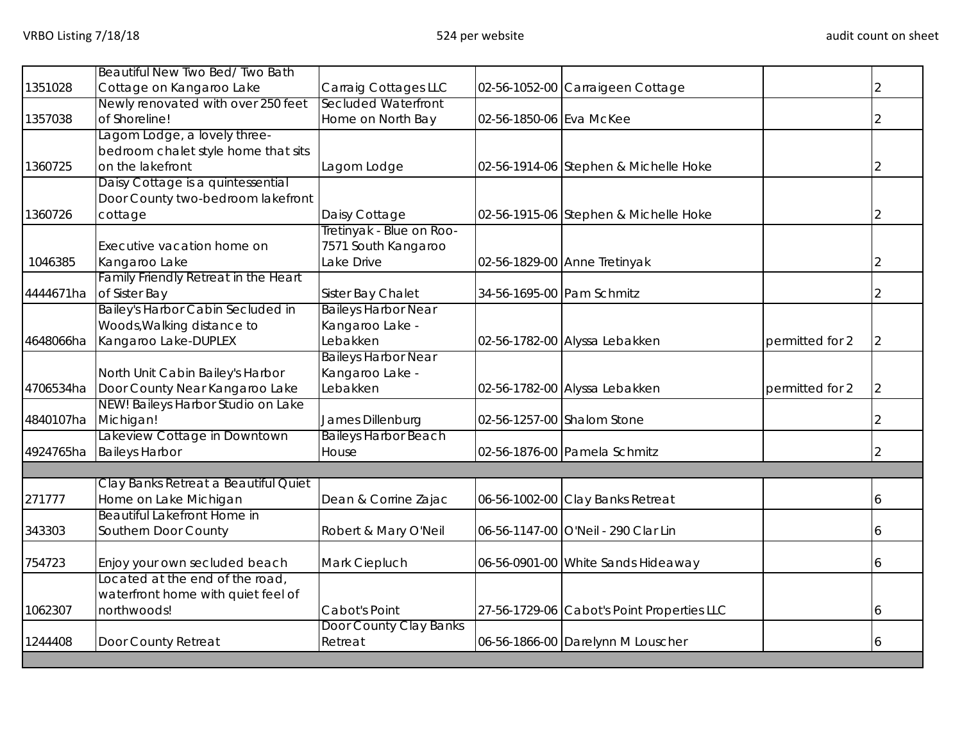|           | Beautiful New Two Bed/Two Bath       |                             |                           |                                            |                 |                |
|-----------|--------------------------------------|-----------------------------|---------------------------|--------------------------------------------|-----------------|----------------|
| 1351028   | Cottage on Kangaroo Lake             | Carraig Cottages LLC        |                           | 02-56-1052-00 Carraigeen Cottage           |                 |                |
|           | Newly renovated with over 250 feet   | Secluded Waterfront         |                           |                                            |                 |                |
| 1357038   | of Shoreline!                        | Home on North Bay           | 02-56-1850-06 Eva McKee   |                                            |                 |                |
|           | Lagom Lodge, a lovely three-         |                             |                           |                                            |                 |                |
|           | bedroom chalet style home that sits  |                             |                           |                                            |                 |                |
| 1360725   | on the lakefront                     | Lagom Lodge                 |                           | 02-56-1914-06 Stephen & Michelle Hoke      |                 | $\overline{2}$ |
|           | Daisy Cottage is a quintessential    |                             |                           |                                            |                 |                |
|           | Door County two-bedroom lakefront    |                             |                           |                                            |                 |                |
| 1360726   | cottage                              | Daisy Cottage               |                           | 02-56-1915-06 Stephen & Michelle Hoke      |                 | $\overline{2}$ |
|           |                                      | Tretinyak - Blue on Roo-    |                           |                                            |                 |                |
|           | Executive vacation home on           | 7571 South Kangaroo         |                           |                                            |                 |                |
| 1046385   | Kangaroo Lake                        | Lake Drive                  |                           | 02-56-1829-00 Anne Tretinyak               |                 | 2              |
|           | Family Friendly Retreat in the Heart |                             |                           |                                            |                 |                |
| 4444671ha | of Sister Bay                        | Sister Bay Chalet           | 34-56-1695-00 Pam Schmitz |                                            |                 |                |
|           | Bailey's Harbor Cabin Secluded in    | <b>Baileys Harbor Near</b>  |                           |                                            |                 |                |
|           | Woods, Walking distance to           | Kangaroo Lake -             |                           |                                            |                 |                |
| 4648066ha | Kangaroo Lake-DUPLEX                 | Lebakken                    |                           | 02-56-1782-00 Alyssa Lebakken              | permitted for 2 | 2              |
|           |                                      | <b>Baileys Harbor Near</b>  |                           |                                            |                 |                |
|           | North Unit Cabin Bailey's Harbor     | Kangaroo Lake -             |                           |                                            |                 |                |
| 4706534ha | Door County Near Kangaroo Lake       | Lebakken                    |                           | 02-56-1782-00 Alyssa Lebakken              | permitted for 2 | 2              |
|           | NEW! Baileys Harbor Studio on Lake   |                             |                           |                                            |                 |                |
| 4840107ha | Michigan!                            | James Dillenburg            |                           | 02-56-1257-00 Shalom Stone                 |                 | 2              |
|           | Lakeview Cottage in Downtown         | <b>Baileys Harbor Beach</b> |                           |                                            |                 |                |
| 4924765ha | <b>Baileys Harbor</b>                | House                       |                           | 02-56-1876-00 Pamela Schmitz               |                 |                |
|           |                                      |                             |                           |                                            |                 |                |
|           | Clay Banks Retreat a Beautiful Quiet |                             |                           |                                            |                 |                |
| 271777    | Home on Lake Michigan                | Dean & Corrine Zajac        |                           | 06-56-1002-00 Clay Banks Retreat           |                 | 6              |
|           | <b>Beautiful Lakefront Home in</b>   |                             |                           |                                            |                 |                |
| 343303    | Southern Door County                 | Robert & Mary O'Neil        |                           | 06-56-1147-00 O'Neil - 290 Clar Lin        |                 |                |
| 754723    | Enjoy your own secluded beach        | Mark Ciepluch               |                           | 06-56-0901-00 White Sands Hideaway         |                 |                |
|           | Located at the end of the road,      |                             |                           |                                            |                 |                |
|           | waterfront home with quiet feel of   |                             |                           |                                            |                 |                |
| 1062307   | northwoods!                          | Cabot's Point               |                           | 27-56-1729-06 Cabot's Point Properties LLC |                 | 6              |
|           |                                      | Door County Clay Banks      |                           |                                            |                 |                |
| 1244408   | Door County Retreat                  | Retreat                     |                           | 06-56-1866-00 Darelynn M Louscher          |                 | 6              |
|           |                                      |                             |                           |                                            |                 |                |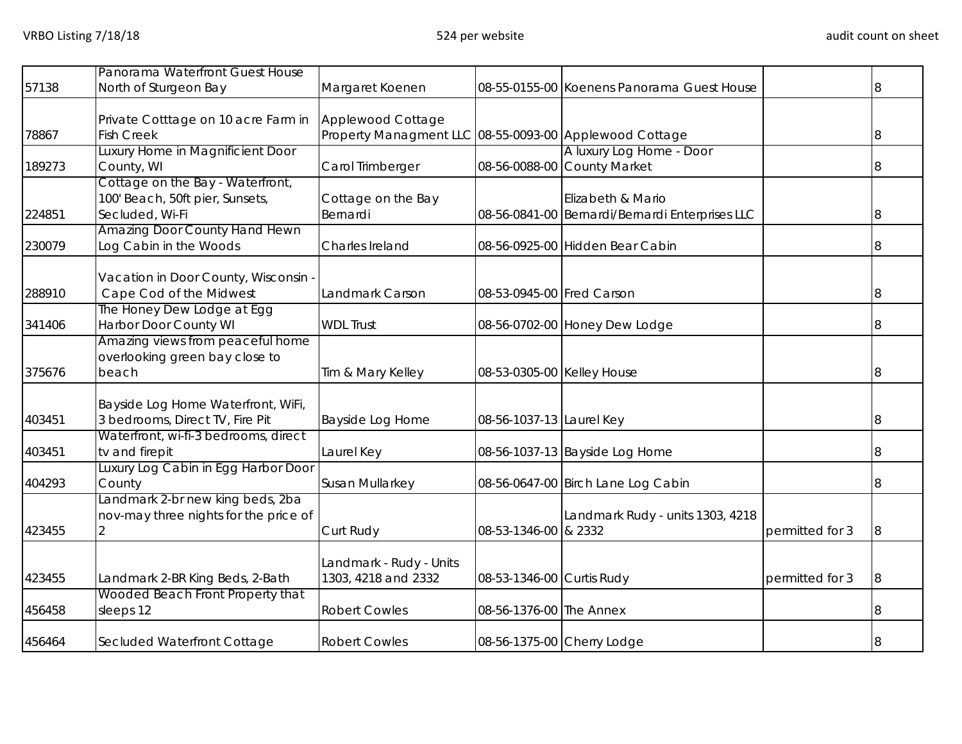| 57138  | Panorama Waterfront Guest House<br>North of Sturgeon Bay                               | Margaret Koenen                                                             |                            | 08-55-0155-00 Koenens Panorama Guest House                           |                 | 8              |
|--------|----------------------------------------------------------------------------------------|-----------------------------------------------------------------------------|----------------------------|----------------------------------------------------------------------|-----------------|----------------|
| 78867  | Private Cotttage on 10 acre Farm in<br><b>Fish Creek</b>                               | Applewood Cottage<br>Property Managment LLC 08-55-0093-00 Applewood Cottage |                            |                                                                      |                 | $\overline{8}$ |
| 189273 | Luxury Home in Magnificient Door<br>County, WI                                         | Carol Trimberger                                                            |                            | A luxury Log Home - Door<br>08-56-0088-00 County Market              |                 |                |
| 224851 | Cottage on the Bay - Waterfront,<br>100' Beach, 50ft pier, Sunsets,<br>Secluded, Wi-Fi | Cottage on the Bay<br>Bernardi                                              |                            | Elizabeth & Mario<br>08-56-0841-00 Bernardi/Bernardi Enterprises LLC |                 | 8              |
| 230079 | Amazing Door County Hand Hewn<br>Log Cabin in the Woods                                | Charles Ireland                                                             |                            | 08-56-0925-00 Hidden Bear Cabin                                      |                 |                |
| 288910 | Vacation in Door County, Wisconsin -<br>Cape Cod of the Midwest                        | Landmark Carson                                                             | 08-53-0945-00 Fred Carson  |                                                                      |                 |                |
| 341406 | The Honey Dew Lodge at Egg<br>Harbor Door County WI                                    | <b>WDL Trust</b>                                                            |                            | 08-56-0702-00 Honey Dew Lodge                                        |                 |                |
| 375676 | Amazing views from peaceful home<br>overlooking green bay close to<br>beach            | Tim & Mary Kelley                                                           | 08-53-0305-00 Kelley House |                                                                      |                 |                |
| 403451 | Bayside Log Home Waterfront, WiFi,<br>3 bedrooms, Direct TV, Fire Pit                  | Bayside Log Home                                                            | 08-56-1037-13 Laurel Key   |                                                                      |                 | 8              |
| 403451 | Waterfront, wi-fi-3 bedrooms, direct<br>tv and firepit                                 | Laurel Key                                                                  |                            | 08-56-1037-13 Bayside Log Home                                       |                 |                |
| 404293 | Luxury Log Cabin in Egg Harbor Door<br>County                                          | Susan Mullarkey                                                             |                            | 08-56-0647-00 Birch Lane Log Cabin                                   |                 |                |
| 423455 | Landmark 2-br new king beds, 2ba<br>nov-may three nights for the price of<br>2         | Curt Rudy                                                                   | 08-53-1346-00 & 2332       | Landmark Rudy - units 1303, 4218                                     | permitted for 3 |                |
| 423455 | Landmark 2-BR King Beds, 2-Bath                                                        | Landmark - Rudy - Units<br>1303, 4218 and 2332                              | 08-53-1346-00 Curtis Rudy  |                                                                      | permitted for 3 |                |
| 456458 | Wooded Beach Front Property that<br>sleeps 12                                          | <b>Robert Cowles</b>                                                        | 08-56-1376-00 The Annex    |                                                                      |                 |                |
| 456464 | Secluded Waterfront Cottage                                                            | <b>Robert Cowles</b>                                                        |                            | 08-56-1375-00 Cherry Lodge                                           |                 |                |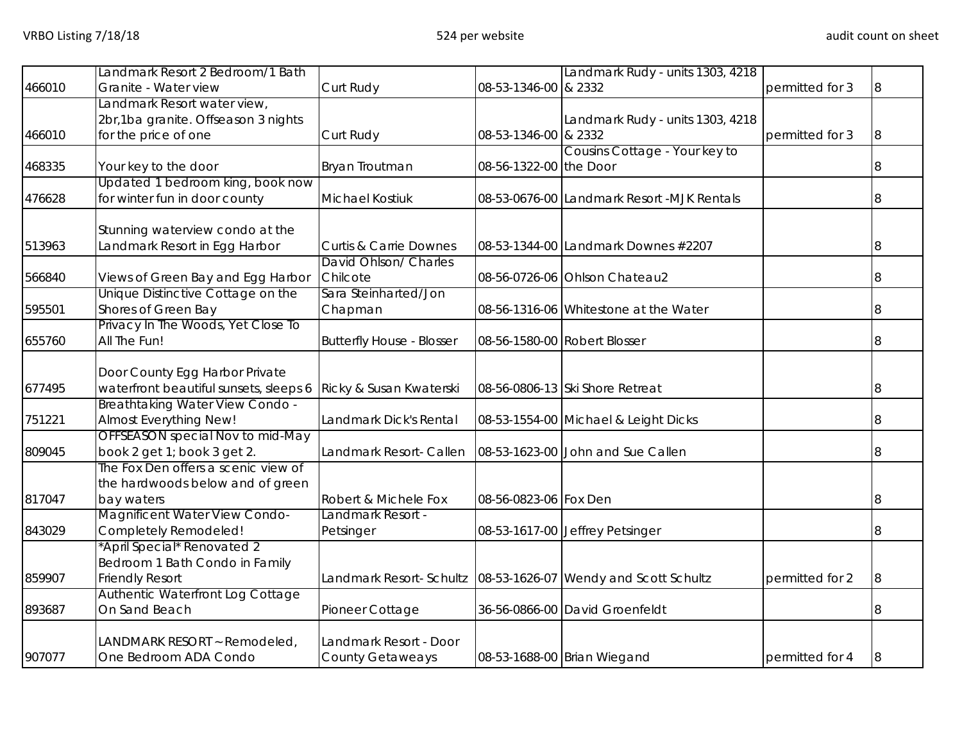|        | Landmark Resort 2 Bedroom/1 Bath       |                                                                |                              | Landmark Rudy - units 1303, 4218           |                 |    |
|--------|----------------------------------------|----------------------------------------------------------------|------------------------------|--------------------------------------------|-----------------|----|
| 466010 | Granite - Water view                   | Curt Rudy                                                      | 08-53-1346-00 & 2332         |                                            | permitted for 3 | 8  |
|        | Landmark Resort water view,            |                                                                |                              |                                            |                 |    |
|        | 2br,1ba granite. Offseason 3 nights    |                                                                |                              | Landmark Rudy - units 1303, 4218           |                 |    |
| 466010 | for the price of one                   | Curt Rudy                                                      | 08-53-1346-00 & 2332         |                                            | permitted for 3 | 8  |
|        |                                        |                                                                |                              | Cousins Cottage - Your key to              |                 |    |
| 468335 | Your key to the door                   | Bryan Troutman                                                 | 08-56-1322-00 the Door       |                                            |                 | 8  |
|        | Updated 1 bedroom king, book now       |                                                                |                              |                                            |                 |    |
| 476628 | for winter fun in door county          | Michael Kostiuk                                                |                              | 08-53-0676-00 Landmark Resort -MJK Rentals |                 | 8  |
|        |                                        |                                                                |                              |                                            |                 |    |
| 513963 | Stunning waterview condo at the        |                                                                |                              |                                            |                 |    |
|        | Landmark Resort in Egg Harbor          | <b>Curtis &amp; Carrie Downes</b><br>David Ohlson/ Charles     |                              | 08-53-1344-00 Landmark Downes #2207        |                 | 8  |
| 566840 | Views of Green Bay and Egg Harbor      | Chilcote                                                       |                              | 08-56-0726-06 Ohlson Chateau2              |                 | 8  |
|        | Unique Distinctive Cottage on the      | Sara Steinharted/Jon                                           |                              |                                            |                 |    |
| 595501 | Shores of Green Bay                    | Chapman                                                        |                              | 08-56-1316-06 Whitestone at the Water      |                 | 8  |
|        | Privacy In The Woods, Yet Close To     |                                                                |                              |                                            |                 |    |
| 655760 | All The Fun!                           | <b>Butterfly House - Blosser</b>                               | 08-56-1580-00 Robert Blosser |                                            |                 | 8  |
|        |                                        |                                                                |                              |                                            |                 |    |
|        | Door County Egg Harbor Private         |                                                                |                              |                                            |                 |    |
| 677495 | waterfront beautiful sunsets, sleeps 6 | Ricky & Susan Kwaterski                                        |                              | 08-56-0806-13 Ski Shore Retreat            |                 | 8  |
|        | Breathtaking Water View Condo -        |                                                                |                              |                                            |                 |    |
| 751221 | Almost Everything New!                 | Landmark Dick's Rental                                         |                              | 08-53-1554-00 Michael & Leight Dicks       |                 | 8  |
|        | OFFSEASON special Nov to mid-May       |                                                                |                              |                                            |                 |    |
| 809045 | book 2 get 1; book 3 get 2.            | Landmark Resort- Callen                                        |                              | 08-53-1623-00 John and Sue Callen          |                 | 8  |
|        | The Fox Den offers a scenic view of    |                                                                |                              |                                            |                 |    |
|        | the hardwoods below and of green       |                                                                |                              |                                            |                 |    |
| 817047 | bay waters                             | Robert & Michele Fox                                           | 08-56-0823-06 Fox Den        |                                            |                 | 8  |
|        | Magnificent Water View Condo-          | Landmark Resort -                                              |                              |                                            |                 |    |
| 843029 | Completely Remodeled!                  | Petsinger                                                      |                              | 08-53-1617-00 Jeffrey Petsinger            |                 | 8  |
|        | *April Special* Renovated 2            |                                                                |                              |                                            |                 |    |
|        | Bedroom 1 Bath Condo in Family         |                                                                |                              |                                            |                 |    |
| 859907 | <b>Friendly Resort</b>                 | Landmark Resort- Schultz 08-53-1626-07 Wendy and Scott Schultz |                              |                                            | permitted for 2 | 8  |
|        | Authentic Waterfront Log Cottage       |                                                                |                              |                                            |                 |    |
| 893687 | On Sand Beach                          | Pioneer Cottage                                                |                              | 36-56-0866-00 David Groenfeldt             |                 |    |
|        | LANDMARK RESORT ~ Remodeled,           | Landmark Resort - Door                                         |                              |                                            |                 |    |
| 907077 | One Bedroom ADA Condo                  | <b>County Getaweays</b>                                        |                              | 08-53-1688-00 Brian Wiegand                | permitted for 4 | 18 |
|        |                                        |                                                                |                              |                                            |                 |    |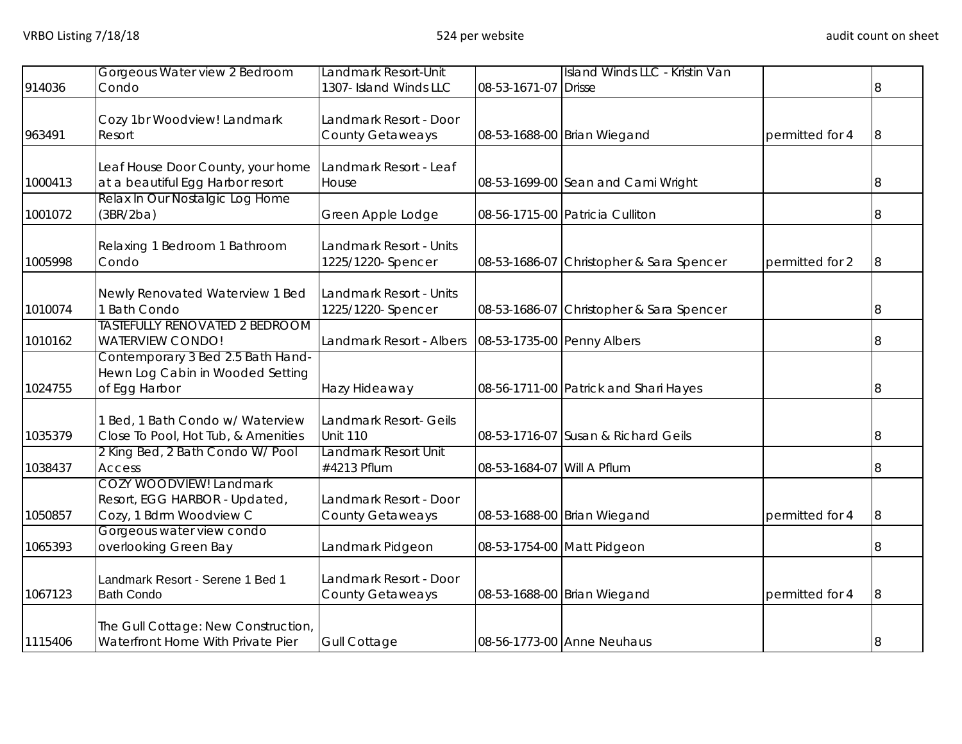|         | Gorgeous Water view 2 Bedroom                                | Landmark Resort-Unit     |                            | Island Winds LLC - Kristin Van           |                 |                |
|---------|--------------------------------------------------------------|--------------------------|----------------------------|------------------------------------------|-----------------|----------------|
| 914036  | Condo                                                        | 1307- Island Winds LLC   | 08-53-1671-07 Drisse       |                                          |                 | 8              |
|         |                                                              |                          |                            |                                          |                 |                |
|         | Cozy 1br Woodview! Landmark                                  | Landmark Resort - Door   |                            |                                          |                 |                |
| 963491  | Resort                                                       | County Getaweays         |                            | 08-53-1688-00 Brian Wiegand              | permitted for 4 | $\overline{8}$ |
|         |                                                              |                          |                            |                                          |                 |                |
|         | Leaf House Door County, your home                            | Landmark Resort - Leaf   |                            |                                          |                 |                |
| 1000413 | at a beautiful Egg Harbor resort                             | House                    |                            | 08-53-1699-00 Sean and Cami Wright       |                 | 8              |
|         | Relax In Our Nostalgic Log Home                              |                          |                            |                                          |                 |                |
| 1001072 | (3BR/2ba)                                                    | Green Apple Lodge        |                            | 08-56-1715-00 Patricia Culliton          |                 |                |
|         |                                                              |                          |                            |                                          |                 |                |
|         | Relaxing 1 Bedroom 1 Bathroom                                | Landmark Resort - Units  |                            |                                          |                 |                |
| 1005998 | Condo                                                        | 1225/1220- Spencer       |                            | 08-53-1686-07 Christopher & Sara Spencer | permitted for 2 | 8              |
|         |                                                              |                          |                            |                                          |                 |                |
|         | Newly Renovated Waterview 1 Bed                              | Landmark Resort - Units  |                            |                                          |                 |                |
| 1010074 | 1 Bath Condo                                                 | 1225/1220- Spencer       |                            | 08-53-1686-07 Christopher & Sara Spencer |                 | 8              |
|         | <b>TASTEFULLY RENOVATED 2 BEDROOM</b>                        |                          |                            |                                          |                 |                |
| 1010162 | <b>WATERVIEW CONDO!</b><br>Contemporary 3 Bed 2.5 Bath Hand- | Landmark Resort - Albers | 08-53-1735-00 Penny Albers |                                          |                 | 8              |
|         | Hewn Log Cabin in Wooded Setting                             |                          |                            |                                          |                 |                |
| 1024755 | of Egg Harbor                                                | Hazy Hideaway            |                            | 08-56-1711-00 Patrick and Shari Hayes    |                 | 8              |
|         |                                                              |                          |                            |                                          |                 |                |
|         | <b>Bed, 1 Bath Condo w/ Waterview</b>                        | Landmark Resort- Geils   |                            |                                          |                 |                |
| 1035379 | Close To Pool, Hot Tub, & Amenities                          | <b>Unit 110</b>          |                            | 08-53-1716-07 Susan & Richard Geils      |                 | 8              |
|         | 2 King Bed, 2 Bath Condo W/ Pool                             | Landmark Resort Unit     |                            |                                          |                 |                |
| 1038437 | <b>Access</b>                                                | #4213 Pflum              | 08-53-1684-07 Will A Pflum |                                          |                 |                |
|         | <b>COZY WOODVIEW! Landmark</b>                               |                          |                            |                                          |                 |                |
|         | Resort, EGG HARBOR - Updated,                                | Landmark Resort - Door   |                            |                                          |                 |                |
| 1050857 | Cozy, 1 Bdrm Woodview C                                      | County Getaweays         |                            | 08-53-1688-00 Brian Wiegand              | permitted for 4 | 8              |
|         | Gorgeous water view condo                                    |                          |                            |                                          |                 |                |
| 1065393 | overlooking Green Bay                                        | Landmark Pidgeon         |                            | 08-53-1754-00 Matt Pidgeon               |                 | 8              |
|         |                                                              |                          |                            |                                          |                 |                |
|         | Landmark Resort - Serene 1 Bed 1                             | Landmark Resort - Door   |                            |                                          |                 |                |
| 1067123 | <b>Bath Condo</b>                                            | County Getaweays         |                            | 08-53-1688-00 Brian Wiegand              | permitted for 4 | 8              |
|         |                                                              |                          |                            |                                          |                 |                |
|         | The Gull Cottage: New Construction,                          |                          |                            |                                          |                 |                |
| 1115406 | Waterfront Home With Private Pier                            | <b>Gull Cottage</b>      |                            | 08-56-1773-00 Anne Neuhaus               |                 | 8              |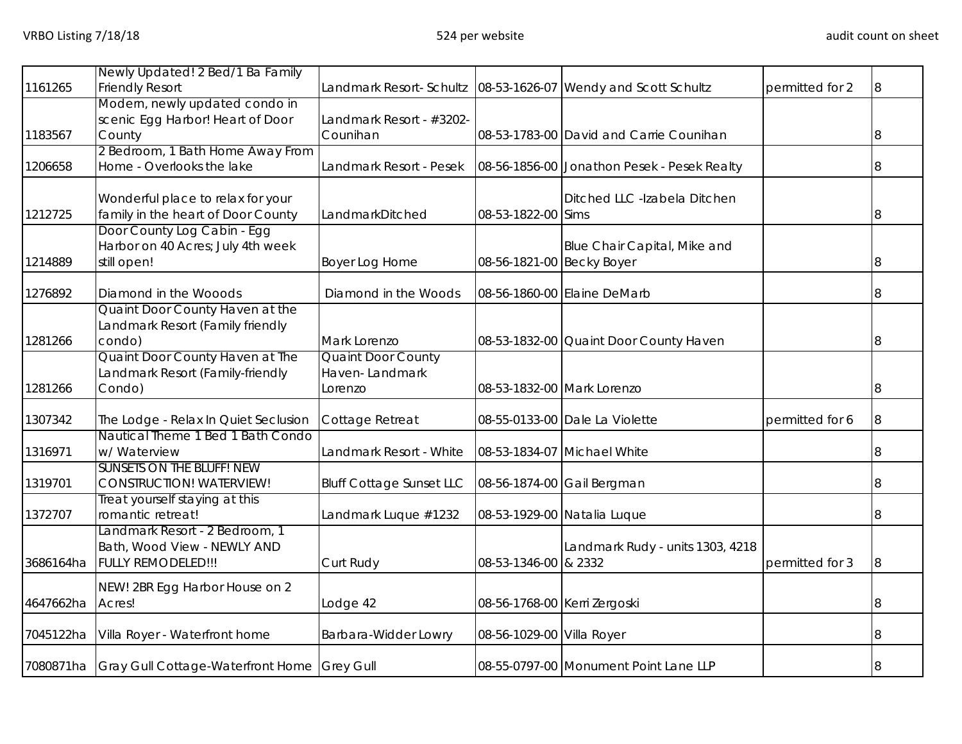| 1161265   | Newly Updated! 2 Bed/1 Ba Family<br><b>Friendly Resort</b>          | Landmark Resort- Schultz        |                              | 08-53-1626-07 Wendy and Scott Schultz       | permitted for 2 | 8 |
|-----------|---------------------------------------------------------------------|---------------------------------|------------------------------|---------------------------------------------|-----------------|---|
|           | Modern, newly updated condo in                                      |                                 |                              |                                             |                 |   |
|           | scenic Egg Harbor! Heart of Door                                    | Landmark Resort - #3202-        |                              |                                             |                 |   |
| 1183567   | County                                                              | Counihan                        |                              | 08-53-1783-00 David and Carrie Counihan     |                 | 8 |
|           | 2 Bedroom, 1 Bath Home Away From                                    |                                 |                              |                                             |                 |   |
| 1206658   | Home - Overlooks the lake                                           | Landmark Resort - Pesek         |                              | 08-56-1856-00 Jonathon Pesek - Pesek Realty |                 | 8 |
|           | Wonderful place to relax for your                                   |                                 |                              | Ditched LLC -Izabela Ditchen                |                 |   |
| 1212725   | family in the heart of Door County                                  | LandmarkDitched                 | 08-53-1822-00 Sims           |                                             |                 |   |
|           | Door County Log Cabin - Egg                                         |                                 |                              |                                             |                 |   |
|           | Harbor on 40 Acres; July 4th week                                   |                                 |                              | Blue Chair Capital, Mike and                |                 |   |
| 1214889   | still open!                                                         | Boyer Log Home                  | 08-56-1821-00 Becky Boyer    |                                             |                 |   |
| 1276892   | Diamond in the Wooods                                               | Diamond in the Woods            |                              | 08-56-1860-00 Elaine DeMarb                 |                 |   |
|           | Quaint Door County Haven at the                                     |                                 |                              |                                             |                 |   |
|           | Landmark Resort (Family friendly                                    |                                 |                              |                                             |                 |   |
| 1281266   | condo)                                                              | Mark Lorenzo                    |                              | 08-53-1832-00 Quaint Door County Haven      |                 |   |
|           | Quaint Door County Haven at The                                     | Quaint Door County              |                              |                                             |                 |   |
|           | Landmark Resort (Family-friendly                                    | Haven-Landmark                  |                              |                                             |                 |   |
| 1281266   | Condo)                                                              | Lorenzo                         | 08-53-1832-00 Mark Lorenzo   |                                             |                 |   |
| 1307342   | The Lodge - Relax In Quiet Seclusion                                | Cottage Retreat                 |                              | 08-55-0133-00 Dale La Violette              | permitted for 6 |   |
|           | Nautical Theme 1 Bed 1 Bath Condo                                   |                                 |                              |                                             |                 |   |
| 1316971   | w/ Waterview                                                        | Landmark Resort - White         |                              | 08-53-1834-07 Michael White                 |                 |   |
| 1319701   | <b>SUNSETS ON THE BLUFF! NEW</b><br><b>CONSTRUCTION! WATERVIEW!</b> | <b>Bluff Cottage Sunset LLC</b> |                              | 08-56-1874-00 Gail Bergman                  |                 |   |
|           | Treat yourself staying at this                                      |                                 |                              |                                             |                 |   |
| 1372707   | romantic retreat!                                                   | Landmark Luque #1232            |                              | 08-53-1929-00 Natalia Luque                 |                 |   |
|           | Landmark Resort - 2 Bedroom, 1                                      |                                 |                              |                                             |                 |   |
|           | Bath, Wood View - NEWLY AND                                         |                                 |                              | Landmark Rudy - units 1303, 4218            |                 |   |
| 3686164ha | <b>FULLY REMODELED!!!</b>                                           | Curt Rudy                       | 08-53-1346-00 & 2332         |                                             | permitted for 3 |   |
|           | NEW! 2BR Egg Harbor House on 2                                      |                                 |                              |                                             |                 |   |
| 4647662ha | Acres!                                                              | Lodge 42                        | 08-56-1768-00 Kerri Zergoski |                                             |                 |   |
| 7045122ha | Villa Royer - Waterfront home                                       | Barbara-Widder Lowry            | 08-56-1029-00 Villa Royer    |                                             |                 |   |
| 7080871ha | Gray Gull Cottage-Waterfront Home Grey Gull                         |                                 |                              | 08-55-0797-00 Monument Point Lane LLP       |                 |   |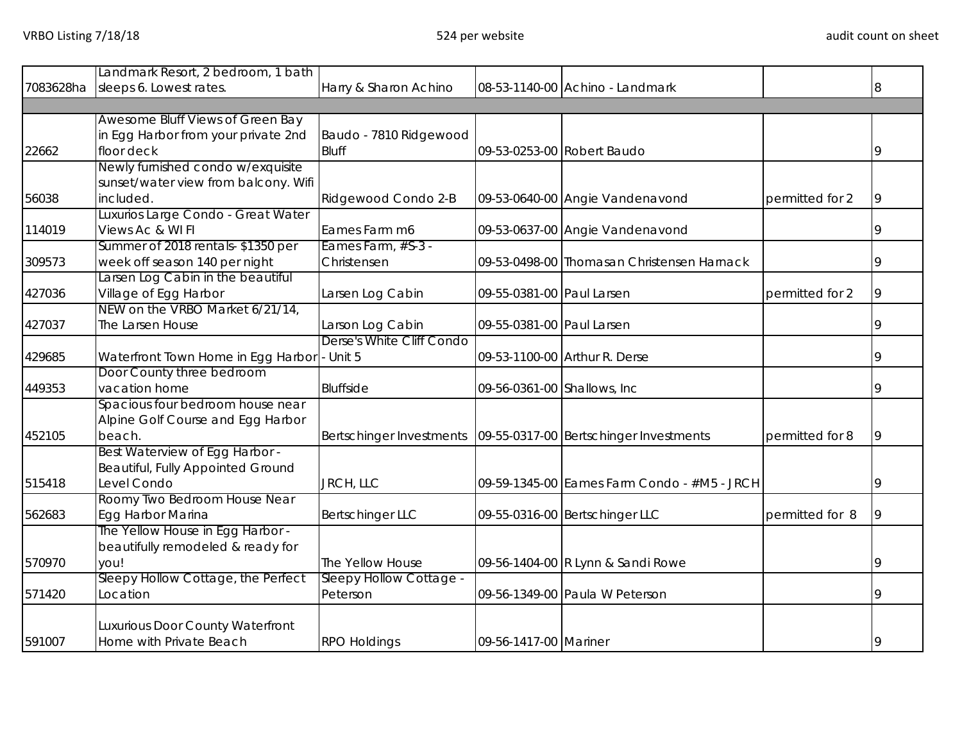|           | Landmark Resort, 2 bedroom, 1 bath                          |                           |                              |                                             |                 |   |
|-----------|-------------------------------------------------------------|---------------------------|------------------------------|---------------------------------------------|-----------------|---|
| 7083628ha | sleeps 6. Lowest rates.                                     | Harry & Sharon Achino     |                              | 08-53-1140-00 Achino - Landmark             |                 | 8 |
|           |                                                             |                           |                              |                                             |                 |   |
|           | Awesome Bluff Views of Green Bay                            |                           |                              |                                             |                 |   |
|           | in Egg Harbor from your private 2nd                         | Baudo - 7810 Ridgewood    |                              |                                             |                 |   |
| 22662     | floor deck                                                  | <b>Bluff</b>              |                              | 09-53-0253-00 Robert Baudo                  |                 | 9 |
|           | Newly furnished condo w/exquisite                           |                           |                              |                                             |                 |   |
|           | sunset/water view from balcony. Wifi                        |                           |                              |                                             |                 |   |
| 56038     | included.                                                   | Ridgewood Condo 2-B       |                              | 09-53-0640-00 Angie Vandenavond             | permitted for 2 |   |
|           | Luxurios Large Condo - Great Water                          |                           |                              |                                             |                 |   |
| 114019    | Views Ac & WI FI                                            | Eames Farm m6             |                              | 09-53-0637-00 Angie Vandenavond             |                 |   |
|           | Summer of 2018 rentals-\$1350 per                           | Eames Farm, #S-3 -        |                              |                                             |                 |   |
| 309573    | week off season 140 per night                               | Christensen               |                              | 09-53-0498-00 Thomasan Christensen Harnack  |                 |   |
|           | arsen Log Cabin in the beautiful                            |                           |                              |                                             |                 |   |
| 427036    | Village of Egg Harbor                                       | Larsen Log Cabin          | 09-55-0381-00 Paul Larsen    |                                             | permitted for 2 |   |
|           | NEW on the VRBO Market 6/21/14,                             |                           |                              |                                             |                 |   |
| 427037    | The Larsen House                                            | Larson Log Cabin          | 09-55-0381-00 Paul Larsen    |                                             |                 |   |
|           |                                                             | Derse's White Cliff Condo |                              |                                             |                 |   |
| 429685    | Waterfront Town Home in Egg Harbor - Unit 5                 |                           |                              | 09-53-1100-00 Arthur R. Derse               |                 |   |
|           | Door County three bedroom                                   |                           |                              |                                             |                 |   |
| 449353    | vacation home                                               | <b>Bluffside</b>          | 09-56-0361-00 Shallows, Inc. |                                             |                 |   |
|           | Spacious four bedroom house near                            |                           |                              |                                             |                 |   |
|           | Alpine Golf Course and Egg Harbor                           |                           |                              |                                             |                 |   |
| 452105    | beach.                                                      | Bertschinger Investments  |                              | 09-55-0317-00 Bertschinger Investments      | permitted for 8 |   |
|           | Best Waterview of Egg Harbor -                              |                           |                              |                                             |                 |   |
|           | Beautiful, Fully Appointed Ground                           |                           |                              |                                             |                 |   |
| 515418    | Level Condo                                                 | JRCH, LLC                 |                              | 09-59-1345-00 Eames Farm Condo - #M5 - JRCH |                 |   |
|           | Roomy Two Bedroom House Near                                |                           |                              |                                             |                 |   |
| 562683    | Egg Harbor Marina                                           | <b>Bertschinger LLC</b>   |                              | 09-55-0316-00 Bertschinger LLC              | permitted for 8 |   |
|           | The Yellow House in Egg Harbor -                            |                           |                              |                                             |                 |   |
|           | beautifully remodeled & ready for                           |                           |                              |                                             |                 |   |
| 570970    | you!                                                        | The Yellow House          |                              | 09-56-1404-00 R Lynn & Sandi Rowe           |                 |   |
|           | Sleepy Hollow Cottage, the Perfect                          | Sleepy Hollow Cottage -   |                              |                                             |                 |   |
| 571420    | .ocation                                                    | Peterson                  |                              | 09-56-1349-00 Paula W Peterson              |                 |   |
|           |                                                             |                           |                              |                                             |                 |   |
| 591007    | Luxurious Door County Waterfront<br>Home with Private Beach |                           | 09-56-1417-00 Mariner        |                                             |                 | 9 |
|           |                                                             | <b>RPO Holdings</b>       |                              |                                             |                 |   |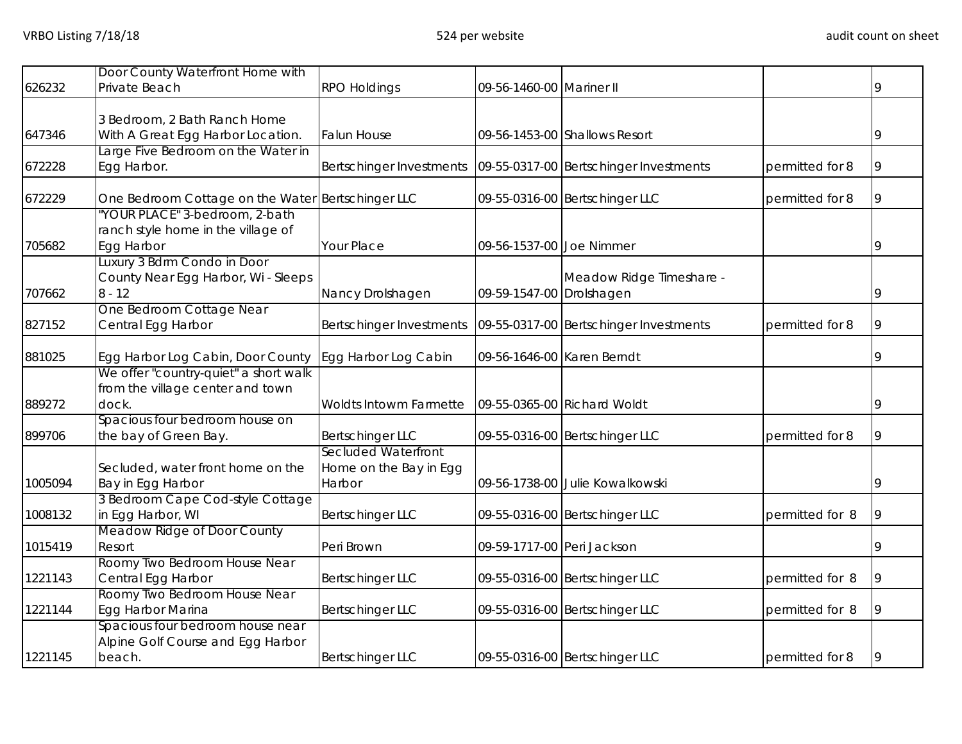|         | Door County Waterfront Home with                  |                                                                     |                            |                                        |                 |   |
|---------|---------------------------------------------------|---------------------------------------------------------------------|----------------------------|----------------------------------------|-----------------|---|
| 626232  | Private Beach                                     | <b>RPO Holdings</b>                                                 | 09-56-1460-00 Mariner II   |                                        |                 | 9 |
|         |                                                   |                                                                     |                            |                                        |                 |   |
|         | 3 Bedroom, 2 Bath Ranch Home                      |                                                                     |                            |                                        |                 |   |
| 647346  | With A Great Egg Harbor Location.                 | <b>Falun House</b>                                                  |                            | 09-56-1453-00 Shallows Resort          |                 | 9 |
|         | Large Five Bedroom on the Water in                |                                                                     |                            |                                        |                 |   |
| 672228  | Egg Harbor.                                       | Bertschinger Investments                                            |                            | 09-55-0317-00 Bertschinger Investments | permitted for 8 | 9 |
| 672229  | One Bedroom Cottage on the Water Bertschinger LLC |                                                                     |                            | 09-55-0316-00 Bertschinger LLC         | permitted for 8 | 9 |
|         | "YOUR PLACE" 3-bedroom, 2-bath                    |                                                                     |                            |                                        |                 |   |
|         | ranch style home in the village of                |                                                                     |                            |                                        |                 |   |
| 705682  | Egg Harbor                                        | Your Place                                                          | 09-56-1537-00 Joe Nimmer   |                                        |                 | 9 |
|         | Luxury 3 Bdrm Condo in Door                       |                                                                     |                            |                                        |                 |   |
|         | County Near Egg Harbor, Wi - Sleeps               |                                                                     |                            | Meadow Ridge Timeshare -               |                 |   |
| 707662  | $8 - 12$                                          | Nancy Drolshagen                                                    | 09-59-1547-00 Drolshagen   |                                        |                 | q |
|         | One Bedroom Cottage Near                          |                                                                     |                            |                                        |                 |   |
| 827152  | Central Egg Harbor                                | Bertschinger Investments   09-55-0317-00   Bertschinger Investments |                            |                                        | permitted for 8 | q |
| 881025  | Egg Harbor Log Cabin, Door County                 | Egg Harbor Log Cabin                                                | 09-56-1646-00 Karen Berndt |                                        |                 |   |
|         | We offer "country-quiet" a short walk             |                                                                     |                            |                                        |                 |   |
|         | from the village center and town                  |                                                                     |                            |                                        |                 |   |
| 889272  | dock.                                             | Woldts Intowm Farmette                                              |                            | 09-55-0365-00 Richard Woldt            |                 | g |
|         | Spacious four bedroom house on                    |                                                                     |                            |                                        |                 |   |
| 899706  | the bay of Green Bay.                             | Bertschinger LLC                                                    |                            | 09-55-0316-00 Bertschinger LLC         | permitted for 8 |   |
|         |                                                   | Secluded Waterfront                                                 |                            |                                        |                 |   |
|         | Secluded, water front home on the                 | Home on the Bay in Egg                                              |                            |                                        |                 |   |
| 1005094 | Bay in Egg Harbor                                 | Harbor                                                              |                            | 09-56-1738-00 Julie Kowalkowski        |                 |   |
|         | 3 Bedroom Cape Cod-style Cottage                  |                                                                     |                            |                                        |                 |   |
| 1008132 | in Egg Harbor, WI                                 | <b>Bertschinger LLC</b>                                             |                            | 09-55-0316-00 Bertschinger LLC         | permitted for 8 |   |
|         | Meadow Ridge of Door County                       |                                                                     |                            |                                        |                 |   |
| 1015419 | Resort                                            | Peri Brown                                                          | 09-59-1717-00 Peri Jackson |                                        |                 |   |
|         | Roomy Two Bedroom House Near                      |                                                                     |                            |                                        |                 |   |
| 1221143 | Central Egg Harbor                                | <b>Bertschinger LLC</b>                                             |                            | 09-55-0316-00 Bertschinger LLC         | permitted for 8 |   |
|         | Roomy Two Bedroom House Near                      |                                                                     |                            |                                        |                 |   |
| 1221144 | Egg Harbor Marina                                 | <b>Bertschinger LLC</b>                                             |                            | 09-55-0316-00 Bertschinger LLC         | permitted for 8 |   |
|         | Spacious four bedroom house near                  |                                                                     |                            |                                        |                 |   |
|         | Alpine Golf Course and Egg Harbor                 |                                                                     |                            |                                        |                 |   |
| 1221145 | beach.                                            | <b>Bertschinger LLC</b>                                             |                            | 09-55-0316-00 Bertschinger LLC         | permitted for 8 | 9 |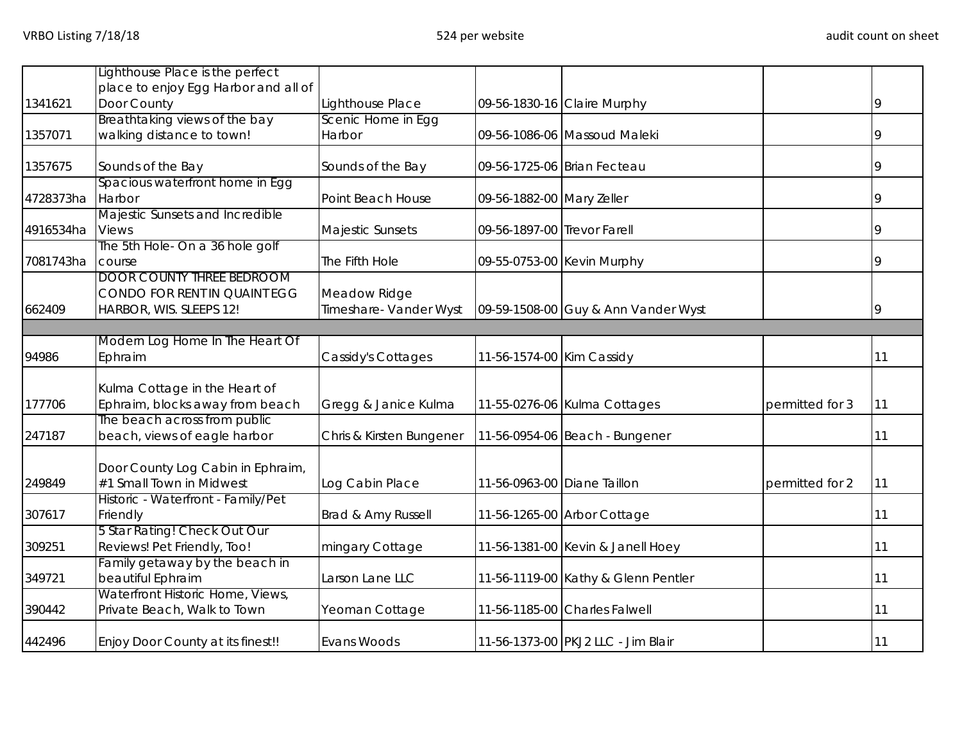|                  | Lighthouse Place is the perfect                                                                      |                               |                             |                                                                     |                 |    |
|------------------|------------------------------------------------------------------------------------------------------|-------------------------------|-----------------------------|---------------------------------------------------------------------|-----------------|----|
|                  | place to enjoy Egg Harbor and all of                                                                 |                               |                             |                                                                     |                 |    |
| 1341621          | Door County                                                                                          | Lighthouse Place              |                             | 09-56-1830-16 Claire Murphy                                         |                 | 9  |
|                  | Breathtaking views of the bay                                                                        | Scenic Home in Egg            |                             |                                                                     |                 |    |
| 1357071          | walking distance to town!                                                                            | Harbor                        |                             | 09-56-1086-06 Massoud Maleki                                        |                 |    |
|                  |                                                                                                      |                               |                             |                                                                     |                 |    |
| 1357675          | Sounds of the Bay                                                                                    | Sounds of the Bay             |                             | 09-56-1725-06 Brian Fecteau                                         |                 |    |
| 4728373ha        | Spacious waterfront home in Egg<br>Harbor                                                            | Point Beach House             | 09-56-1882-00 Mary Zeller   |                                                                     |                 |    |
|                  | Majestic Sunsets and Incredible                                                                      |                               |                             |                                                                     |                 |    |
| 4916534ha        | <b>Views</b>                                                                                         | Majestic Sunsets              | 09-56-1897-00 Trevor Farell |                                                                     |                 |    |
|                  | The 5th Hole- On a 36 hole golf                                                                      |                               |                             |                                                                     |                 |    |
| 7081743ha        | course                                                                                               | The Fifth Hole                |                             | 09-55-0753-00 Kevin Murphy                                          |                 |    |
|                  | <b>DOOR COUNTY THREE BEDROOM</b>                                                                     |                               |                             |                                                                     |                 |    |
|                  | CONDO FOR RENT IN QUAINT EGG                                                                         | Meadow Ridge                  |                             |                                                                     |                 |    |
| 662409           | HARBOR, WIS. SLEEPS 12!                                                                              | Timeshare- Vander Wyst        |                             | 09-59-1508-00 Guy & Ann Vander Wyst                                 |                 | q  |
|                  |                                                                                                      |                               |                             |                                                                     |                 |    |
|                  | Modern Log Home In The Heart Of                                                                      |                               |                             |                                                                     |                 |    |
| 94986            | Ephraim                                                                                              | Cassidy's Cottages            | 11-56-1574-00 Kim Cassidy   |                                                                     |                 | 11 |
|                  |                                                                                                      |                               |                             |                                                                     |                 |    |
| 177706           | Kulma Cottage in the Heart of<br>Ephraim, blocks away from beach                                     |                               |                             |                                                                     |                 |    |
|                  | The beach across from public                                                                         | Gregg & Janice Kulma          |                             | 11-55-0276-06 Kulma Cottages                                        | permitted for 3 | 11 |
| 247187           | beach, views of eagle harbor                                                                         | Chris & Kirsten Bungener      |                             | 11-56-0954-06 Beach - Bungener                                      |                 | 11 |
|                  |                                                                                                      |                               |                             |                                                                     |                 |    |
|                  | Door County Log Cabin in Ephraim,                                                                    |                               |                             |                                                                     |                 |    |
| 249849           | #1 Small Town in Midwest                                                                             | Log Cabin Place               | 11-56-0963-00 Diane Taillon |                                                                     | permitted for 2 | 11 |
|                  | Historic - Waterfront - Family/Pet                                                                   |                               |                             |                                                                     |                 |    |
| 307617           | Friendly                                                                                             | Brad & Amy Russell            |                             | 11-56-1265-00 Arbor Cottage                                         |                 | 11 |
|                  | 5 Star Rating! Check Out Our                                                                         |                               |                             |                                                                     |                 |    |
| 309251           | Reviews! Pet Friendly, Too!                                                                          | mingary Cottage               |                             | 11-56-1381-00 Kevin & Janell Hoey                                   |                 | 11 |
|                  | Family getaway by the beach in                                                                       |                               |                             |                                                                     |                 |    |
| 349721           | beautiful Ephraim                                                                                    | Larson Lane LLC               |                             | 11-56-1119-00 Kathy & Glenn Pentler                                 |                 | 11 |
|                  |                                                                                                      |                               |                             |                                                                     |                 |    |
|                  |                                                                                                      |                               |                             |                                                                     |                 | 11 |
|                  |                                                                                                      |                               |                             |                                                                     |                 |    |
| 390442<br>442496 | Waterfront Historic Home, Views,<br>Private Beach, Walk to Town<br>Enjoy Door County at its finest!! | Yeoman Cottage<br>Evans Woods |                             | 11-56-1185-00 Charles Falwell<br>11-56-1373-00 PKJ2 LLC - Jim Blair |                 | 11 |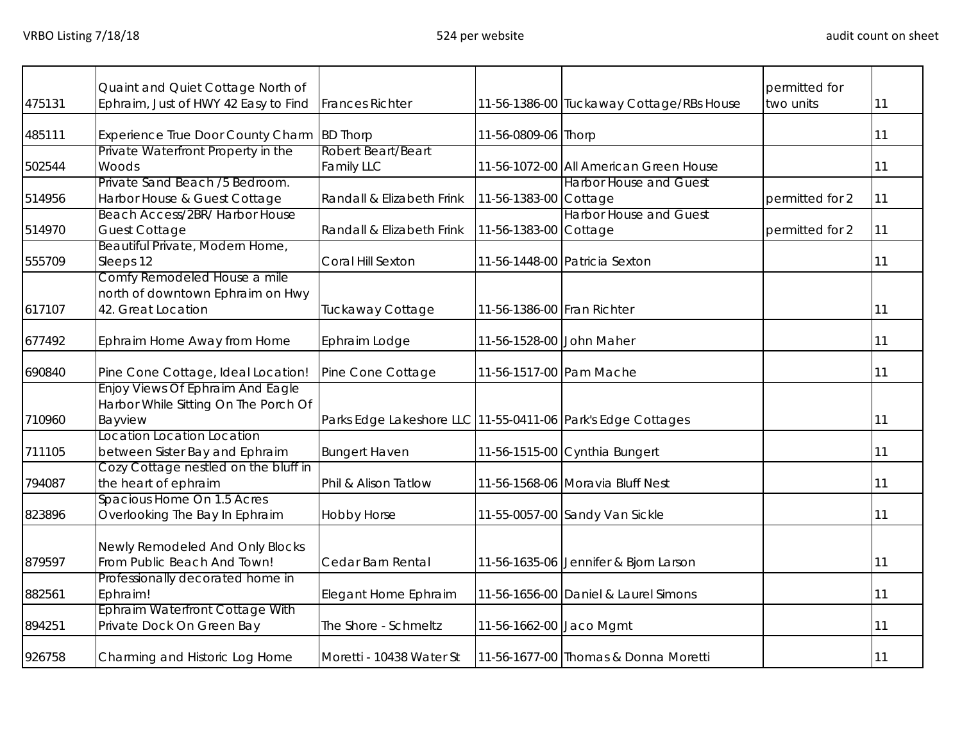|        | Quaint and Quiet Cottage North of                                                      |                                                             |                            |                                          | permitted for   |    |
|--------|----------------------------------------------------------------------------------------|-------------------------------------------------------------|----------------------------|------------------------------------------|-----------------|----|
| 475131 | Ephraim, Just of HWY 42 Easy to Find                                                   | <b>Frances Richter</b>                                      |                            | 11-56-1386-00 Tuckaway Cottage/RBs House | two units       | 11 |
| 485111 | <b>Experience True Door County Charm</b>                                               | <b>BD Thorp</b>                                             | 11-56-0809-06 Thorp        |                                          |                 | 11 |
| 502544 | Private Waterfront Property in the<br>Woods                                            | Robert Beart/Beart<br><b>Family LLC</b>                     |                            | 11-56-1072-00 All American Green House   |                 | 11 |
| 514956 | Private Sand Beach /5 Bedroom.<br>Harbor House & Guest Cottage                         | Randall & Elizabeth Frink                                   | 11-56-1383-00 Cottage      | <b>Harbor House and Guest</b>            | permitted for 2 | 11 |
| 514970 | Beach Access/2BR/ Harbor House<br><b>Guest Cottage</b>                                 | Randall & Elizabeth Frink                                   | 11-56-1383-00 Cottage      | <b>Harbor House and Guest</b>            | permitted for 2 | 11 |
| 555709 | Beautiful Private, Modern Home,<br>Sleeps 12                                           | Coral Hill Sexton                                           |                            | 11-56-1448-00 Patricia Sexton            |                 | 11 |
| 617107 | Comfy Remodeled House a mile<br>north of downtown Ephraim on Hwy<br>42. Great Location | Tuckaway Cottage                                            | 11-56-1386-00 Fran Richter |                                          |                 | 11 |
| 677492 | Ephraim Home Away from Home                                                            | Ephraim Lodge                                               | 11-56-1528-00 John Maher   |                                          |                 | 11 |
| 690840 | Pine Cone Cottage, Ideal Location!                                                     | Pine Cone Cottage                                           | 11-56-1517-00 Pam Mache    |                                          |                 | 11 |
| 710960 | Enjoy Views Of Ephraim And Eagle<br>Harbor While Sitting On The Porch Of<br>Bayview    | Parks Edge Lakeshore LLC 11-55-0411-06 Park's Edge Cottages |                            |                                          |                 | 11 |
| 711105 | Location Location Location<br>between Sister Bay and Ephraim                           | <b>Bungert Haven</b>                                        |                            | 11-56-1515-00 Cynthia Bungert            |                 | 11 |
| 794087 | Cozy Cottage nestled on the bluff in<br>the heart of ephraim                           | Phil & Alison Tatlow                                        |                            | 11-56-1568-06 Moravia Bluff Nest         |                 | 11 |
| 823896 | Spacious Home On 1.5 Acres<br>Overlooking The Bay In Ephraim                           | Hobby Horse                                                 |                            | 11-55-0057-00 Sandy Van Sickle           |                 | 11 |
| 879597 | Newly Remodeled And Only Blocks<br>From Public Beach And Town!                         | Cedar Barn Rental                                           |                            | 11-56-1635-06 Jennifer & Bjorn Larson    |                 | 11 |
| 882561 | Professionally decorated home in<br>Ephraim!                                           | Elegant Home Ephraim                                        |                            | 11-56-1656-00 Daniel & Laurel Simons     |                 | 11 |
| 894251 | Ephraim Waterfront Cottage With<br>Private Dock On Green Bay                           | The Shore - Schmeltz                                        | 11-56-1662-00 Jaco Mgmt    |                                          |                 | 11 |
| 926758 | Charming and Historic Log Home                                                         | Moretti - 10438 Water St                                    |                            | 11-56-1677-00 Thomas & Donna Moretti     |                 | 11 |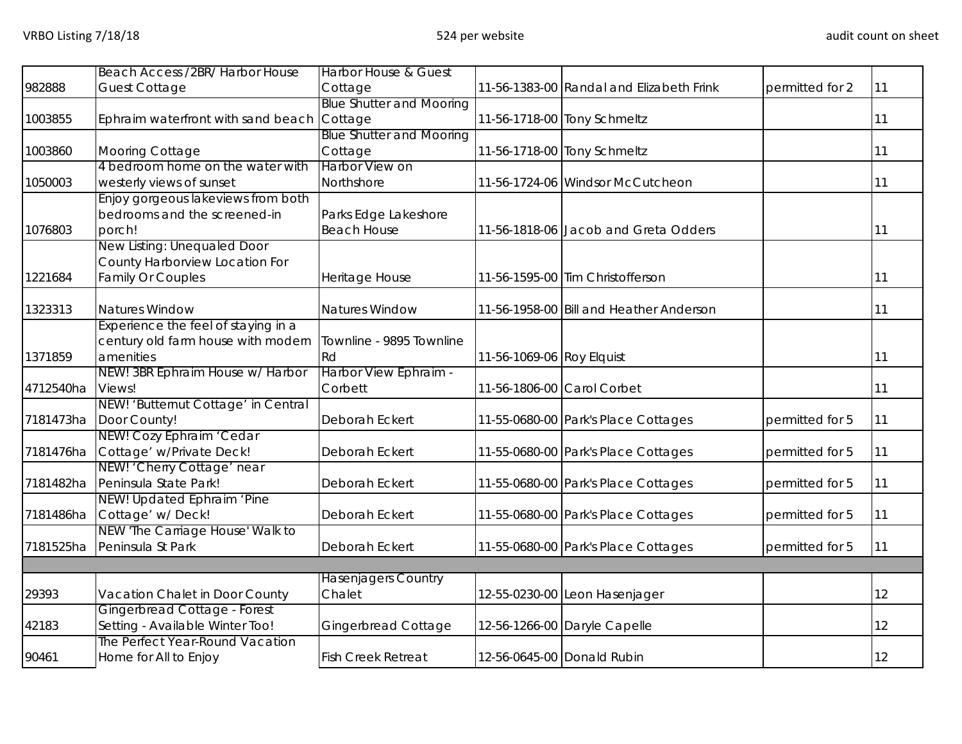| Beach Access /2BR/ Harbor House<br><b>Harbor House &amp; Guest</b>                              |                 |    |
|-------------------------------------------------------------------------------------------------|-----------------|----|
| 982888<br><b>Guest Cottage</b><br>11-56-1383-00 Randal and Elizabeth Frink<br>Cottage           | permitted for 2 | 11 |
| <b>Blue Shutter and Mooring</b>                                                                 |                 |    |
| 1003855<br>Cottage<br>11-56-1718-00 Tony Schmeltz<br>Ephraim waterfront with sand beach         |                 | 11 |
| <b>Blue Shutter and Mooring</b>                                                                 |                 |    |
| 11-56-1718-00 Tony Schmeltz<br>1003860<br>Mooring Cottage<br>Cottage                            |                 | 11 |
| 4 bedroom home on the water with<br>Harbor View on                                              |                 |    |
| 1050003<br>westerly views of sunset<br>Northshore<br>11-56-1724-06 Windsor McCutcheon           |                 | 11 |
| Enjoy gorgeous lakeviews from both                                                              |                 |    |
| bedrooms and the screened-in<br>Parks Edge Lakeshore                                            |                 |    |
| 1076803<br>porch!<br><b>Beach House</b><br>11-56-1818-06 Jacob and Greta Odders                 |                 | 11 |
| New Listing: Unequaled Door                                                                     |                 |    |
| County Harborview Location For                                                                  |                 |    |
| <b>Family Or Couples</b><br>Heritage House<br>11-56-1595-00 Tim Christofferson<br>1221684       |                 | 11 |
|                                                                                                 |                 |    |
| Natures Window<br>Natures Window<br>11-56-1958-00 Bill and Heather Anderson<br>1323313          |                 | 11 |
| Experience the feel of staying in a                                                             |                 |    |
| century old farm house with modern<br>Townline - 9895 Townline                                  |                 |    |
| 1371859<br>amenities<br>Rd<br>11-56-1069-06 Roy Elquist                                         |                 | 11 |
| NEW! 3BR Ephraim House w/ Harbor<br>Harbor View Ephraim -                                       |                 |    |
| Views!<br>Corbett<br>4712540ha<br>11-56-1806-00 Carol Corbet                                    |                 | 11 |
| NEW! 'Butternut Cottage' in Central                                                             |                 |    |
| Door County!<br>Deborah Eckert<br>11-55-0680-00 Park's Place Cottages<br>7181473ha              | permitted for 5 | 11 |
| NEW! Cozy Ephraim 'Cedar                                                                        |                 |    |
| Cottage' w/Private Deck!<br>7181476ha<br>Deborah Eckert<br>11-55-0680-00 Park's Place Cottages  | permitted for 5 | 11 |
| NEW! 'Cherry Cottage' near                                                                      |                 |    |
| Peninsula State Park!<br>7181482ha<br>Deborah Eckert<br>11-55-0680-00 Park's Place Cottages     | permitted for 5 | 11 |
| NEW! Updated Ephraim 'Pine                                                                      |                 |    |
| Cottage' w/Deck!<br>7181486ha<br>Deborah Eckert<br>11-55-0680-00 Park's Place Cottages          | permitted for 5 | 11 |
| NEW 'The Carriage House' Walk to                                                                |                 |    |
| Peninsula St Park<br>11-55-0680-00 Park's Place Cottages<br>7181525ha<br>Deborah Eckert         | permitted for 5 | 11 |
| <b>Hasenjagers Country</b>                                                                      |                 |    |
| 29393<br>Vacation Chalet in Door County<br>Chalet<br>12-55-0230-00 Leon Hasenjager              |                 | 12 |
| Gingerbread Cottage - Forest                                                                    |                 |    |
| Setting - Available Winter Too!<br>42183<br>Gingerbread Cottage<br>12-56-1266-00 Daryle Capelle |                 | 12 |
| The Perfect Year-Round Vacation                                                                 |                 |    |
| 90461<br>Home for All to Enjoy<br><b>Fish Creek Retreat</b><br>12-56-0645-00 Donald Rubin       |                 | 12 |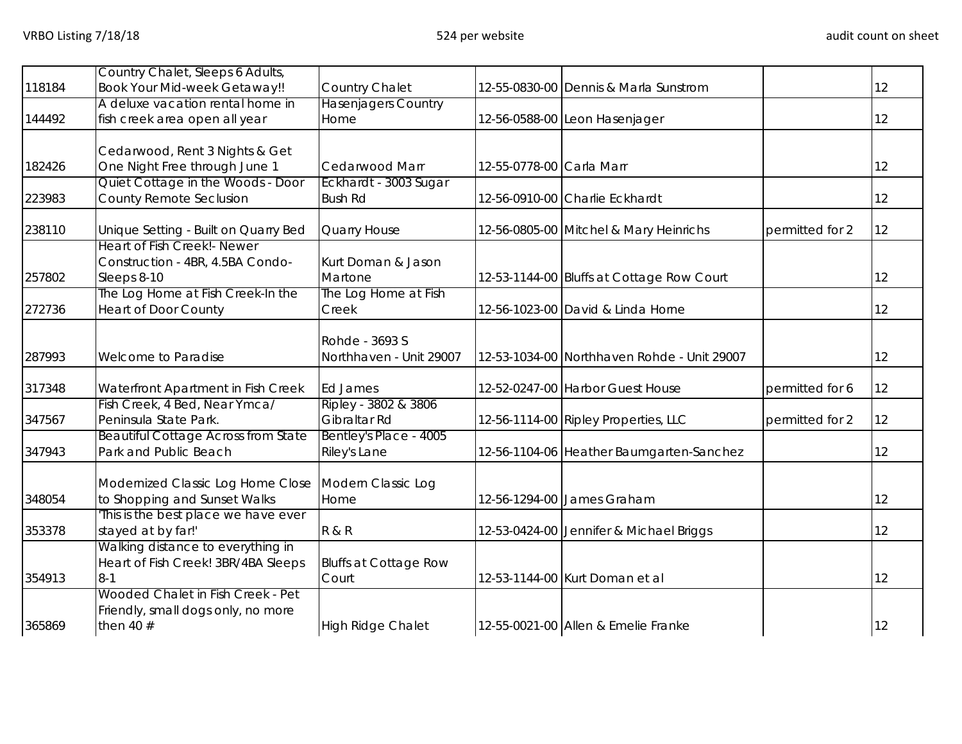|        | Country Chalet, Sleeps 6 Adults,                |                                       |                          |                                             |                 |    |
|--------|-------------------------------------------------|---------------------------------------|--------------------------|---------------------------------------------|-----------------|----|
| 118184 | <b>Book Your Mid-week Getaway!!</b>             | Country Chalet                        |                          | 12-55-0830-00 Dennis & Marla Sunstrom       |                 | 12 |
|        | A deluxe vacation rental home in                | <b>Hasenjagers Country</b>            |                          |                                             |                 |    |
| 144492 | fish creek area open all year                   | Home                                  |                          | 12-56-0588-00 Leon Hasenjager               |                 | 12 |
|        | Cedarwood, Rent 3 Nights & Get                  |                                       |                          |                                             |                 |    |
| 182426 | One Night Free through June 1                   | Cedarwood Marr                        | 12-55-0778-00 Carla Marr |                                             |                 | 12 |
|        | Quiet Cottage in the Woods - Door               | Eckhardt - 3003 Sugar                 |                          |                                             |                 |    |
| 223983 | <b>County Remote Seclusion</b>                  | <b>Bush Rd</b>                        |                          | 12-56-0910-00 Charlie Eckhardt              |                 | 12 |
| 238110 | Unique Setting - Built on Quarry Bed            | Quarry House                          |                          | 12-56-0805-00 Mitchel & Mary Heinrichs      | permitted for 2 | 12 |
|        | Heart of Fish Creek! - Newer                    |                                       |                          |                                             |                 |    |
| 257802 | Construction - 4BR, 4.5BA Condo-<br>Sleeps 8-10 | Kurt Doman & Jason<br>Martone         |                          | 12-53-1144-00 Bluffs at Cottage Row Court   |                 | 12 |
|        | The Log Home at Fish Creek-In the               | The Log Home at Fish                  |                          |                                             |                 |    |
| 272736 | <b>Heart of Door County</b>                     | Creek                                 |                          | 12-56-1023-00 David & Linda Horne           |                 | 12 |
|        |                                                 |                                       |                          |                                             |                 |    |
|        |                                                 | Rohde - 3693 S                        |                          |                                             |                 |    |
| 287993 | <b>Welcome to Paradise</b>                      | Northhaven - Unit 29007               |                          | 12-53-1034-00 Northhaven Rohde - Unit 29007 |                 | 12 |
| 317348 | Waterfront Apartment in Fish Creek              | Ed James                              |                          | 12-52-0247-00 Harbor Guest House            | permitted for 6 | 12 |
|        | Fish Creek, 4 Bed, Near Ymca/                   | Ripley - 3802 & 3806                  |                          |                                             |                 |    |
| 347567 | Peninsula State Park.                           | Gibraltar Rd                          |                          | 12-56-1114-00 Ripley Properties, LLC        | permitted for 2 | 12 |
|        | <b>Beautiful Cottage Across from State</b>      | Bentley's Place - 4005                |                          |                                             |                 |    |
| 347943 | Park and Public Beach                           | Riley's Lane                          |                          | 12-56-1104-06 Heather Baumgarten-Sanchez    |                 | 12 |
|        | Modernized Classic Log Home Close               | Modern Classic Log                    |                          |                                             |                 |    |
| 348054 | to Shopping and Sunset Walks                    | Home                                  |                          | 12-56-1294-00 James Graham                  |                 | 12 |
|        | This is the best place we have ever             |                                       |                          |                                             |                 |    |
| 353378 | stayed at by far!'                              | <b>R &amp; R</b>                      |                          | 12-53-0424-00 Jennifer & Michael Briggs     |                 | 12 |
|        | Walking distance to everything in               |                                       |                          |                                             |                 |    |
| 354913 | Heart of Fish Creek! 3BR/4BA Sleeps<br>$8 - 1$  | <b>Bluffs at Cottage Row</b><br>Court |                          | 12-53-1144-00 Kurt Doman et al              |                 | 12 |
|        | Wooded Chalet in Fish Creek - Pet               |                                       |                          |                                             |                 |    |
|        | Friendly, small dogs only, no more              |                                       |                          |                                             |                 |    |
| 365869 | then 40 $#$                                     | <b>High Ridge Chalet</b>              |                          | 12-55-0021-00 Allen & Emelie Franke         |                 | 12 |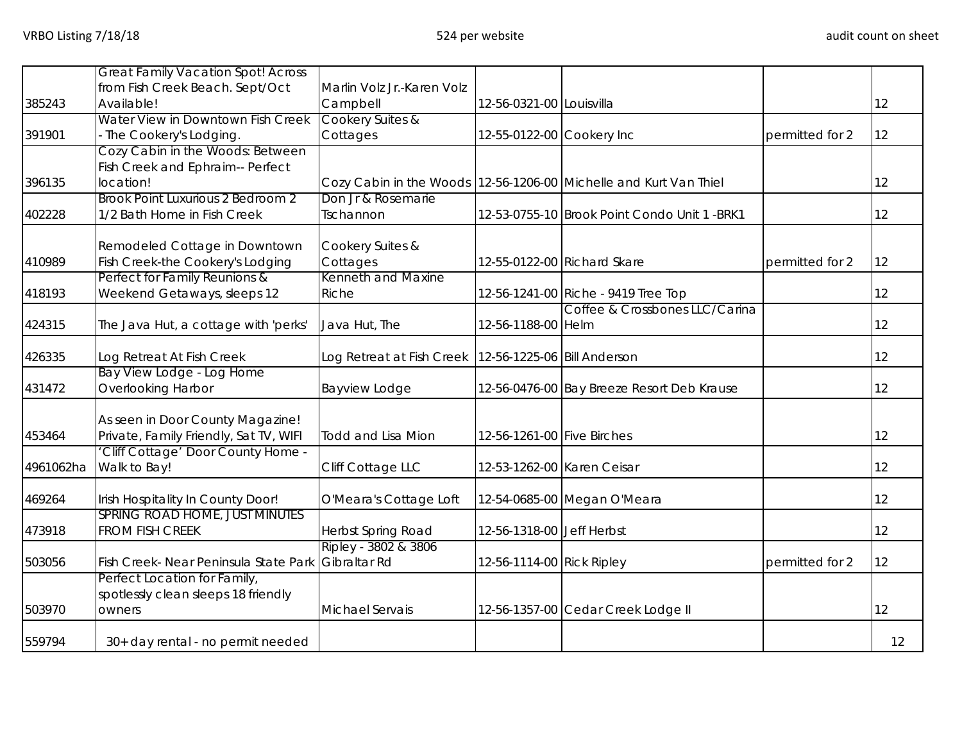|           | <b>Great Family Vacation Spot! Across</b> |                                                           |                            |                                                                   |                 |     |
|-----------|-------------------------------------------|-----------------------------------------------------------|----------------------------|-------------------------------------------------------------------|-----------------|-----|
|           | from Fish Creek Beach. Sept/Oct           | Marlin Volz Jr.-Karen Volz                                |                            |                                                                   |                 |     |
| 385243    | Available!                                | Campbell                                                  | 12-56-0321-00 Louisvilla   |                                                                   |                 | 12  |
|           | Water View in Downtown Fish Creek         | Cookery Suites &                                          |                            |                                                                   |                 |     |
|           |                                           |                                                           |                            |                                                                   |                 |     |
| 391901    | The Cookery's Lodging.                    | Cottages                                                  | 12-55-0122-00 Cookery Inc  |                                                                   | permitted for 2 | 12  |
|           | Cozy Cabin in the Woods: Between          |                                                           |                            |                                                                   |                 |     |
|           | Fish Creek and Ephraim-- Perfect          |                                                           |                            |                                                                   |                 |     |
| 396135    | location!                                 |                                                           |                            | Cozy Cabin in the Woods 12-56-1206-00 Michelle and Kurt Van Thiel |                 | 12  |
|           | Brook Point Luxurious 2 Bedroom 2         | Don Jr & Rosemarie                                        |                            |                                                                   |                 |     |
| 402228    | 1/2 Bath Home in Fish Creek               | Tschannon                                                 |                            | 12-53-0755-10 Brook Point Condo Unit 1 -BRK1                      |                 | 12  |
|           |                                           |                                                           |                            |                                                                   |                 |     |
|           | Remodeled Cottage in Downtown             | Cookery Suites &                                          |                            |                                                                   |                 |     |
| 410989    | Fish Creek-the Cookery's Lodging          | Cottages                                                  |                            | 12-55-0122-00 Richard Skare                                       | permitted for 2 | 12  |
|           | Perfect for Family Reunions &             | Kenneth and Maxine                                        |                            |                                                                   |                 |     |
| 418193    | Weekend Getaways, sleeps 12               | Riche                                                     |                            | 12-56-1241-00 Riche - 9419 Tree Top                               |                 | 12  |
|           |                                           |                                                           |                            | Coffee & Crossbones LLC/Carina                                    |                 |     |
| 424315    | The Java Hut, a cottage with 'perks'      | Java Hut, The                                             | 12-56-1188-00 Helm         |                                                                   |                 | 12  |
| 426335    | Log Retreat At Fish Creek                 | Log Retreat at Fish Creek   12-56-1225-06   Bill Anderson |                            |                                                                   |                 | 12  |
|           | Bay View Lodge - Log Home                 |                                                           |                            |                                                                   |                 |     |
| 431472    | <b>Overlooking Harbor</b>                 | <b>Bayview Lodge</b>                                      |                            | 12-56-0476-00 Bay Breeze Resort Deb Krause                        |                 | 12  |
|           |                                           |                                                           |                            |                                                                   |                 |     |
|           | As seen in Door County Magazine!          |                                                           |                            |                                                                   |                 |     |
| 453464    | Private, Family Friendly, Sat TV, WIFI    | <b>Todd and Lisa Mion</b>                                 | 12-56-1261-00 Five Birches |                                                                   |                 | 12  |
|           | Cliff Cottage' Door County Home -         |                                                           |                            |                                                                   |                 |     |
| 4961062ha | Walk to Bay!                              | Cliff Cottage LLC                                         | 12-53-1262-00 Karen Ceisar |                                                                   |                 | 12. |
|           |                                           |                                                           |                            |                                                                   |                 |     |
| 469264    | Irish Hospitality In County Door!         | O'Meara's Cottage Loft                                    |                            | 12-54-0685-00 Megan O'Meara                                       |                 | 12  |
|           | SPRING ROAD HOME, JUST MINUTES            |                                                           |                            |                                                                   |                 |     |
| 473918    | <b>FROM FISH CREEK</b>                    | Herbst Spring Road                                        | 12-56-1318-00 Jeff Herbst  |                                                                   |                 | 12  |
|           |                                           | Ripley - 3802 & 3806                                      |                            |                                                                   |                 |     |
| 503056    | Fish Creek- Near Peninsula State Park     | Gibraltar Rd                                              | 12-56-1114-00 Rick Ripley  |                                                                   | permitted for 2 | 12  |
|           | Perfect Location for Family,              |                                                           |                            |                                                                   |                 |     |
|           | spotlessly clean sleeps 18 friendly       |                                                           |                            |                                                                   |                 |     |
| 503970    | owners                                    | <b>Michael Servais</b>                                    |                            | 12-56-1357-00 Cedar Creek Lodge II                                |                 | 12  |
|           |                                           |                                                           |                            |                                                                   |                 |     |
| 559794    | 30+ day rental - no permit needed         |                                                           |                            |                                                                   |                 | 12  |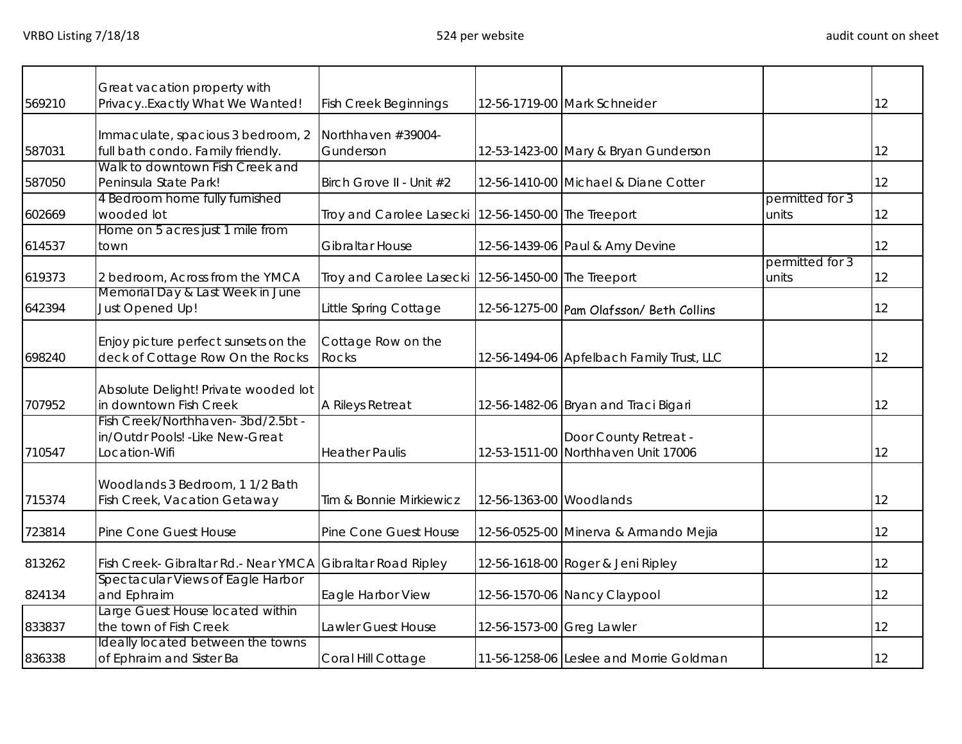|        | Great vacation property with                                                           |                                                       |                           |                                                              |                          |    |
|--------|----------------------------------------------------------------------------------------|-------------------------------------------------------|---------------------------|--------------------------------------------------------------|--------------------------|----|
| 569210 | PrivacyExactly What We Wanted!                                                         | <b>Fish Creek Beginnings</b>                          |                           | 12-56-1719-00 Mark Schneider                                 |                          | 12 |
| 587031 | Immaculate, spacious 3 bedroom, 2<br>full bath condo. Family friendly.                 | Northhaven #39004-<br>Gunderson                       |                           | 12-53-1423-00 Mary & Bryan Gunderson                         |                          | 12 |
| 587050 | Walk to downtown Fish Creek and<br>Peninsula State Park!                               | Birch Grove II - Unit #2                              |                           | 12-56-1410-00 Michael & Diane Cotter                         |                          | 12 |
| 602669 | 4 Bedroom home fully furnished<br>wooded lot                                           | Troy and Carolee Lasecki 12-56-1450-00 The Treeport   |                           |                                                              | permitted for 3<br>units | 12 |
| 614537 | Home on 5 acres just 1 mile from<br>town                                               | Gibraltar House                                       |                           | 12-56-1439-06 Paul & Amy Devine                              |                          | 12 |
| 619373 | 2 bedroom, Across from the YMCA                                                        | Troy and Carolee Lasecki   12-56-1450-00 The Treeport |                           |                                                              | permitted for 3<br>units | 12 |
| 642394 | Memorial Day & Last Week in June<br>Just Opened Up!                                    | Little Spring Cottage                                 |                           | 12-56-1275-00 Pam Olafsson/ Beth Collins                     |                          | 12 |
| 698240 | Enjoy picture perfect sunsets on the<br>deck of Cottage Row On the Rocks               | Cottage Row on the<br><b>Rocks</b>                    |                           | 12-56-1494-06 Apfelbach Family Trust, LLC                    |                          | 12 |
| 707952 | Absolute Delight! Private wooded lot<br>in downtown Fish Creek                         | A Rileys Retreat                                      |                           | 12-56-1482-06 Bryan and Traci Bigari                         |                          | 12 |
| 710547 | Fish Creek/Northhaven-3bd/2.5bt -<br>in/Outdr Pools! - Like New-Great<br>Location-Wifi | <b>Heather Paulis</b>                                 |                           | Door County Retreat -<br>12-53-1511-00 Northhaven Unit 17006 |                          | 12 |
| 715374 | Woodlands 3 Bedroom, 1 1/2 Bath<br>Fish Creek, Vacation Getaway                        | Tim & Bonnie Mirkiewicz                               | 12-56-1363-00 Woodlands   |                                                              |                          | 12 |
| 723814 | Pine Cone Guest House                                                                  | Pine Cone Guest House                                 |                           | 12-56-0525-00 Minerva & Armando Mejia                        |                          | 12 |
| 813262 | Fish Creek- Gibraltar Rd.- Near YMCA                                                   | <b>Gibraltar Road Ripley</b>                          |                           | 12-56-1618-00 Roger & Jeni Ripley                            |                          | 12 |
| 824134 | Spectacular Views of Eagle Harbor<br>and Ephraim                                       | Eagle Harbor View                                     |                           | 12-56-1570-06 Nancy Claypool                                 |                          | 12 |
| 833837 | Large Guest House located within<br>the town of Fish Creek                             | Lawler Guest House                                    | 12-56-1573-00 Greg Lawler |                                                              |                          | 12 |
| 836338 | Ideally located between the towns<br>of Ephraim and Sister Ba                          | Coral Hill Cottage                                    |                           | 11-56-1258-06 Leslee and Morrie Goldman                      |                          | 12 |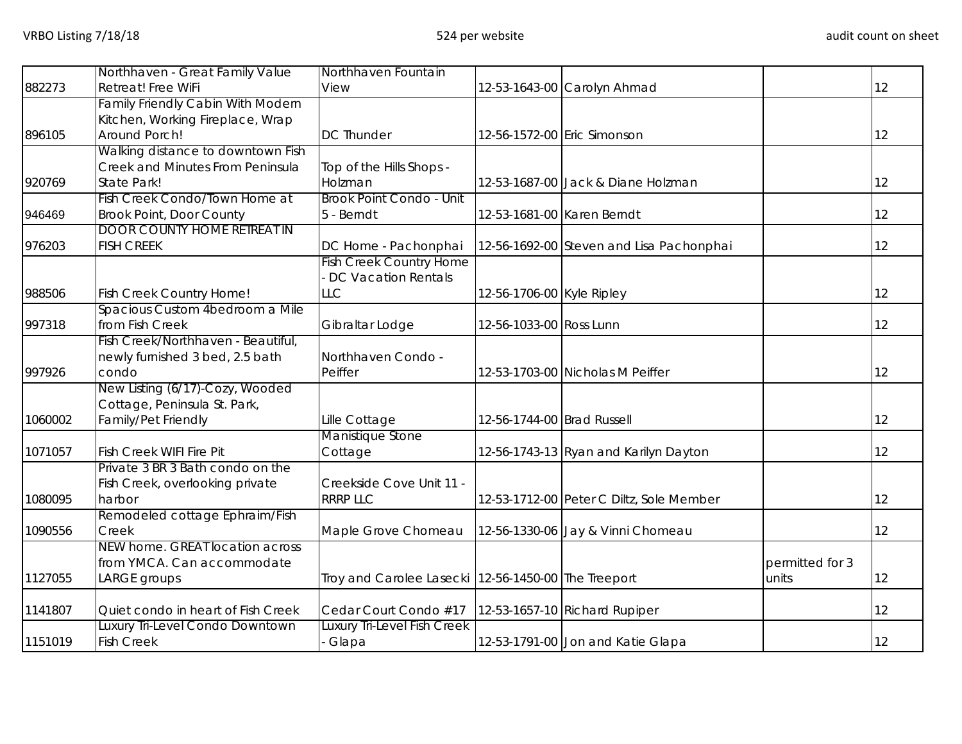|         | Northhaven - Great Family Value          | Northhaven Fountain                                 |                            |                                          |                 |                   |
|---------|------------------------------------------|-----------------------------------------------------|----------------------------|------------------------------------------|-----------------|-------------------|
| 882273  | Retreat! Free WiFi                       | View                                                |                            | 12-53-1643-00 Carolyn Ahmad              |                 | $12 \overline{)}$ |
|         | <b>Family Friendly Cabin With Modern</b> |                                                     |                            |                                          |                 |                   |
|         | Kitchen, Working Fireplace, Wrap         |                                                     |                            |                                          |                 |                   |
| 896105  | Around Porch!                            | <b>DC Thunder</b>                                   |                            | 12-56-1572-00 Eric Simonson              |                 | 12                |
|         | Walking distance to downtown Fish        |                                                     |                            |                                          |                 |                   |
|         | Creek and Minutes From Peninsula         | Top of the Hills Shops -                            |                            |                                          |                 |                   |
| 920769  | State Park!                              | Holzman                                             |                            | 12-53-1687-00 Jack & Diane Holzman       |                 | 12                |
|         | Fish Creek Condo/Town Home at            | Brook Point Condo - Unit                            |                            |                                          |                 |                   |
| 946469  | <b>Brook Point, Door County</b>          | 5 - Berndt                                          |                            | 12-53-1681-00 Karen Berndt               |                 | 12                |
|         | <b>DOOR COUNTY HOME RETREAT IN</b>       |                                                     |                            |                                          |                 |                   |
| 976203  | <b>FISH CREEK</b>                        | DC Home - Pachonphai                                |                            | 12-56-1692-00 Steven and Lisa Pachonphai |                 | 12                |
|         |                                          | <b>Fish Creek Country Home</b>                      |                            |                                          |                 |                   |
|         |                                          | DC Vacation Rentals                                 |                            |                                          |                 |                   |
| 988506  | Fish Creek Country Home!                 | <b>LLC</b>                                          | 12-56-1706-00 Kyle Ripley  |                                          |                 | 12                |
|         | Spacious Custom 4bedroom a Mile          |                                                     |                            |                                          |                 |                   |
| 997318  | from Fish Creek                          | Gibraltar Lodge                                     | 12-56-1033-00 Ross Lunn    |                                          |                 | 12                |
|         | Fish Creek/Northhaven - Beautiful,       |                                                     |                            |                                          |                 |                   |
|         | newly furnished 3 bed, 2.5 bath          | Northhaven Condo -                                  |                            |                                          |                 |                   |
| 997926  | condo                                    | Peiffer                                             |                            | 12-53-1703-00 Nicholas M Peiffer         |                 | 12                |
|         | New Listing (6/17)-Cozy, Wooded          |                                                     |                            |                                          |                 |                   |
|         | Cottage, Peninsula St. Park,             |                                                     |                            |                                          |                 |                   |
| 1060002 | Family/Pet Friendly                      | Lille Cottage                                       | 12-56-1744-00 Brad Russell |                                          |                 | $12 \overline{)}$ |
|         |                                          | Manistique Stone                                    |                            |                                          |                 |                   |
| 1071057 | Fish Creek WIFI Fire Pit                 | Cottage                                             |                            | 12-56-1743-13 Ryan and Karilyn Dayton    |                 | 12                |
|         | Private 3 BR 3 Bath condo on the         |                                                     |                            |                                          |                 |                   |
|         | Fish Creek, overlooking private          | Creekside Cove Unit 11 -                            |                            |                                          |                 |                   |
| 1080095 | harbor                                   | <b>RRRP LLC</b>                                     |                            | 12-53-1712-00 Peter C Diltz, Sole Member |                 | 12                |
|         | Remodeled cottage Ephraim/Fish           |                                                     |                            |                                          |                 |                   |
| 1090556 | Creek                                    | Maple Grove Chomeau                                 |                            | 12-56-1330-06 Jay & Vinni Chomeau        |                 | 12                |
|         | NEW home. GREAT location across          |                                                     |                            |                                          |                 |                   |
|         | from YMCA. Can accommodate               |                                                     |                            |                                          | permitted for 3 |                   |
| 1127055 | LARGE groups                             | Troy and Carolee Lasecki 12-56-1450-00 The Treeport |                            |                                          | units           | 12                |
|         |                                          |                                                     |                            |                                          |                 |                   |
| 1141807 | Quiet condo in heart of Fish Creek       | Cedar Court Condo #17                               |                            | 12-53-1657-10 Richard Rupiper            |                 | 12                |
|         | Luxury Tri-Level Condo Downtown          | <b>Luxury Tri-Level Fish Creek</b>                  |                            |                                          |                 |                   |
| 1151019 | <b>Fish Creek</b>                        | Glapa                                               |                            | 12-53-1791-00 Jon and Katie Glapa        |                 | 12                |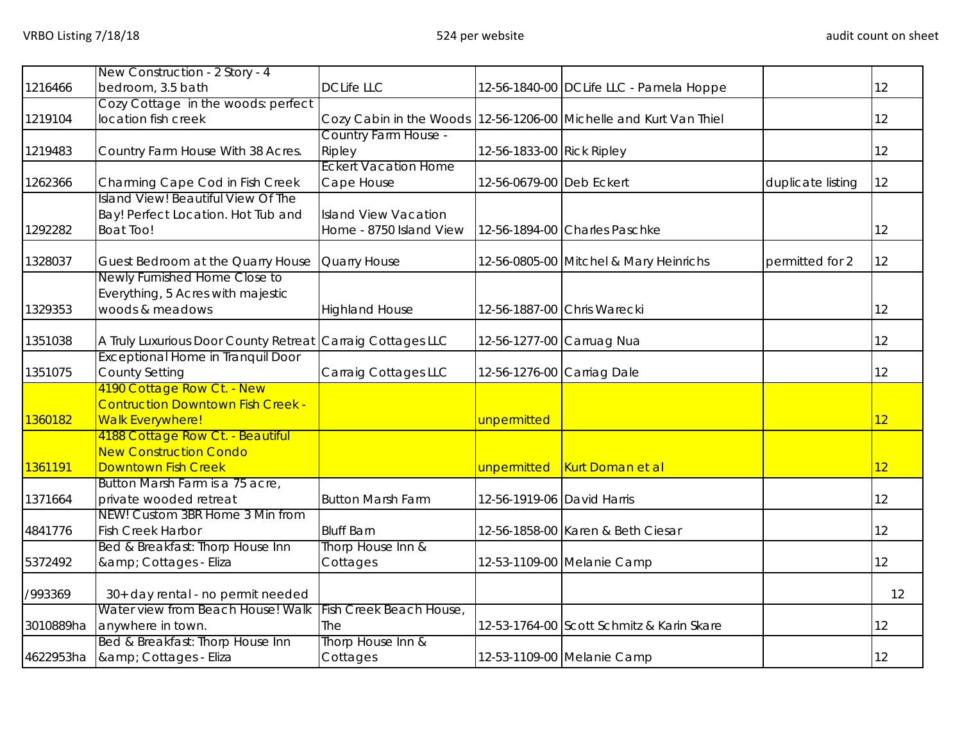|           | New Construction - 2 Story - 4                              |                             |                            |                                                                   |                   |                   |
|-----------|-------------------------------------------------------------|-----------------------------|----------------------------|-------------------------------------------------------------------|-------------------|-------------------|
| 1216466   | bedroom, 3.5 bath                                           | <b>DCLife LLC</b>           |                            | 12-56-1840-00 DCLife LLC - Pamela Hoppe                           |                   | 12                |
|           | Cozy Cottage in the woods: perfect                          |                             |                            |                                                                   |                   |                   |
| 1219104   | location fish creek                                         |                             |                            | Cozy Cabin in the Woods 12-56-1206-00 Michelle and Kurt Van Thiel |                   | $12 \overline{)}$ |
|           |                                                             | Country Farm House -        |                            |                                                                   |                   |                   |
| 1219483   | Country Farm House With 38 Acres.                           | Ripley                      | 12-56-1833-00 Rick Ripley  |                                                                   |                   | $12 \overline{)}$ |
|           |                                                             | <b>Eckert Vacation Home</b> |                            |                                                                   |                   |                   |
| 1262366   | Charming Cape Cod in Fish Creek                             | Cape House                  | 12-56-0679-00 Deb Eckert   |                                                                   | duplicate listing | 12                |
|           | Island View! Beautiful View Of The                          |                             |                            |                                                                   |                   |                   |
|           | Bay! Perfect Location. Hot Tub and                          | <b>Island View Vacation</b> |                            |                                                                   |                   |                   |
| 1292282   | <b>Boat Too!</b>                                            | Home - 8750 Island View     |                            | 12-56-1894-00 Charles Paschke                                     |                   | 12                |
| 1328037   | Guest Bedroom at the Quarry House                           | Quarry House                |                            | 12-56-0805-00 Mitchel & Mary Heinrichs                            | permitted for 2   | 12                |
|           | Newly Furnished Home Close to                               |                             |                            |                                                                   |                   |                   |
|           | Everything, 5 Acres with majestic                           |                             |                            |                                                                   |                   |                   |
| 1329353   | woods & meadows                                             | <b>Highland House</b>       |                            | 12-56-1887-00 Chris Warecki                                       |                   | 12                |
|           |                                                             |                             |                            |                                                                   |                   |                   |
| 1351038   | A Truly Luxurious Door County Retreat Carraig Cottages LLC  |                             | 12-56-1277-00 Carruag Nua  |                                                                   |                   | 12                |
|           | <b>Exceptional Home in Tranquil Door</b>                    |                             |                            |                                                                   |                   |                   |
| 1351075   | <b>County Setting</b>                                       | Carraig Cottages LLC        | 12-56-1276-00 Carriag Dale |                                                                   |                   | 12                |
|           | 4190 Cottage Row Ct. - New                                  |                             |                            |                                                                   |                   |                   |
|           | <b>Contruction Downtown Fish Creek -</b>                    |                             |                            |                                                                   |                   |                   |
| 1360182   | <b>Walk Everywhere!</b>                                     |                             | unpermitted                |                                                                   |                   | 12 <sup>2</sup>   |
|           | 4188 Cottage Row Ct. - Beautiful                            |                             |                            |                                                                   |                   |                   |
|           | <b>New Construction Condo</b>                               |                             |                            |                                                                   |                   |                   |
| 1361191   | Downtown Fish Creek                                         |                             |                            | unpermitted Kurt Doman et al                                      |                   | 12 <sup>2</sup>   |
|           | Button Marsh Farm is a 75 acre,                             |                             |                            |                                                                   |                   |                   |
| 1371664   | private wooded retreat                                      | <b>Button Marsh Farm</b>    | 12-56-1919-06 David Harris |                                                                   |                   | 12                |
|           | NEW! Custom 3BR Home 3 Min from<br><b>Fish Creek Harbor</b> | <b>Bluff Barn</b>           |                            |                                                                   |                   | 12                |
| 4841776   | Bed & Breakfast: Thorp House Inn                            | Thorp House Inn &           |                            | 12-56-1858-00 Karen & Beth Ciesar                                 |                   |                   |
| 5372492   | & Cottages - Eliza                                          | Cottages                    |                            | 12-53-1109-00 Melanie Camp                                        |                   | $12 \overline{)}$ |
|           |                                                             |                             |                            |                                                                   |                   |                   |
| /993369   | 30+ day rental - no permit needed                           |                             |                            |                                                                   |                   | 12                |
|           | Water view from Beach House! Walk                           | Fish Creek Beach House,     |                            |                                                                   |                   |                   |
| 3010889ha | anywhere in town.                                           | The                         |                            | 12-53-1764-00 Scott Schmitz & Karin Skare                         |                   | $12 \overline{)}$ |
|           | Bed & Breakfast: Thorp House Inn                            | Thorp House Inn &           |                            |                                                                   |                   |                   |
|           | 4622953ha   & amp; Cottages - Eliza                         | Cottages                    |                            | 12-53-1109-00 Melanie Camp                                        |                   | 12                |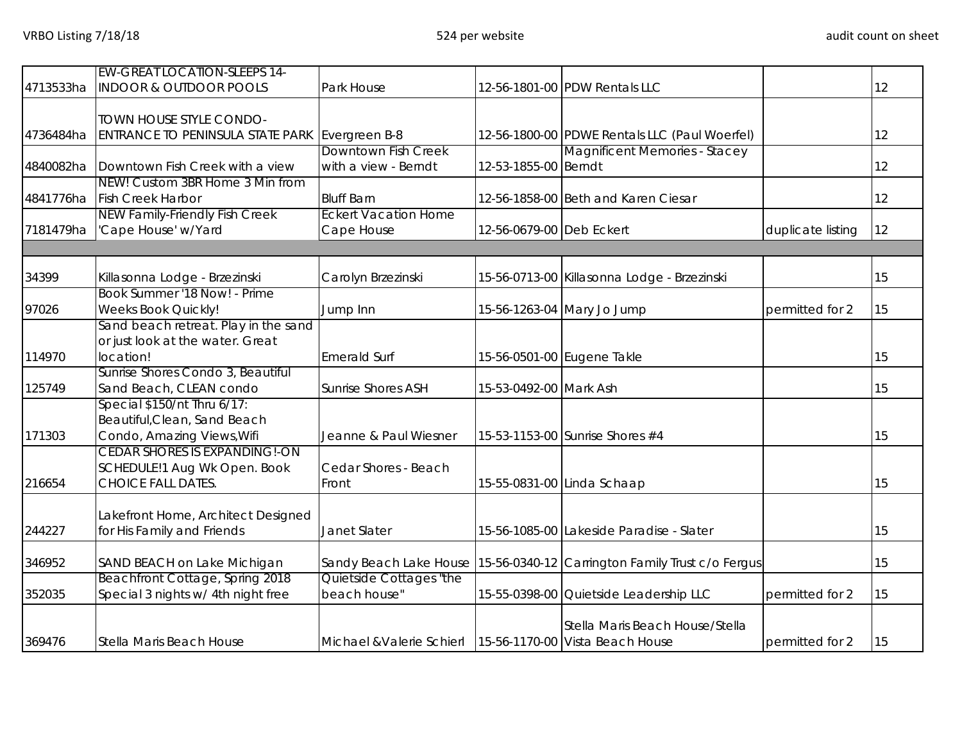|           | <b>EW-GREAT LOCATION-SLEEPS 14-</b>       |                             |                          |                                                                         |                   |    |
|-----------|-------------------------------------------|-----------------------------|--------------------------|-------------------------------------------------------------------------|-------------------|----|
| 4713533ha | <b>INDOOR &amp; OUTDOOR POOLS</b>         | Park House                  |                          | 12-56-1801-00 PDW Rentals LLC                                           |                   | 12 |
|           |                                           |                             |                          |                                                                         |                   |    |
|           | <b>TOWN HOUSE STYLE CONDO-</b>            |                             |                          |                                                                         |                   |    |
| 4736484ha | ENTRANCE TO PENINSULA STATE PARK          | Evergreen B-8               |                          | 12-56-1800-00 PDWE Rentals LLC (Paul Woerfel)                           |                   | 12 |
|           |                                           | Downtown Fish Creek         |                          | Magnificent Memories - Stacey                                           |                   |    |
|           | 4840082ha Downtown Fish Creek with a view | with a view - Berndt        | 12-53-1855-00 Berndt     |                                                                         |                   | 12 |
|           | NEW! Custom 3BR Home 3 Min from           |                             |                          |                                                                         |                   |    |
| 4841776ha | <b>Fish Creek Harbor</b>                  | <b>Bluff Barn</b>           |                          | 12-56-1858-00 Beth and Karen Ciesar                                     |                   | 12 |
|           | <b>NEW Family-Friendly Fish Creek</b>     | <b>Eckert Vacation Home</b> |                          |                                                                         |                   |    |
| 7181479ha | 'Cape House' w/Yard                       | Cape House                  | 12-56-0679-00 Deb Eckert |                                                                         | duplicate listing | 12 |
|           |                                           |                             |                          |                                                                         |                   |    |
| 34399     | Killasonna Lodge - Brzezinski             | Carolyn Brzezinski          |                          | 15-56-0713-00 Killasonna Lodge - Brzezinski                             |                   | 15 |
|           | Book Summer '18 Now! - Prime              |                             |                          |                                                                         |                   |    |
| 97026     | <b>Weeks Book Quickly!</b>                | Jump Inn                    |                          | 15-56-1263-04 Mary Jo Jump                                              | permitted for 2   | 15 |
|           | Sand beach retreat. Play in the sand      |                             |                          |                                                                         |                   |    |
|           | or just look at the water. Great          |                             |                          |                                                                         |                   |    |
| 114970    | location!                                 | <b>Emerald Surf</b>         |                          | 15-56-0501-00 Eugene Takle                                              |                   | 15 |
|           | Sunrise Shores Condo 3, Beautiful         |                             |                          |                                                                         |                   |    |
| 125749    | Sand Beach, CLEAN condo                   | <b>Sunrise Shores ASH</b>   | 15-53-0492-00 Mark Ash   |                                                                         |                   | 15 |
|           | Special \$150/nt Thru 6/17:               |                             |                          |                                                                         |                   |    |
|           | Beautiful, Clean, Sand Beach              |                             |                          |                                                                         |                   |    |
| 171303    | Condo, Amazing Views, Wifi                | Jeanne & Paul Wiesner       |                          | 15-53-1153-00 Sunrise Shores #4                                         |                   | 15 |
|           | <b>CEDAR SHORES IS EXPANDING!-ON</b>      |                             |                          |                                                                         |                   |    |
|           | SCHEDULE!1 Aug Wk Open. Book              | Cedar Shores - Beach        |                          |                                                                         |                   |    |
| 216654    | CHOICE FALL DATES.                        | Front                       |                          | 15-55-0831-00 Linda Schaap                                              |                   | 15 |
|           |                                           |                             |                          |                                                                         |                   |    |
|           | Lakefront Home, Architect Designed        |                             |                          |                                                                         |                   |    |
| 244227    | for His Family and Friends                | Janet Slater                |                          | 15-56-1085-00 Lakeside Paradise - Slater                                |                   | 15 |
| 346952    | SAND BEACH on Lake Michigan               |                             |                          | Sandy Beach Lake House 15-56-0340-12 Carrington Family Trust c/o Fergus |                   | 15 |
|           | Beachfront Cottage, Spring 2018           | Quietside Cottages "the     |                          |                                                                         |                   |    |
| 352035    | Special 3 nights w/ 4th night free        | beach house"                |                          | 15-55-0398-00 Quietside Leadership LLC                                  | permitted for 2   | 15 |
|           |                                           |                             |                          |                                                                         |                   |    |
|           |                                           |                             |                          | Stella Maris Beach House/Stella                                         |                   |    |
| 369476    | Stella Maris Beach House                  | Michael & Valerie Schierl   |                          | 15-56-1170-00 Vista Beach House                                         | permitted for 2   | 15 |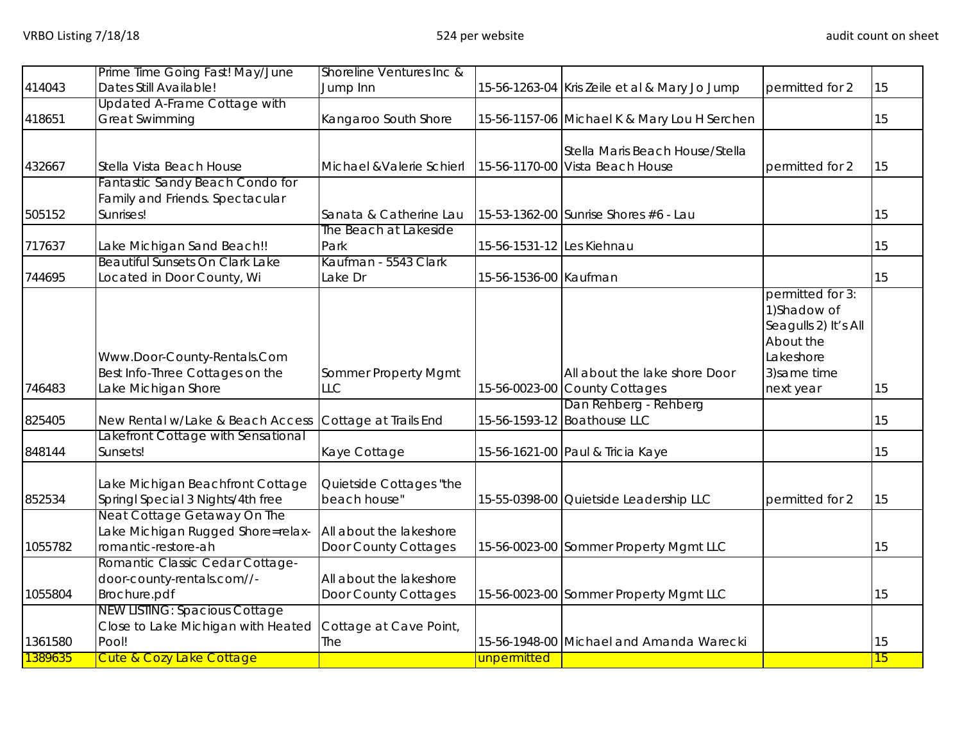|         | Prime Time Going Fast! May/June                                       | Shoreline Ventures Inc &                |                           |                                               |                                                                                                    |    |
|---------|-----------------------------------------------------------------------|-----------------------------------------|---------------------------|-----------------------------------------------|----------------------------------------------------------------------------------------------------|----|
| 414043  | Dates Still Available!                                                | Jump Inn                                |                           | 15-56-1263-04 Kris Zeile et al & Mary Jo Jump | permitted for 2                                                                                    | 15 |
|         | Updated A-Frame Cottage with                                          |                                         |                           |                                               |                                                                                                    |    |
| 418651  | <b>Great Swimming</b>                                                 | Kangaroo South Shore                    |                           | 15-56-1157-06 Michael K & Mary Lou H Serchen  |                                                                                                    | 15 |
|         |                                                                       |                                         |                           | Stella Maris Beach House/Stella               |                                                                                                    |    |
| 432667  | Stella Vista Beach House                                              | Michael & Valerie Schierl               |                           | 15-56-1170-00 Vista Beach House               | permitted for 2                                                                                    | 15 |
|         | Fantastic Sandy Beach Condo for                                       |                                         |                           |                                               |                                                                                                    |    |
|         | Family and Friends. Spectacular                                       |                                         |                           |                                               |                                                                                                    |    |
| 505152  | Sunrises!                                                             | Sanata & Catherine Lau                  |                           | 15-53-1362-00 Sunrise Shores #6 - Lau         |                                                                                                    | 15 |
|         |                                                                       | The Beach at Lakeside                   |                           |                                               |                                                                                                    |    |
| 717637  | Lake Michigan Sand Beach!!                                            | Park                                    | 15-56-1531-12 Les Kiehnau |                                               |                                                                                                    | 15 |
|         | Beautiful Sunsets On Clark Lake                                       | Kaufman - 5543 Clark                    |                           |                                               |                                                                                                    |    |
| 744695  | Located in Door County, Wi                                            | Lake Dr                                 | 15-56-1536-00 Kaufman     |                                               |                                                                                                    | 15 |
|         | Www.Door-County-Rentals.Com<br>Best Info-Three Cottages on the        | Sommer Property Mgmt                    |                           | All about the lake shore Door                 | permitted for 3:<br>1) Shadow of<br>Seagulls 2) It's All<br>About the<br>Lakeshore<br>3) same time |    |
| 746483  | Lake Michigan Shore                                                   | <b>LLC</b>                              |                           | 15-56-0023-00 County Cottages                 | next year                                                                                          | 15 |
|         |                                                                       |                                         |                           | Dan Rehberg - Rehberg                         |                                                                                                    |    |
| 825405  | New Rental w/Lake & Beach Access                                      | Cottage at Trails End                   |                           | 15-56-1593-12 Boathouse LLC                   |                                                                                                    | 15 |
| 848144  | Lakefront Cottage with Sensational<br>Sunsets!                        | Kaye Cottage                            |                           | 15-56-1621-00 Paul & Tricia Kaye              |                                                                                                    | 15 |
| 852534  | Lake Michigan Beachfront Cottage<br>Springl Special 3 Nights/4th free | Quietside Cottages "the<br>beach house" |                           | 15-55-0398-00 Quietside Leadership LLC        | permitted for 2                                                                                    | 15 |
|         | Neat Cottage Getaway On The                                           |                                         |                           |                                               |                                                                                                    |    |
|         | Lake Michigan Rugged Shore=relax-                                     | All about the lakeshore                 |                           |                                               |                                                                                                    |    |
| 1055782 | romantic-restore-ah                                                   | Door County Cottages                    |                           | 15-56-0023-00 Sommer Property Mgmt LLC        |                                                                                                    | 15 |
|         | Romantic Classic Cedar Cottage-                                       |                                         |                           |                                               |                                                                                                    |    |
| 1055804 | door-county-rentals.com//-                                            | All about the lakeshore                 |                           |                                               |                                                                                                    | 15 |
|         | Brochure.pdf<br><b>NEW LISTING: Spacious Cottage</b>                  | Door County Cottages                    |                           | 15-56-0023-00 Sommer Property Mgmt LLC        |                                                                                                    |    |
|         | Close to Lake Michigan with Heated                                    | Cottage at Cave Point,                  |                           |                                               |                                                                                                    |    |
| 1361580 | Pool!                                                                 | The                                     |                           | 15-56-1948-00 Michael and Amanda Warecki      |                                                                                                    | 15 |
| 1389635 | <b>Cute &amp; Cozy Lake Cottage</b>                                   |                                         | unpermitted               |                                               |                                                                                                    | 15 |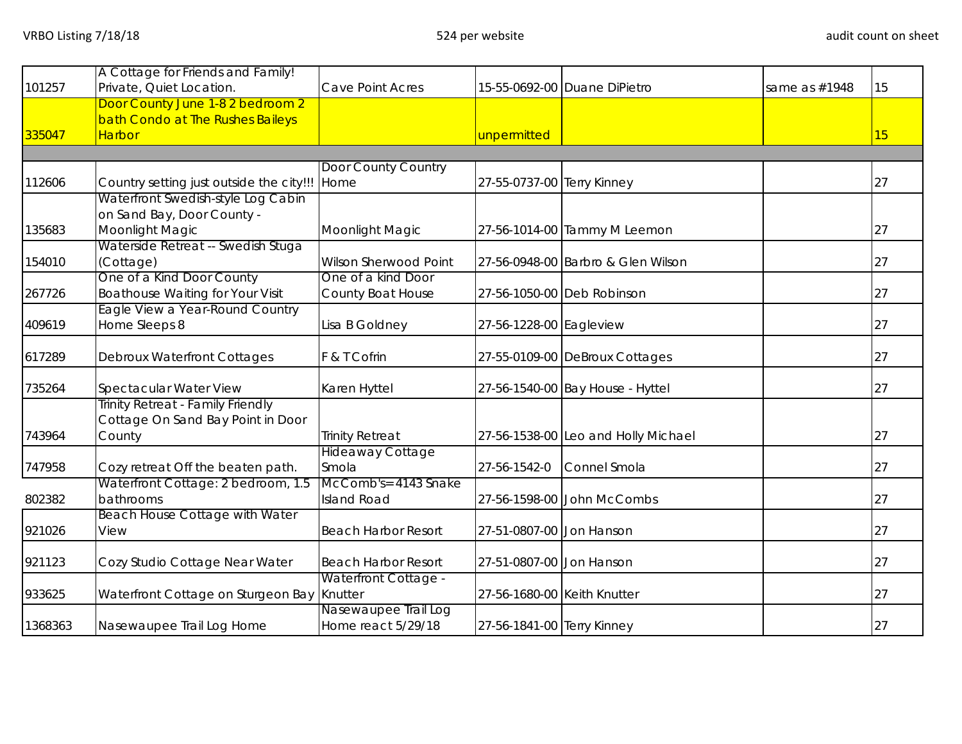|         | A Cottage for Friends and Family!        |                             |                             |                                     |               |    |
|---------|------------------------------------------|-----------------------------|-----------------------------|-------------------------------------|---------------|----|
| 101257  | Private, Quiet Location.                 | Cave Point Acres            |                             | 15-55-0692-00 Duane DiPietro        | same as #1948 | 15 |
|         | Door County June 1-8 2 bedroom 2         |                             |                             |                                     |               |    |
|         | bath Condo at The Rushes Baileys         |                             |                             |                                     |               |    |
| 335047  | <b>Harbor</b>                            |                             | unpermitted                 |                                     |               | 15 |
|         |                                          |                             |                             |                                     |               |    |
|         |                                          | Door County Country         |                             |                                     |               |    |
| 112606  | Country setting just outside the city!!! | Home                        | 27-55-0737-00 Terry Kinney  |                                     |               | 27 |
|         | Waterfront Swedish-style Log Cabin       |                             |                             |                                     |               |    |
|         | on Sand Bay, Door County -               |                             |                             |                                     |               |    |
| 135683  | Moonlight Magic                          | Moonlight Magic             |                             | 27-56-1014-00 Tammy M Leemon        |               | 27 |
|         | Waterside Retreat -- Swedish Stuga       |                             |                             |                                     |               |    |
| 154010  | (Cottage)                                | Wilson Sherwood Point       |                             | 27-56-0948-00 Barbro & Glen Wilson  |               | 27 |
|         | One of a Kind Door County                | One of a kind Door          |                             |                                     |               |    |
| 267726  | <b>Boathouse Waiting for Your Visit</b>  | County Boat House           |                             | 27-56-1050-00 Deb Robinson          |               | 27 |
|         | Eagle View a Year-Round Country          |                             |                             |                                     |               |    |
| 409619  | Home Sleeps 8                            | Lisa B Goldney              | 27-56-1228-00 Eagleview     |                                     |               | 27 |
|         |                                          |                             |                             |                                     |               |    |
| 617289  | <b>Debroux Waterfront Cottages</b>       | F & T Cofrin                |                             | 27-55-0109-00 DeBroux Cottages      |               | 27 |
| 735264  | Spectacular Water View                   | Karen Hyttel                |                             | 27-56-1540-00 Bay House - Hyttel    |               | 27 |
|         | <b>Trinity Retreat - Family Friendly</b> |                             |                             |                                     |               |    |
|         | Cottage On Sand Bay Point in Door        |                             |                             |                                     |               |    |
| 743964  | County                                   | <b>Trinity Retreat</b>      |                             | 27-56-1538-00 Leo and Holly Michael |               | 27 |
|         |                                          | <b>Hideaway Cottage</b>     |                             |                                     |               |    |
| 747958  | Cozy retreat Off the beaten path.        | Smola                       | 27-56-1542-0                | Connel Smola                        |               | 27 |
|         | Waterfront Cottage: 2 bedroom, 1.5       | McComb's= 4143 Snake        |                             |                                     |               |    |
| 802382  | bathrooms                                | <b>Island Road</b>          |                             | 27-56-1598-00 John McCombs          |               | 27 |
|         | Beach House Cottage with Water           |                             |                             |                                     |               |    |
| 921026  | View                                     | <b>Beach Harbor Resort</b>  | 27-51-0807-00 Jon Hanson    |                                     |               | 27 |
|         |                                          |                             |                             |                                     |               |    |
| 921123  | Cozy Studio Cottage Near Water           | <b>Beach Harbor Resort</b>  | 27-51-0807-00 Jon Hanson    |                                     |               | 27 |
|         |                                          | <b>Waterfront Cottage -</b> |                             |                                     |               |    |
| 933625  | Waterfront Cottage on Sturgeon Bay       | Knutter                     | 27-56-1680-00 Keith Knutter |                                     |               | 27 |
|         |                                          | Nasewaupee Trail Log        |                             |                                     |               |    |
| 1368363 | Nasewaupee Trail Log Home                | Home react 5/29/18          | 27-56-1841-00 Terry Kinney  |                                     |               | 27 |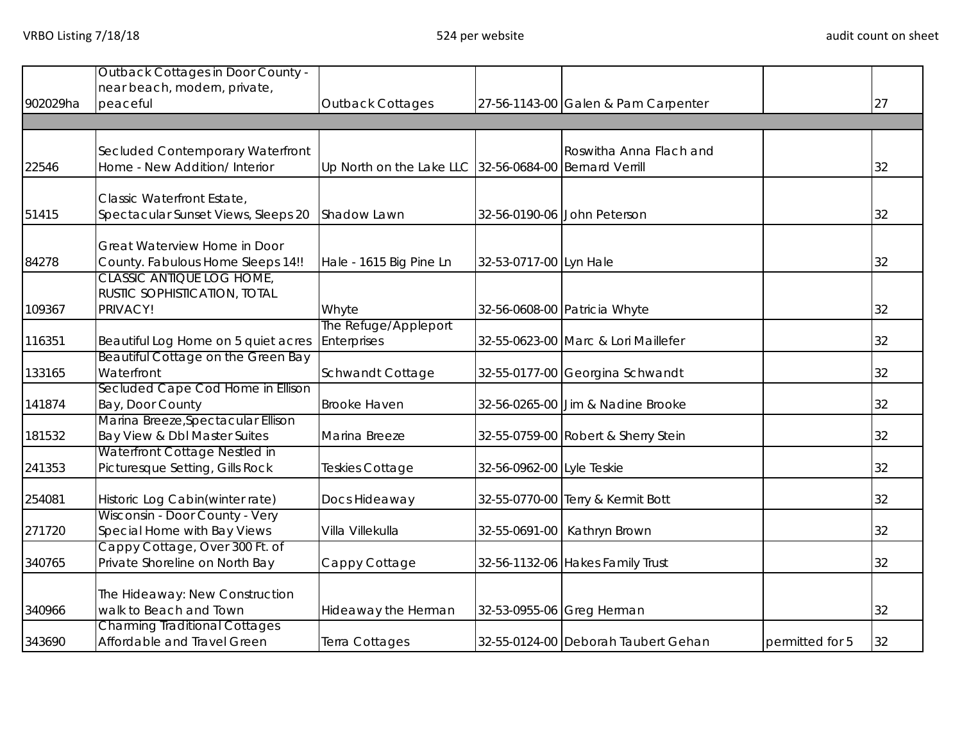|          | Outback Cottages in Door County -                              |                                                        |                           |                                     |                 |    |
|----------|----------------------------------------------------------------|--------------------------------------------------------|---------------------------|-------------------------------------|-----------------|----|
| 902029ha | near beach, modern, private,<br>peaceful                       | <b>Outback Cottages</b>                                |                           | 27-56-1143-00 Galen & Pam Carpenter |                 | 27 |
|          |                                                                |                                                        |                           |                                     |                 |    |
|          |                                                                |                                                        |                           |                                     |                 |    |
|          | Secluded Contemporary Waterfront                               |                                                        |                           | Roswitha Anna Flach and             |                 |    |
| 22546    | Home - New Addition/ Interior                                  | Up North on the Lake LLC 32-56-0684-00 Bernard Verrill |                           |                                     |                 | 32 |
|          | Classic Waterfront Estate,                                     |                                                        |                           |                                     |                 |    |
| 51415    | Spectacular Sunset Views, Sleeps 20                            | Shadow Lawn                                            |                           | 32-56-0190-06 John Peterson         |                 | 32 |
|          |                                                                |                                                        |                           |                                     |                 |    |
|          | Great Waterview Home in Door                                   |                                                        |                           |                                     |                 |    |
| 84278    | County. Fabulous Home Sleeps 14!!<br>CLASSIC ANTIQUE LOG HOME, | Hale - 1615 Big Pine Ln                                | 32-53-0717-00 Lyn Hale    |                                     |                 | 32 |
|          | RUSTIC SOPHISTICATION, TOTAL                                   |                                                        |                           |                                     |                 |    |
| 109367   | PRIVACY!                                                       | Whyte                                                  |                           | 32-56-0608-00 Patricia Whyte        |                 | 32 |
|          |                                                                | The Refuge/Appleport                                   |                           |                                     |                 |    |
| 116351   | Beautiful Log Home on 5 quiet acres                            | <b>Enterprises</b>                                     |                           | 32-55-0623-00 Marc & Lori Maillefer |                 | 32 |
|          | Beautiful Cottage on the Green Bay                             |                                                        |                           |                                     |                 |    |
| 133165   | Waterfront                                                     | Schwandt Cottage                                       |                           | 32-55-0177-00 Georgina Schwandt     |                 | 32 |
|          | Secluded Cape Cod Home in Ellison                              |                                                        |                           |                                     |                 |    |
| 141874   | Bay, Door County<br>Marina Breeze, Spectacular Ellison         | <b>Brooke Haven</b>                                    |                           | 32-56-0265-00 Jim & Nadine Brooke   |                 | 32 |
| 181532   | Bay View & Dbl Master Suites                                   | Marina Breeze                                          |                           | 32-55-0759-00 Robert & Sherry Stein |                 | 32 |
|          | Waterfront Cottage Nestled in                                  |                                                        |                           |                                     |                 |    |
| 241353   | Picturesque Setting, Gills Rock                                | Teskies Cottage                                        | 32-56-0962-00 Lyle Teskie |                                     |                 | 32 |
| 254081   | Historic Log Cabin(winter rate)                                | Docs Hideaway                                          |                           | 32-55-0770-00 Terry & Kermit Bott   |                 | 32 |
|          | Wisconsin - Door County - Very                                 |                                                        |                           |                                     |                 |    |
| 271720   | Special Home with Bay Views                                    | Villa Villekulla                                       |                           | 32-55-0691-00 Kathryn Brown         |                 | 32 |
|          | Cappy Cottage, Over 300 Ft. of                                 |                                                        |                           |                                     |                 |    |
| 340765   | Private Shoreline on North Bay                                 | Cappy Cottage                                          |                           | 32-56-1132-06 Hakes Family Trust    |                 | 32 |
|          | The Hideaway: New Construction                                 |                                                        |                           |                                     |                 |    |
| 340966   | walk to Beach and Town                                         | Hideaway the Herman                                    |                           | 32-53-0955-06 Greg Herman           |                 | 32 |
|          | <b>Charming Traditional Cottages</b>                           |                                                        |                           |                                     |                 |    |
| 343690   | Affordable and Travel Green                                    | Terra Cottages                                         |                           | 32-55-0124-00 Deborah Taubert Gehan | permitted for 5 | 32 |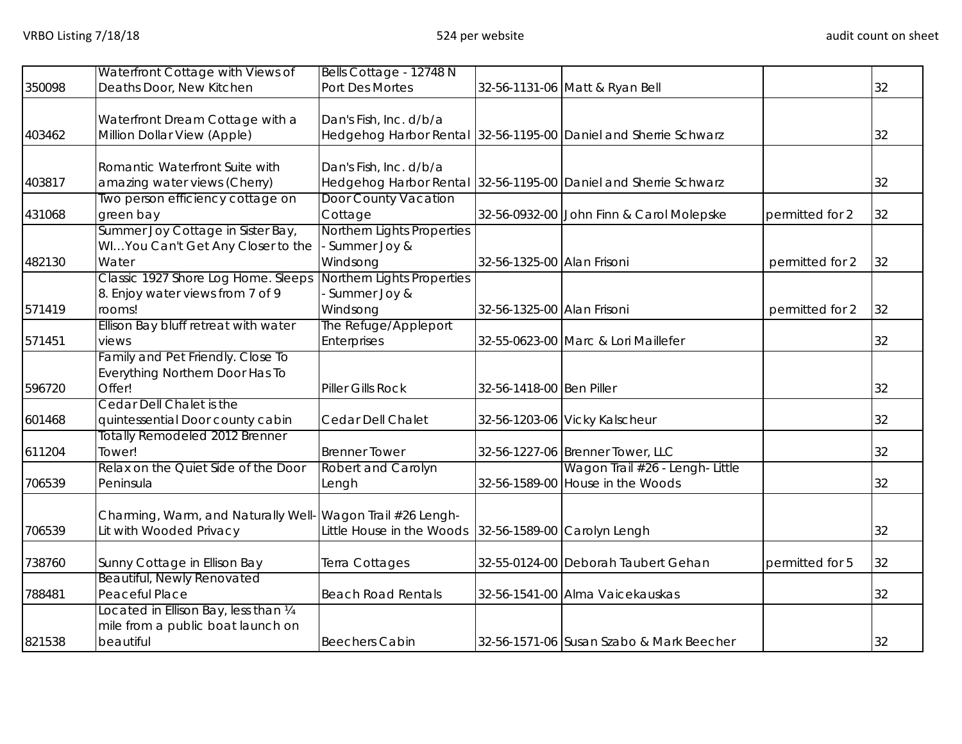|        | Waterfront Cottage with Views of                           | Bells Cottage - 12748 N    |                            |                                                                 |                 |    |
|--------|------------------------------------------------------------|----------------------------|----------------------------|-----------------------------------------------------------------|-----------------|----|
| 350098 | Deaths Door, New Kitchen                                   | Port Des Mortes            |                            | 32-56-1131-06 Matt & Ryan Bell                                  |                 | 32 |
|        |                                                            |                            |                            |                                                                 |                 |    |
|        | Waterfront Dream Cottage with a                            | Dan's Fish, Inc. d/b/a     |                            |                                                                 |                 |    |
| 403462 | Million Dollar View (Apple)                                |                            |                            | Hedgehog Harbor Rental 32-56-1195-00 Daniel and Sherrie Schwarz |                 | 32 |
|        |                                                            |                            |                            |                                                                 |                 |    |
|        | Romantic Waterfront Suite with                             | Dan's Fish, Inc. d/b/a     |                            |                                                                 |                 |    |
| 403817 | amazing water views (Cherry)                               |                            |                            | Hedgehog Harbor Rental 32-56-1195-00 Daniel and Sherrie Schwarz |                 | 32 |
|        | Two person efficiency cottage on                           | Door County Vacation       |                            |                                                                 |                 |    |
| 431068 | green bay                                                  | Cottage                    |                            | 32-56-0932-00 John Finn & Carol Molepske                        | permitted for 2 | 32 |
|        | Summer Joy Cottage in Sister Bay,                          | Northern Lights Properties |                            |                                                                 |                 |    |
|        | WIYou Can't Get Any Closer to the                          | - Summer Joy &             |                            |                                                                 |                 |    |
| 482130 | Water                                                      | Windsong                   | 32-56-1325-00 Alan Frisoni |                                                                 | permitted for 2 | 32 |
|        | Classic 1927 Shore Log Home. Sleeps                        | Northern Lights Properties |                            |                                                                 |                 |    |
|        | 8. Enjoy water views from 7 of 9                           | - Summer Joy &             |                            |                                                                 |                 |    |
| 571419 | rooms!                                                     | Windsong                   | 32-56-1325-00 Alan Frisoni |                                                                 | permitted for 2 | 32 |
|        | Ellison Bay bluff retreat with water                       | The Refuge/Appleport       |                            |                                                                 |                 |    |
| 571451 | views                                                      | Enterprises                |                            | 32-55-0623-00 Marc & Lori Maillefer                             |                 | 32 |
|        | Family and Pet Friendly. Close To                          |                            |                            |                                                                 |                 |    |
|        | Everything Northern Door Has To                            |                            |                            |                                                                 |                 |    |
| 596720 | Offer!                                                     | Piller Gills Rock          | 32-56-1418-00 Ben Piller   |                                                                 |                 | 32 |
|        | Cedar Dell Chalet is the                                   |                            |                            |                                                                 |                 |    |
| 601468 | quintessential Door county cabin                           | Cedar Dell Chalet          |                            | 32-56-1203-06 Vicky Kalscheur                                   |                 | 32 |
|        | <b>Totally Remodeled 2012 Brenner</b>                      |                            |                            |                                                                 |                 |    |
| 611204 | Tower!                                                     | <b>Brenner Tower</b>       |                            | 32-56-1227-06 Brenner Tower, LLC                                |                 | 32 |
|        | Relax on the Quiet Side of the Door                        | <b>Robert and Carolyn</b>  |                            | Wagon Trail #26 - Lengh- Little                                 |                 |    |
| 706539 | Peninsula                                                  | Lengh                      |                            | 32-56-1589-00 House in the Woods                                |                 | 32 |
|        |                                                            |                            |                            |                                                                 |                 |    |
|        | Charming, Warm, and Naturally Well- Wagon Trail #26 Lengh- |                            |                            |                                                                 |                 |    |
| 706539 | Lit with Wooded Privacy                                    | Little House in the Woods  |                            | 32-56-1589-00 Carolyn Lengh                                     |                 | 32 |
|        |                                                            |                            |                            |                                                                 |                 |    |
| 738760 | Sunny Cottage in Ellison Bay                               | Terra Cottages             |                            | 32-55-0124-00 Deborah Taubert Gehan                             | permitted for 5 | 32 |
|        | Beautiful, Newly Renovated                                 |                            |                            |                                                                 |                 |    |
| 788481 | Peaceful Place                                             | <b>Beach Road Rentals</b>  |                            | 32-56-1541-00 Alma Vaicekauskas                                 |                 | 32 |
|        | Located in Ellison Bay, less than 1/4                      |                            |                            |                                                                 |                 |    |
|        | mile from a public boat launch on                          |                            |                            |                                                                 |                 |    |
| 821538 | beautiful                                                  | <b>Beechers Cabin</b>      |                            | 32-56-1571-06 Susan Szabo & Mark Beecher                        |                 | 32 |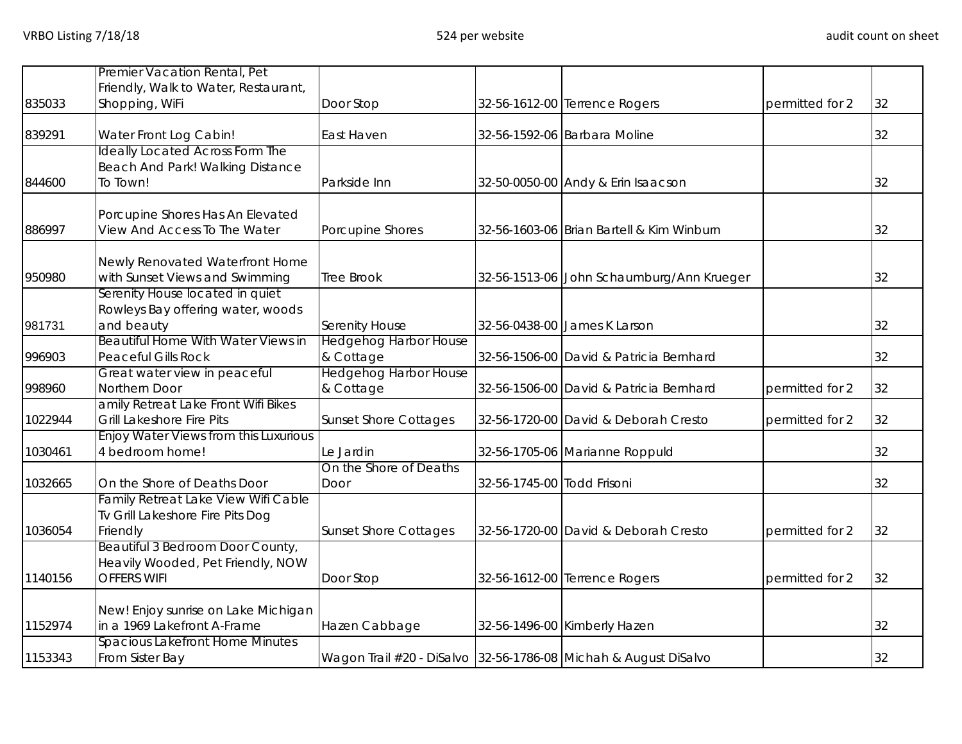|         | Premier Vacation Rental, Pet                                                                |                                                                 |                            |                                           |                 |    |
|---------|---------------------------------------------------------------------------------------------|-----------------------------------------------------------------|----------------------------|-------------------------------------------|-----------------|----|
| 835033  | Friendly, Walk to Water, Restaurant,<br>Shopping, WiFi                                      | Door Stop                                                       |                            | 32-56-1612-00 Terrence Rogers             | permitted for 2 | 32 |
| 839291  | Water Front Log Cabin!                                                                      | East Haven                                                      |                            | 32-56-1592-06 Barbara Moline              |                 | 32 |
| 844600  | <b>Ideally Located Across Form The</b><br>Beach And Park! Walking Distance<br>To Town!      | Parkside Inn                                                    |                            | 32-50-0050-00 Andy & Erin Isaacson        |                 | 32 |
| 886997  | Porcupine Shores Has An Elevated<br>View And Access To The Water                            | Porcupine Shores                                                |                            | 32-56-1603-06 Brian Bartell & Kim Winburn |                 | 32 |
| 950980  | Newly Renovated Waterfront Home<br>with Sunset Views and Swimming                           | <b>Tree Brook</b>                                               |                            | 32-56-1513-06 John Schaumburg/Ann Krueger |                 | 32 |
| 981731  | Serenity House located in quiet<br>Rowleys Bay offering water, woods<br>and beauty          | <b>Serenity House</b>                                           |                            | 32-56-0438-00 James K Larson              |                 | 32 |
| 996903  | Beautiful Home With Water Views in<br><b>Peaceful Gills Rock</b>                            | <b>Hedgehog Harbor House</b><br>& Cottage                       |                            | 32-56-1506-00 David & Patricia Bernhard   |                 | 32 |
| 998960  | Great water view in peaceful<br>Northern Door                                               | <b>Hedgehog Harbor House</b><br>& Cottage                       |                            | 32-56-1506-00 David & Patricia Bernhard   | permitted for 2 | 32 |
| 1022944 | amily Retreat Lake Front Wifi Bikes<br><b>Grill Lakeshore Fire Pits</b>                     | <b>Sunset Shore Cottages</b>                                    |                            | 32-56-1720-00 David & Deborah Cresto      | permitted for 2 | 32 |
| 1030461 | <b>Enjoy Water Views from this Luxurious</b><br>4 bedroom home!                             | Le Jardin                                                       |                            | 32-56-1705-06 Marianne Roppuld            |                 | 32 |
| 1032665 | On the Shore of Deaths Door                                                                 | On the Shore of Deaths<br>Door                                  | 32-56-1745-00 Todd Frisoni |                                           |                 | 32 |
| 1036054 | Family Retreat Lake View Wifi Cable<br>Tv Grill Lakeshore Fire Pits Dog<br>Friendly         | <b>Sunset Shore Cottages</b>                                    |                            | 32-56-1720-00 David & Deborah Cresto      | permitted for 2 | 32 |
| 1140156 | Beautiful 3 Bedroom Door County,<br>Heavily Wooded, Pet Friendly, NOW<br><b>OFFERS WIFI</b> | Door Stop                                                       |                            | 32-56-1612-00 Terrence Rogers             | permitted for 2 | 32 |
| 1152974 | New! Enjoy sunrise on Lake Michigan<br>in a 1969 Lakefront A-Frame                          | Hazen Cabbage                                                   |                            | 32-56-1496-00 Kimberly Hazen              |                 | 32 |
| 1153343 | <b>Spacious Lakefront Home Minutes</b><br>From Sister Bay                                   | Wagon Trail #20 - DiSalvo 32-56-1786-08 Michah & August DiSalvo |                            |                                           |                 | 32 |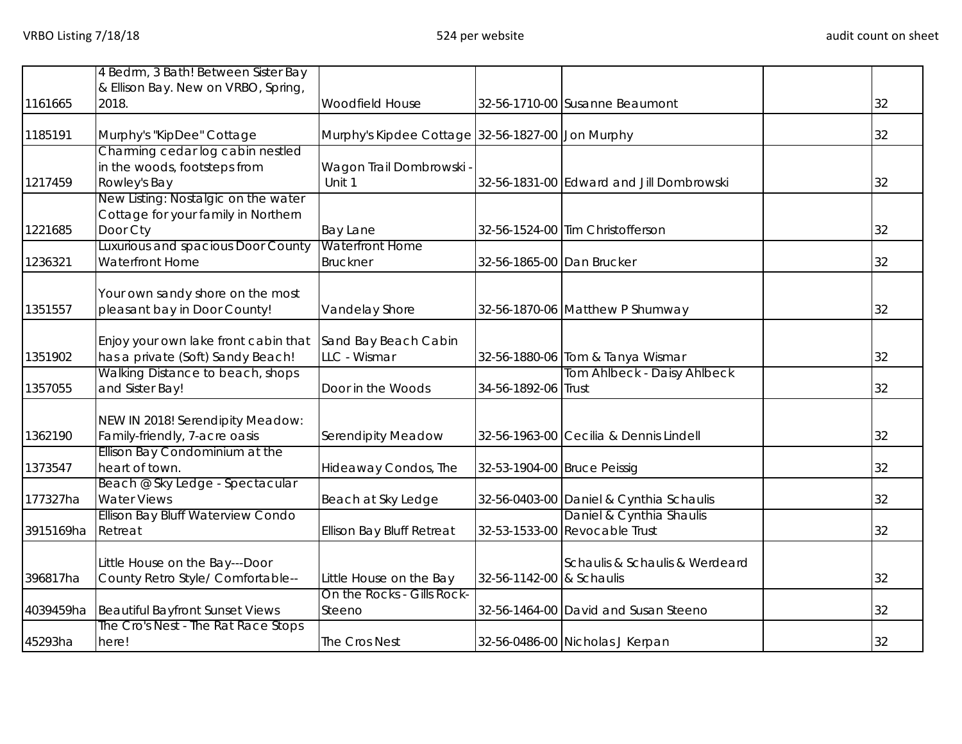|           | 4 Bedrm, 3 Bath! Between Sister Bay                                                    |                                                  |                             |                                                           |    |
|-----------|----------------------------------------------------------------------------------------|--------------------------------------------------|-----------------------------|-----------------------------------------------------------|----|
| 1161665   | & Ellison Bay. New on VRBO, Spring,<br>2018.                                           | Woodfield House                                  |                             | 32-56-1710-00 Susanne Beaumont                            | 32 |
| 1185191   | Murphy's "KipDee" Cottage                                                              | Murphy's Kipdee Cottage 32-56-1827-00 Jon Murphy |                             |                                                           | 32 |
| 1217459   | Charming cedar log cabin nestled<br>in the woods, footsteps from<br>Rowley's Bay       | Wagon Trail Dombrowski -<br>Unit 1               |                             | 32-56-1831-00 Edward and Jill Dombrowski                  | 32 |
| 1221685   | New Listing: Nostalgic on the water<br>Cottage for your family in Northern<br>Door Cty | <b>Bay Lane</b>                                  |                             | 32-56-1524-00 Tim Christofferson                          | 32 |
| 1236321   | Luxurious and spacious Door County<br>Waterfront Home                                  | <b>Waterfront Home</b><br><b>Bruckner</b>        | 32-56-1865-00 Dan Brucker   |                                                           | 32 |
| 1351557   | Your own sandy shore on the most<br>pleasant bay in Door County!                       | Vandelay Shore                                   |                             | 32-56-1870-06 Matthew P Shumway                           | 32 |
| 1351902   | Enjoy your own lake front cabin that<br>has a private (Soft) Sandy Beach!              | Sand Bay Beach Cabin<br>LLC - Wismar             |                             | 32-56-1880-06 Tom & Tanya Wismar                          | 32 |
| 1357055   | Walking Distance to beach, shops<br>and Sister Bay!                                    | Door in the Woods                                | 34-56-1892-06 Trust         | Tom Ahlbeck - Daisy Ahlbeck                               | 32 |
| 1362190   | NEW IN 2018! Serendipity Meadow:<br>Family-friendly, 7-acre oasis                      | <b>Serendipity Meadow</b>                        |                             | 32-56-1963-00 Cecilia & Dennis Lindell                    | 32 |
| 1373547   | Ellison Bay Condominium at the<br>heart of town.                                       | Hideaway Condos, The                             | 32-53-1904-00 Bruce Peissig |                                                           | 32 |
| 177327ha  | Beach @ Sky Ledge - Spectacular<br><b>Water Views</b>                                  | Beach at Sky Ledge                               |                             | 32-56-0403-00 Daniel & Cynthia Schaulis                   | 32 |
| 3915169ha | Ellison Bay Bluff Waterview Condo<br>Retreat                                           | <b>Ellison Bay Bluff Retreat</b>                 |                             | Daniel & Cynthia Shaulis<br>32-53-1533-00 Revocable Trust | 32 |
| 396817ha  | Little House on the Bay---Door<br>County Retro Style/ Comfortable--                    | Little House on the Bay                          | 32-56-1142-00 & Schaulis    | Schaulis & Schaulis & Werdeard                            | 32 |
| 4039459ha | <b>Beautiful Bayfront Sunset Views</b>                                                 | On the Rocks - Gills Rock-<br>Steeno             |                             | 32-56-1464-00 David and Susan Steeno                      | 32 |
| 45293ha   | The Cro's Nest - The Rat Race Stops<br>here!                                           | The Cros Nest                                    |                             | 32-56-0486-00 Nicholas J Kerpan                           | 32 |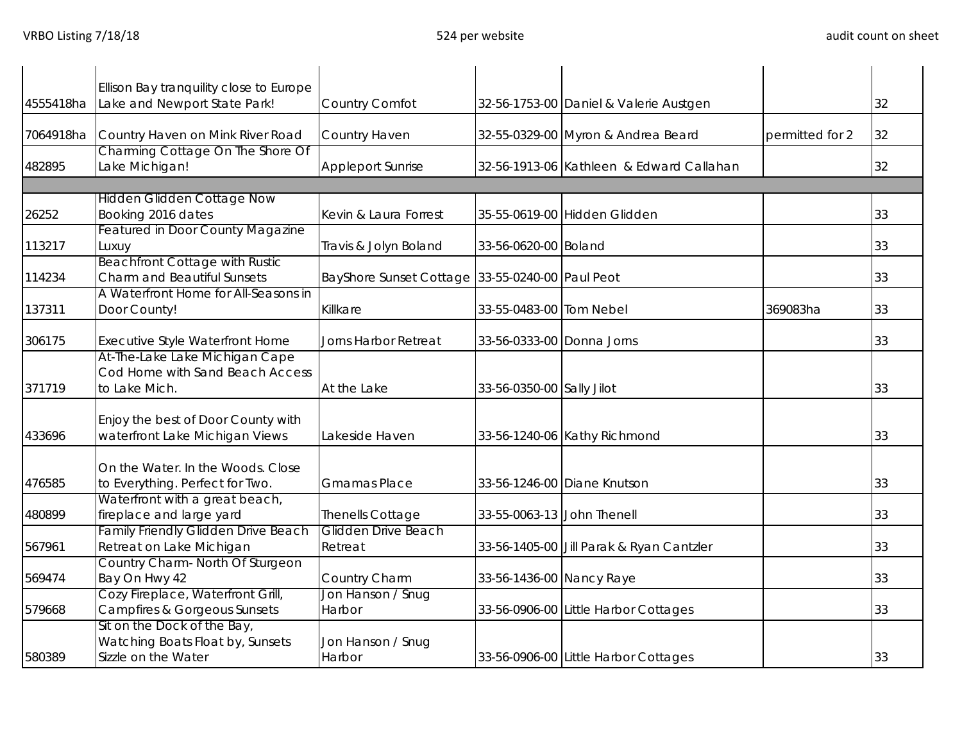| 4555418ha | Ellison Bay tranquility close to Europe<br>Lake and Newport State Park! | Country Comfot                                  |                            |                                          |                 | 32 |
|-----------|-------------------------------------------------------------------------|-------------------------------------------------|----------------------------|------------------------------------------|-----------------|----|
|           |                                                                         |                                                 |                            | 32-56-1753-00 Daniel & Valerie Austgen   |                 |    |
| 7064918ha | Country Haven on Mink River Road                                        | Country Haven                                   |                            | 32-55-0329-00 Myron & Andrea Beard       | permitted for 2 | 32 |
|           | Charming Cottage On The Shore Of                                        |                                                 |                            |                                          |                 |    |
| 482895    | Lake Michigan!                                                          | <b>Appleport Sunrise</b>                        |                            | 32-56-1913-06 Kathleen & Edward Callahan |                 | 32 |
|           | <b>Hidden Glidden Cottage Now</b>                                       |                                                 |                            |                                          |                 |    |
| 26252     | Booking 2016 dates                                                      | Kevin & Laura Forrest                           |                            | 35-55-0619-00 Hidden Glidden             |                 | 33 |
|           | Featured in Door County Magazine                                        |                                                 |                            |                                          |                 |    |
| 113217    | Luxuy                                                                   | Travis & Jolyn Boland                           | 33-56-0620-00 Boland       |                                          |                 | 33 |
|           | <b>Beachfront Cottage with Rustic</b>                                   |                                                 |                            |                                          |                 |    |
| 114234    | <b>Charm and Beautiful Sunsets</b>                                      | BayShore Sunset Cottage 33-55-0240-00 Paul Peot |                            |                                          |                 | 33 |
|           | A Waterfront Home for All-Seasons in                                    |                                                 |                            |                                          |                 |    |
| 137311    | Door County!                                                            | Killkare                                        | 33-55-0483-00 Tom Nebel    |                                          | 369083ha        | 33 |
| 306175    | Executive Style Waterfront Home                                         | Jorns Harbor Retreat                            | 33-56-0333-00 Donna Jorns  |                                          |                 | 33 |
|           | At-The-Lake Lake Michigan Cape                                          |                                                 |                            |                                          |                 |    |
|           | Cod Home with Sand Beach Access                                         |                                                 |                            |                                          |                 |    |
| 371719    | to Lake Mich.                                                           | At the Lake                                     | 33-56-0350-00 Sally Jilot  |                                          |                 | 33 |
|           |                                                                         |                                                 |                            |                                          |                 |    |
|           | Enjoy the best of Door County with                                      |                                                 |                            |                                          |                 |    |
| 433696    | waterfront Lake Michigan Views                                          | Lakeside Haven                                  |                            | 33-56-1240-06 Kathy Richmond             |                 | 33 |
|           |                                                                         |                                                 |                            |                                          |                 |    |
|           | On the Water. In the Woods. Close                                       |                                                 |                            |                                          |                 |    |
| 476585    | to Everything. Perfect for Two.                                         | <b>Gmamas Place</b>                             |                            | 33-56-1246-00 Diane Knutson              |                 | 33 |
|           | Waterfront with a great beach,                                          |                                                 |                            |                                          |                 |    |
| 480899    | fireplace and large yard<br>Family Friendly Glidden Drive Beach         | Thenells Cottage<br>Glidden Drive Beach         | 33-55-0063-13 John Thenell |                                          |                 | 33 |
| 567961    | Retreat on Lake Michigan                                                | Retreat                                         |                            | 33-56-1405-00 Jill Parak & Ryan Cantzler |                 | 33 |
|           | Country Charm- North Of Sturgeon                                        |                                                 |                            |                                          |                 |    |
| 569474    | Bay On Hwy 42                                                           | Country Charm                                   | 33-56-1436-00 Nancy Raye   |                                          |                 | 33 |
|           | Cozy Fireplace, Waterfront Grill,                                       | Jon Hanson / Snug                               |                            |                                          |                 |    |
| 579668    | Campfires & Gorgeous Sunsets                                            | Harbor                                          |                            | 33-56-0906-00 Little Harbor Cottages     |                 | 33 |
|           | Sit on the Dock of the Bay,                                             |                                                 |                            |                                          |                 |    |
|           | Watching Boats Float by, Sunsets                                        | Jon Hanson / Snug                               |                            |                                          |                 |    |
| 580389    | Sizzle on the Water                                                     | Harbor                                          |                            | 33-56-0906-00 Little Harbor Cottages     |                 | 33 |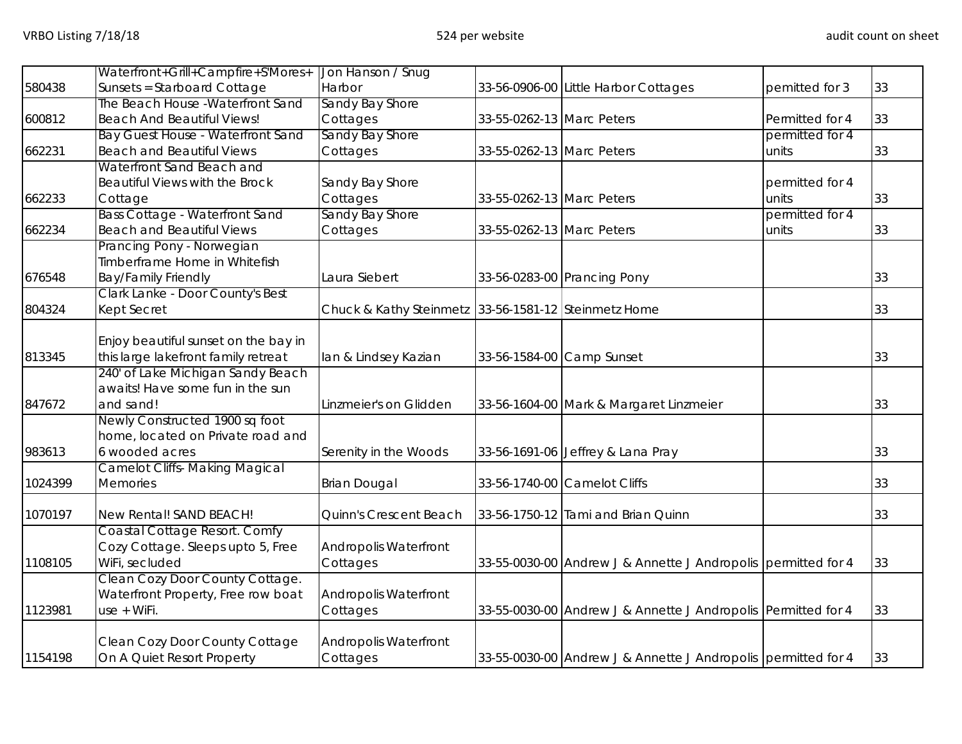|         | Waterfront+Grill+Campfire+S'Mores+    | Jon Hanson / Snug                                    |                           |                                                               |                 |    |
|---------|---------------------------------------|------------------------------------------------------|---------------------------|---------------------------------------------------------------|-----------------|----|
| 580438  | Sunsets = Starboard Cottage           | Harbor                                               |                           | 33-56-0906-00 Little Harbor Cottages                          | pemitted for 3  | 33 |
|         | The Beach House - Waterfront Sand     | Sandy Bay Shore                                      |                           |                                                               |                 |    |
| 600812  | <b>Beach And Beautiful Views!</b>     | Cottages                                             | 33-55-0262-13 Marc Peters |                                                               | Permitted for 4 | 33 |
|         | Bay Guest House - Waterfront Sand     | Sandy Bay Shore                                      |                           |                                                               | permitted for 4 |    |
| 662231  | <b>Beach and Beautiful Views</b>      | Cottages                                             | 33-55-0262-13 Marc Peters |                                                               | units           | 33 |
|         | Waterfront Sand Beach and             |                                                      |                           |                                                               |                 |    |
|         | Beautiful Views with the Brock        | Sandy Bay Shore                                      |                           |                                                               | permitted for 4 |    |
| 662233  | Cottage                               | Cottages                                             | 33-55-0262-13 Marc Peters |                                                               | units           | 33 |
|         | <b>Bass Cottage - Waterfront Sand</b> | Sandy Bay Shore                                      |                           |                                                               | permitted for 4 |    |
| 662234  | <b>Beach and Beautiful Views</b>      | Cottages                                             | 33-55-0262-13 Marc Peters |                                                               | units           | 33 |
|         | Prancing Pony - Norwegian             |                                                      |                           |                                                               |                 |    |
|         | Timberframe Home in Whitefish         |                                                      |                           |                                                               |                 |    |
| 676548  | <b>Bay/Family Friendly</b>            | Laura Siebert                                        |                           | 33-56-0283-00 Prancing Pony                                   |                 | 33 |
|         | Clark Lanke - Door County's Best      |                                                      |                           |                                                               |                 |    |
| 804324  | Kept Secret                           | Chuck & Kathy Steinmetz 33-56-1581-12 Steinmetz Home |                           |                                                               |                 | 33 |
|         |                                       |                                                      |                           |                                                               |                 |    |
|         | Enjoy beautiful sunset on the bay in  |                                                      |                           |                                                               |                 |    |
| 813345  | this large lakefront family retreat   | lan & Lindsey Kazian                                 | 33-56-1584-00 Camp Sunset |                                                               |                 | 33 |
|         | 240' of Lake Michigan Sandy Beach     |                                                      |                           |                                                               |                 |    |
|         | awaits! Have some fun in the sun      |                                                      |                           |                                                               |                 |    |
| 847672  | and sand!                             | Linzmeier's on Glidden                               |                           | 33-56-1604-00 Mark & Margaret Linzmeier                       |                 | 33 |
|         | Newly Constructed 1900 sq foot        |                                                      |                           |                                                               |                 |    |
|         | home, located on Private road and     |                                                      |                           |                                                               |                 |    |
| 983613  | 6 wooded acres                        | Serenity in the Woods                                |                           | 33-56-1691-06 Jeffrey & Lana Pray                             |                 | 33 |
|         | <b>Camelot Cliffs- Making Magical</b> |                                                      |                           |                                                               |                 |    |
| 1024399 | <b>Memories</b>                       | <b>Brian Dougal</b>                                  |                           | 33-56-1740-00 Camelot Cliffs                                  |                 | 33 |
| 1070197 | New Rental! SAND BEACH!               | Quinn's Crescent Beach                               |                           | 33-56-1750-12 Tami and Brian Quinn                            |                 | 33 |
|         | Coastal Cottage Resort. Comfy         |                                                      |                           |                                                               |                 |    |
|         | Cozy Cottage. Sleeps upto 5, Free     | Andropolis Waterfront                                |                           |                                                               |                 |    |
| 1108105 | WiFi, secluded                        | Cottages                                             |                           | 33-55-0030-00 Andrew J & Annette J Andropolis permitted for 4 |                 | 33 |
|         | Clean Cozy Door County Cottage.       |                                                      |                           |                                                               |                 |    |
|         | Waterfront Property, Free row boat    | <b>Andropolis Waterfront</b>                         |                           |                                                               |                 |    |
| 1123981 | use + WiFi.                           | Cottages                                             |                           | 33-55-0030-00 Andrew J & Annette J Andropolis Permitted for 4 |                 | 33 |
|         |                                       |                                                      |                           |                                                               |                 |    |
|         | Clean Cozy Door County Cottage        | Andropolis Waterfront                                |                           |                                                               |                 |    |
| 1154198 | On A Quiet Resort Property            | Cottages                                             |                           | 33-55-0030-00 Andrew J & Annette J Andropolis permitted for 4 |                 | 33 |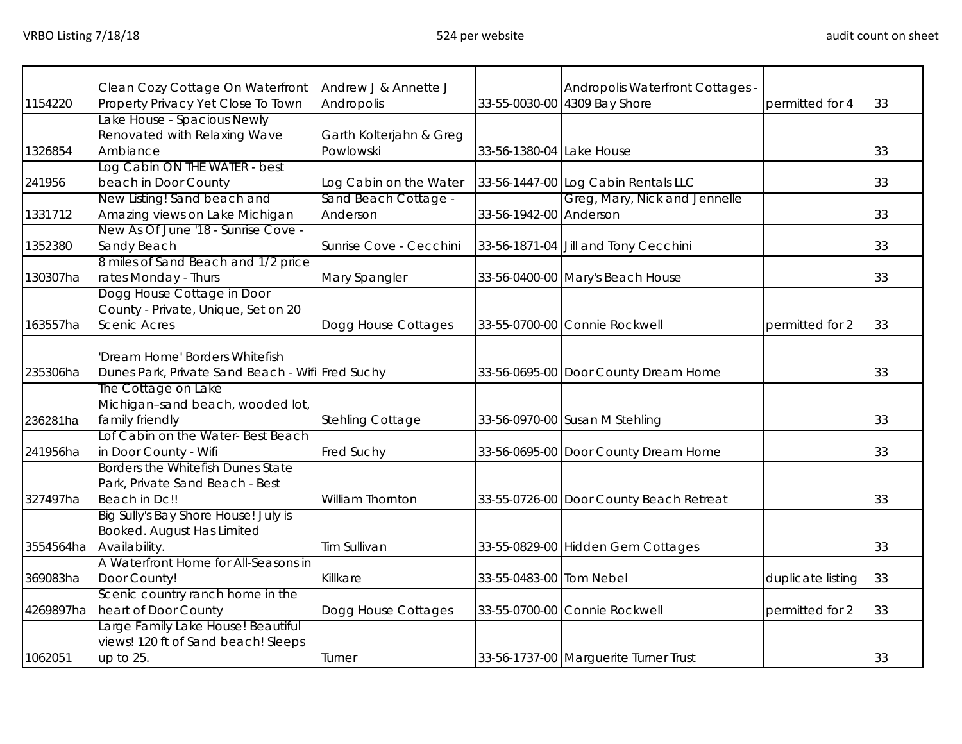|           | Clean Cozy Cottage On Waterfront                 | Andrew J & Annette J    |                          | Andropolis Waterfront Cottages -        |                   |    |
|-----------|--------------------------------------------------|-------------------------|--------------------------|-----------------------------------------|-------------------|----|
| 1154220   | Property Privacy Yet Close To Town               | Andropolis              |                          | 33-55-0030-00 4309 Bay Shore            | permitted for 4   | 33 |
|           | Lake House - Spacious Newly                      |                         |                          |                                         |                   |    |
|           | Renovated with Relaxing Wave                     | Garth Kolterjahn & Greg |                          |                                         |                   |    |
| 1326854   | Ambiance                                         | Powlowski               | 33-56-1380-04 Lake House |                                         |                   | 33 |
|           | Log Cabin ON THE WATER - best                    |                         |                          |                                         |                   |    |
| 241956    | beach in Door County                             | Log Cabin on the Water  |                          | 33-56-1447-00 Log Cabin Rentals LLC     |                   | 33 |
|           | New Listing! Sand beach and                      | Sand Beach Cottage -    |                          | Greg, Mary, Nick and Jennelle           |                   |    |
| 1331712   | Amazing views on Lake Michigan                   | Anderson                | 33-56-1942-00 Anderson   |                                         |                   | 33 |
|           | New As Of June '18 - Sunrise Cove -              |                         |                          |                                         |                   |    |
| 1352380   | Sandy Beach                                      | Sunrise Cove - Cecchini |                          | 33-56-1871-04 Jill and Tony Cecchini    |                   | 33 |
|           | 8 miles of Sand Beach and 1/2 price              |                         |                          |                                         |                   |    |
| 130307ha  | rates Monday - Thurs                             | Mary Spangler           |                          | 33-56-0400-00 Mary's Beach House        |                   | 33 |
|           | Dogg House Cottage in Door                       |                         |                          |                                         |                   |    |
|           | County - Private, Unique, Set on 20              |                         |                          |                                         |                   |    |
| 163557ha  | <b>Scenic Acres</b>                              | Dogg House Cottages     |                          | 33-55-0700-00 Connie Rockwell           | permitted for 2   | 33 |
|           |                                                  |                         |                          |                                         |                   |    |
|           | 'Dream Home' Borders Whitefish                   |                         |                          |                                         |                   |    |
| 235306ha  | Dunes Park, Private Sand Beach - Wifi Fred Suchy |                         |                          | 33-56-0695-00 Door County Dream Home    |                   | 33 |
|           | The Cottage on Lake                              |                         |                          |                                         |                   |    |
|           | Michigan-sand beach, wooded lot,                 |                         |                          |                                         |                   |    |
| 236281ha  | family friendly                                  | Stehling Cottage        |                          | 33-56-0970-00 Susan M Stehling          |                   | 33 |
|           | Lof Cabin on the Water-Best Beach                |                         |                          |                                         |                   |    |
| 241956ha  | in Door County - Wifi                            | <b>Fred Suchy</b>       |                          | 33-56-0695-00 Door County Dream Home    |                   | 33 |
|           | Borders the Whitefish Dunes State                |                         |                          |                                         |                   |    |
|           | Park, Private Sand Beach - Best                  |                         |                          |                                         |                   |    |
| 327497ha  | Beach in Dc!!                                    | <b>William Thornton</b> |                          | 33-55-0726-00 Door County Beach Retreat |                   | 33 |
|           | Big Sully's Bay Shore House! July is             |                         |                          |                                         |                   |    |
|           | Booked. August Has Limited                       |                         |                          |                                         |                   |    |
| 3554564ha | Availability.                                    | <b>Tim Sullivan</b>     |                          | 33-55-0829-00 Hidden Gem Cottages       |                   | 33 |
|           | A Waterfront Home for All-Seasons in             |                         |                          |                                         |                   |    |
| 369083ha  | Door County!                                     | Killkare                | 33-55-0483-00 Tom Nebel  |                                         | duplicate listing | 33 |
|           | Scenic country ranch home in the                 |                         |                          |                                         |                   |    |
| 4269897ha | heart of Door County                             | Dogg House Cottages     |                          | 33-55-0700-00 Connie Rockwell           | permitted for 2   | 33 |
|           | Large Family Lake House! Beautiful               |                         |                          |                                         |                   |    |
|           |                                                  |                         |                          |                                         |                   |    |
|           | views! 120 ft of Sand beach! Sleeps              |                         |                          |                                         |                   |    |
| 1062051   | up to 25.                                        | Turner                  |                          | 33-56-1737-00 Marguerite Turner Trust   |                   | 33 |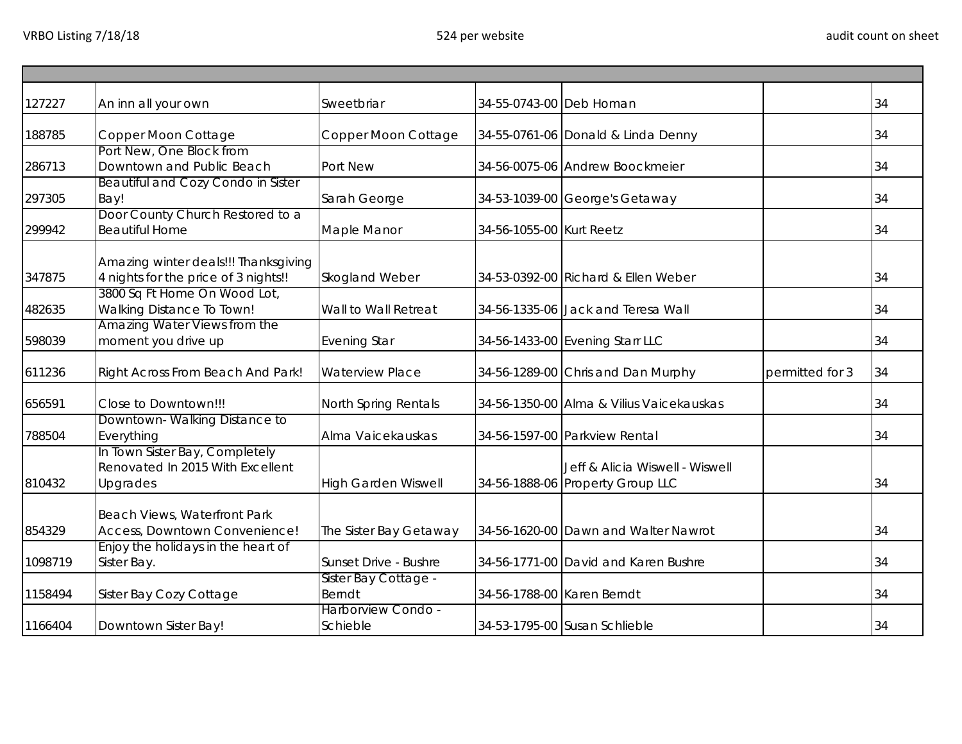| 127227  | An inn all your own                                                                                          | Sweetbriar                     | 34-55-0743-00 Deb Homan    |                                                                     |                 | 34 |
|---------|--------------------------------------------------------------------------------------------------------------|--------------------------------|----------------------------|---------------------------------------------------------------------|-----------------|----|
| 188785  | Copper Moon Cottage                                                                                          | Copper Moon Cottage            |                            | 34-55-0761-06 Donald & Linda Denny                                  |                 | 34 |
| 286713  | Port New, One Block from<br>Downtown and Public Beach                                                        | Port New                       |                            | 34-56-0075-06 Andrew Boockmeier                                     |                 | 34 |
| 297305  | Beautiful and Cozy Condo in Sister<br>Bay!                                                                   | Sarah George                   |                            | 34-53-1039-00 George's Getaway                                      |                 | 34 |
| 299942  | Door County Church Restored to a<br><b>Beautiful Home</b>                                                    | Maple Manor                    | 34-56-1055-00 Kurt Reetz   |                                                                     |                 | 34 |
| 347875  | Amazing winter deals!!! Thanksgiving<br>4 nights for the price of 3 nights!!<br>3800 Sq Ft Home On Wood Lot, | Skogland Weber                 |                            | 34-53-0392-00 Richard & Ellen Weber                                 |                 | 34 |
| 482635  | Walking Distance To Town!                                                                                    | Wall to Wall Retreat           |                            | 34-56-1335-06 Jack and Teresa Wall                                  |                 | 34 |
| 598039  | Amazing Water Views from the<br>moment you drive up                                                          | <b>Evening Star</b>            |                            | 34-56-1433-00 Evening Starr LLC                                     |                 | 34 |
| 611236  | Right Across From Beach And Park!                                                                            | <b>Waterview Place</b>         |                            | 34-56-1289-00 Chris and Dan Murphy                                  | permitted for 3 | 34 |
| 656591  | Close to Downtown!!!                                                                                         | North Spring Rentals           |                            | 34-56-1350-00 Alma & Vilius Vaicekauskas                            |                 | 34 |
| 788504  | Downtown-Walking Distance to<br>Everything                                                                   | Alma Vaicekauskas              |                            | 34-56-1597-00 Parkview Rental                                       |                 | 34 |
| 810432  | In Town Sister Bay, Completely<br>Renovated In 2015 With Excellent<br>Upgrades                               | <b>High Garden Wiswell</b>     |                            | Jeff & Alicia Wiswell - Wiswell<br>34-56-1888-06 Property Group LLC |                 | 34 |
| 854329  | Beach Views, Waterfront Park<br>Access, Downtown Convenience!                                                | The Sister Bay Getaway         |                            | 34-56-1620-00 Dawn and Walter Nawrot                                |                 | 34 |
| 1098719 | Enjoy the holidays in the heart of<br>Sister Bay.                                                            | Sunset Drive - Bushre          |                            | 34-56-1771-00 David and Karen Bushre                                |                 | 34 |
| 1158494 | Sister Bay Cozy Cottage                                                                                      | Sister Bay Cottage -<br>Berndt | 34-56-1788-00 Karen Berndt |                                                                     |                 | 34 |
| 1166404 | Downtown Sister Bay!                                                                                         | Harborview Condo -<br>Schieble |                            | 34-53-1795-00 Susan Schlieble                                       |                 | 34 |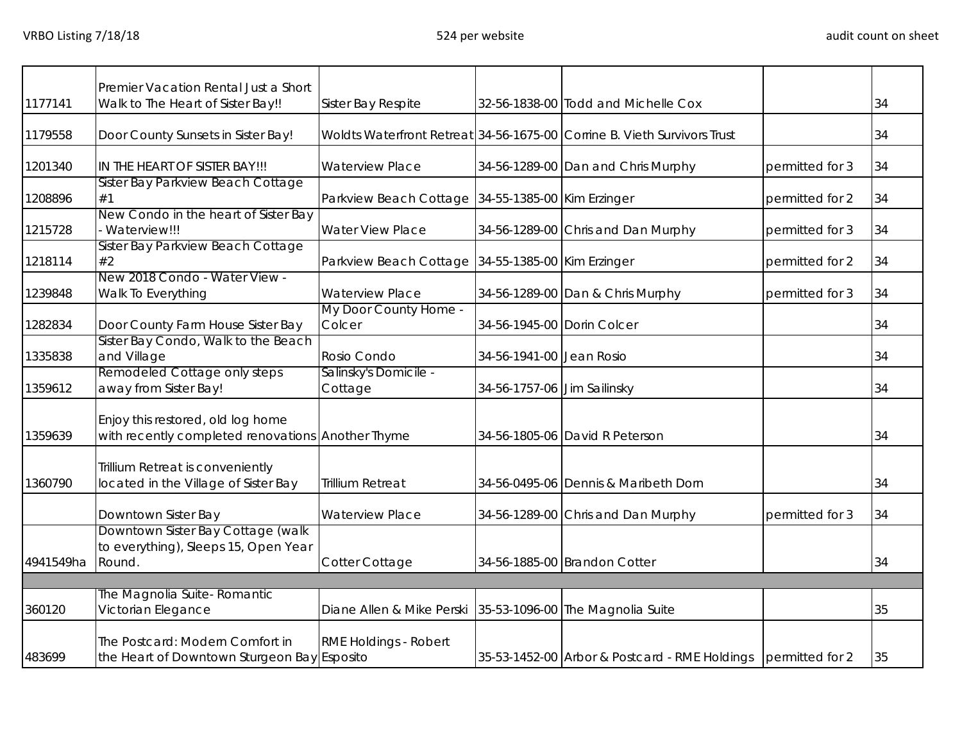|           | Premier Vacation Rental Just a Short                                                   |                                                            |                             |                                                                          |                 |    |
|-----------|----------------------------------------------------------------------------------------|------------------------------------------------------------|-----------------------------|--------------------------------------------------------------------------|-----------------|----|
| 1177141   | Walk to The Heart of Sister Bay!!                                                      | Sister Bay Respite                                         |                             | 32-56-1838-00 Todd and Michelle Cox                                      |                 | 34 |
| 1179558   | Door County Sunsets in Sister Bay!                                                     |                                                            |                             | Woldts Waterfront Retreat 34-56-1675-00 Corrine B. Vieth Survivors Trust |                 | 34 |
| 1201340   | IN THE HEART OF SISTER BAY!!!                                                          | <b>Waterview Place</b>                                     |                             | 34-56-1289-00 Dan and Chris Murphy                                       | permitted for 3 | 34 |
| 1208896   | Sister Bay Parkview Beach Cottage<br>#1                                                | Parkview Beach Cottage 34-55-1385-00 Kim Erzinger          |                             |                                                                          | permitted for 2 | 34 |
| 1215728   | New Condo in the heart of Sister Bay<br>Waterview!!!                                   | <b>Water View Place</b>                                    |                             | 34-56-1289-00 Chris and Dan Murphy                                       | permitted for 3 | 34 |
| 1218114   | Sister Bay Parkview Beach Cottage<br>#2                                                | Parkview Beach Cottage 34-55-1385-00 Kim Erzinger          |                             |                                                                          | permitted for 2 | 34 |
| 1239848   | New 2018 Condo - Water View -<br>Walk To Everything                                    | <b>Waterview Place</b>                                     |                             | 34-56-1289-00 Dan & Chris Murphy                                         | permitted for 3 | 34 |
| 1282834   | Door County Farm House Sister Bay                                                      | My Door County Home -<br>Colcer                            | 34-56-1945-00 Dorin Colcer  |                                                                          |                 | 34 |
| 1335838   | Sister Bay Condo, Walk to the Beach<br>and Village                                     | Rosio Condo                                                | 34-56-1941-00 Jean Rosio    |                                                                          |                 | 34 |
| 1359612   | Remodeled Cottage only steps<br>away from Sister Bay!                                  | Salinsky's Domicile -<br>Cottage                           | 34-56-1757-06 Jim Sailinsky |                                                                          |                 | 34 |
| 1359639   | Enjoy this restored, old log home<br>with recently completed renovations Another Thyme |                                                            |                             | 34-56-1805-06 David R Peterson                                           |                 | 34 |
| 1360790   | Trillium Retreat is conveniently<br>located in the Village of Sister Bay               | <b>Trillium Retreat</b>                                    |                             | 34-56-0495-06 Dennis & Maribeth Dorn                                     |                 | 34 |
|           | Downtown Sister Bay                                                                    | <b>Waterview Place</b>                                     |                             | 34-56-1289-00 Chris and Dan Murphy                                       | permitted for 3 | 34 |
| 4941549ha | Downtown Sister Bay Cottage (walk<br>to everything), Sleeps 15, Open Year<br>Round.    | Cotter Cottage                                             |                             | 34-56-1885-00 Brandon Cotter                                             |                 | 34 |
|           | The Magnolia Suite- Romantic                                                           |                                                            |                             |                                                                          |                 |    |
| 360120    | Victorian Elegance                                                                     | Diane Allen & Mike Perski 35-53-1096-00 The Magnolia Suite |                             |                                                                          |                 | 35 |
| 483699    | The Postcard: Modern Comfort in<br>the Heart of Downtown Sturgeon Bay Esposito         | RME Holdings - Robert                                      |                             | 35-53-1452-00 Arbor & Postcard - RME Holdings permitted for 2            |                 | 35 |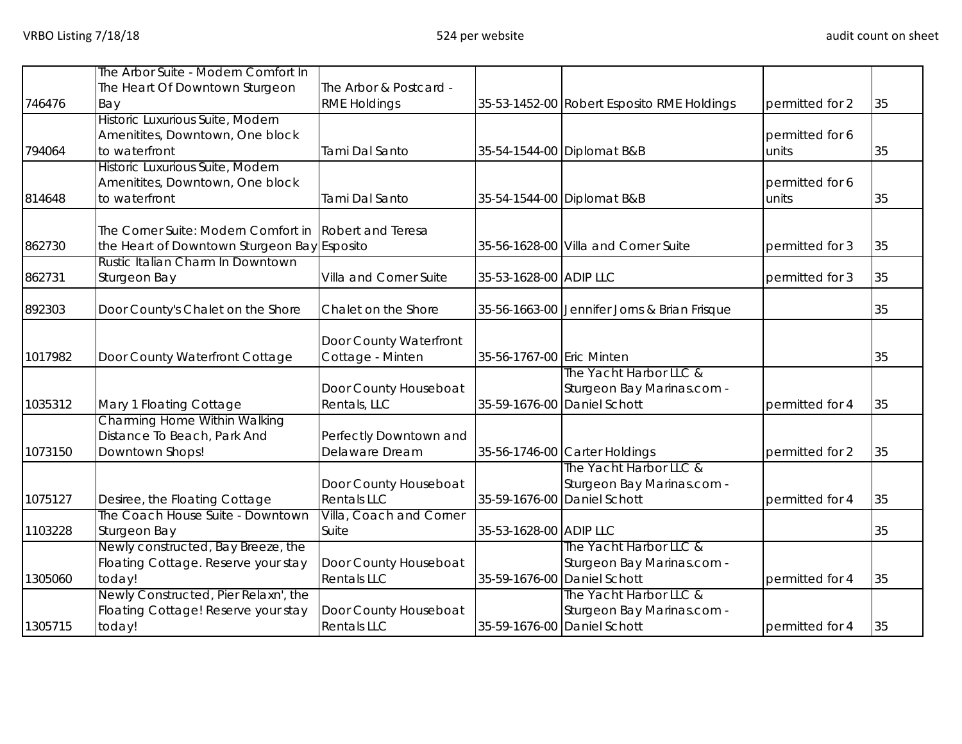|         | The Arbor Suite - Modern Comfort In                                             |                         |                           |                                              |                 |    |
|---------|---------------------------------------------------------------------------------|-------------------------|---------------------------|----------------------------------------------|-----------------|----|
|         | The Heart Of Downtown Sturgeon                                                  | The Arbor & Postcard -  |                           |                                              |                 |    |
| 746476  | Bay                                                                             | <b>RME Holdings</b>     |                           | 35-53-1452-00 Robert Esposito RME Holdings   | permitted for 2 | 35 |
|         | Historic Luxurious Suite, Modern                                                |                         |                           |                                              |                 |    |
|         | Amenitites, Downtown, One block                                                 |                         |                           |                                              | permitted for 6 |    |
| 794064  | to waterfront                                                                   | Tami Dal Santo          |                           | 35-54-1544-00 Diplomat B&B                   | units           | 35 |
|         | Historic Luxurious Suite, Modern                                                |                         |                           |                                              |                 |    |
|         | Amenitites, Downtown, One block                                                 |                         |                           |                                              | permitted for 6 |    |
| 814648  | to waterfront                                                                   | Tami Dal Santo          |                           | 35-54-1544-00 Diplomat B&B                   | units           | 35 |
|         | The Corner Suite: Modern Comfort in Robert and Teresa                           |                         |                           |                                              |                 |    |
| 862730  |                                                                                 |                         |                           | 35-56-1628-00 Villa and Corner Suite         | permitted for 3 | 35 |
|         | the Heart of Downtown Sturgeon Bay Esposito<br>Rustic Italian Charm In Downtown |                         |                           |                                              |                 |    |
| 862731  | Sturgeon Bay                                                                    | Villa and Corner Suite  | 35-53-1628-00 ADIP LLC    |                                              | permitted for 3 | 35 |
|         |                                                                                 |                         |                           |                                              |                 |    |
| 892303  | Door County's Chalet on the Shore                                               | Chalet on the Shore     |                           | 35-56-1663-00 Jennifer Jorns & Brian Frisque |                 | 35 |
|         |                                                                                 | Door County Waterfront  |                           |                                              |                 |    |
| 1017982 | Door County Waterfront Cottage                                                  | Cottage - Minten        | 35-56-1767-00 Eric Minten |                                              |                 | 35 |
|         |                                                                                 |                         |                           | The Yacht Harbor LLC &                       |                 |    |
|         |                                                                                 | Door County Houseboat   |                           | Sturgeon Bay Marinas.com -                   |                 |    |
| 1035312 | Mary 1 Floating Cottage                                                         | Rentals, LLC            |                           | 35-59-1676-00 Daniel Schott                  | permitted for 4 | 35 |
|         | Charming Home Within Walking                                                    |                         |                           |                                              |                 |    |
|         | Distance To Beach, Park And                                                     | Perfectly Downtown and  |                           |                                              |                 |    |
| 1073150 | Downtown Shops!                                                                 | Delaware Dream          |                           | 35-56-1746-00 Carter Holdings                | permitted for 2 | 35 |
|         |                                                                                 |                         |                           | The Yacht Harbor LLC &                       |                 |    |
|         |                                                                                 | Door County Houseboat   |                           | Sturgeon Bay Marinas.com -                   |                 |    |
| 1075127 | Desiree, the Floating Cottage                                                   | <b>Rentals LLC</b>      |                           | 35-59-1676-00 Daniel Schott                  | permitted for 4 | 35 |
|         | The Coach House Suite - Downtown                                                | Villa, Coach and Corner |                           |                                              |                 |    |
| 1103228 | Sturgeon Bay                                                                    | Suite                   | 35-53-1628-00 ADIP LLC    |                                              |                 | 35 |
|         | Newly constructed, Bay Breeze, the                                              |                         |                           | The Yacht Harbor LLC &                       |                 |    |
|         | Floating Cottage. Reserve your stay                                             | Door County Houseboat   |                           | Sturgeon Bay Marinas.com -                   |                 |    |
| 1305060 | today!                                                                          | <b>Rentals LLC</b>      | 35-59-1676-00             | Daniel Schott                                | permitted for 4 | 35 |
|         | Newly Constructed, Pier Relaxn', the                                            |                         |                           | The Yacht Harbor LLC &                       |                 |    |
|         | Floating Cottage! Reserve your stay                                             | Door County Houseboat   |                           | Sturgeon Bay Marinas.com -                   |                 |    |
| 1305715 | today!                                                                          | <b>Rentals LLC</b>      |                           | 35-59-1676-00 Daniel Schott                  | permitted for 4 | 35 |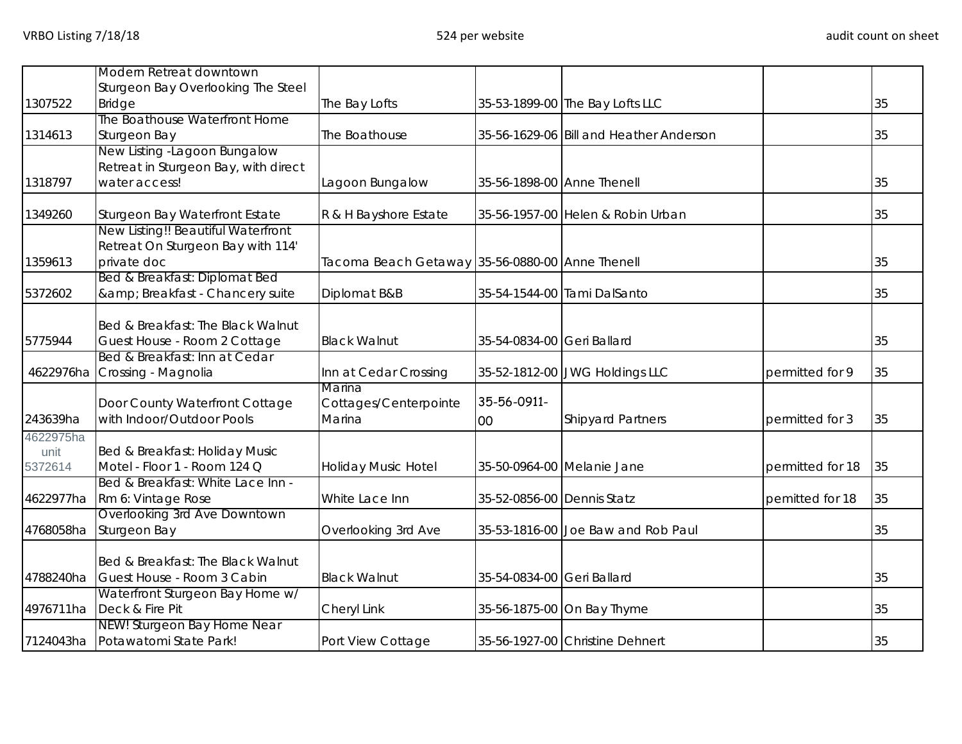|           | Modern Retreat downtown                                     |                                                 |                            |                                         |                  |    |
|-----------|-------------------------------------------------------------|-------------------------------------------------|----------------------------|-----------------------------------------|------------------|----|
| 1307522   | Sturgeon Bay Overlooking The Steel<br><b>Bridge</b>         | The Bay Lofts                                   |                            | 35-53-1899-00 The Bay Lofts LLC         |                  | 35 |
|           | The Boathouse Waterfront Home                               |                                                 |                            |                                         |                  |    |
| 1314613   | Sturgeon Bay                                                | The Boathouse                                   |                            | 35-56-1629-06 Bill and Heather Anderson |                  | 35 |
|           | New Listing -Lagoon Bungalow                                |                                                 |                            |                                         |                  |    |
|           | Retreat in Sturgeon Bay, with direct                        |                                                 |                            |                                         |                  |    |
| 1318797   | water access!                                               | Lagoon Bungalow                                 | 35-56-1898-00 Anne Thenell |                                         |                  | 35 |
| 1349260   | Sturgeon Bay Waterfront Estate                              | R & H Bayshore Estate                           |                            | 35-56-1957-00 Helen & Robin Urban       |                  | 35 |
|           | New Listing!! Beautiful Waterfront                          |                                                 |                            |                                         |                  |    |
|           | Retreat On Sturgeon Bay with 114'                           |                                                 |                            |                                         |                  |    |
| 1359613   | private doc                                                 | Tacoma Beach Getaway 35-56-0880-00 Anne Thenell |                            |                                         |                  | 35 |
|           | Bed & Breakfast: Diplomat Bed                               |                                                 |                            |                                         |                  |    |
| 5372602   | & Breakfast - Chancery suite                                | Diplomat B&B                                    |                            | 35-54-1544-00 Tami DalSanto             |                  | 35 |
|           | Bed & Breakfast: The Black Walnut                           |                                                 |                            |                                         |                  |    |
| 5775944   | Guest House - Room 2 Cottage                                | <b>Black Walnut</b>                             | 35-54-0834-00 Geri Ballard |                                         |                  | 35 |
|           | Bed & Breakfast: Inn at Cedar                               |                                                 |                            |                                         |                  |    |
|           | 4622976ha Crossing - Magnolia                               | Inn at Cedar Crossing                           |                            | 35-52-1812-00 JWG Holdings LLC          | permitted for 9  | 35 |
|           |                                                             | Marina                                          | 35-56-0911-                |                                         |                  |    |
| 243639ha  | Door County Waterfront Cottage<br>with Indoor/Outdoor Pools | Cottages/Centerpointe<br>Marina                 |                            | <b>Shipyard Partners</b>                | permitted for 3  | 35 |
| 4622975ha |                                                             |                                                 | 00                         |                                         |                  |    |
| unit      | Bed & Breakfast: Holiday Music                              |                                                 |                            |                                         |                  |    |
| 5372614   | Motel - Floor 1 - Room 124 Q                                | Holiday Music Hotel                             |                            | 35-50-0964-00 Melanie Jane              | permitted for 18 | 35 |
|           | Bed & Breakfast: White Lace Inn -                           |                                                 |                            |                                         |                  |    |
| 4622977ha | Rm 6: Vintage Rose                                          | White Lace Inn                                  | 35-52-0856-00 Dennis Statz |                                         | pemitted for 18  | 35 |
|           | Overlooking 3rd Ave Downtown                                |                                                 |                            |                                         |                  |    |
| 4768058ha | Sturgeon Bay                                                | Overlooking 3rd Ave                             |                            | 35-53-1816-00 Joe Baw and Rob Paul      |                  | 35 |
|           | Bed & Breakfast: The Black Walnut                           |                                                 |                            |                                         |                  |    |
| 4788240ha | Guest House - Room 3 Cabin                                  | <b>Black Walnut</b>                             | 35-54-0834-00 Geri Ballard |                                         |                  | 35 |
|           | Waterfront Sturgeon Bay Home w/                             |                                                 |                            |                                         |                  |    |
| 4976711ha | Deck & Fire Pit                                             | Cheryl Link                                     |                            | 35-56-1875-00 On Bay Thyme              |                  | 35 |
|           | NEW! Sturgeon Bay Home Near                                 |                                                 |                            |                                         |                  |    |
| 7124043ha | Potawatomi State Park!                                      | Port View Cottage                               |                            | 35-56-1927-00 Christine Dehnert         |                  | 35 |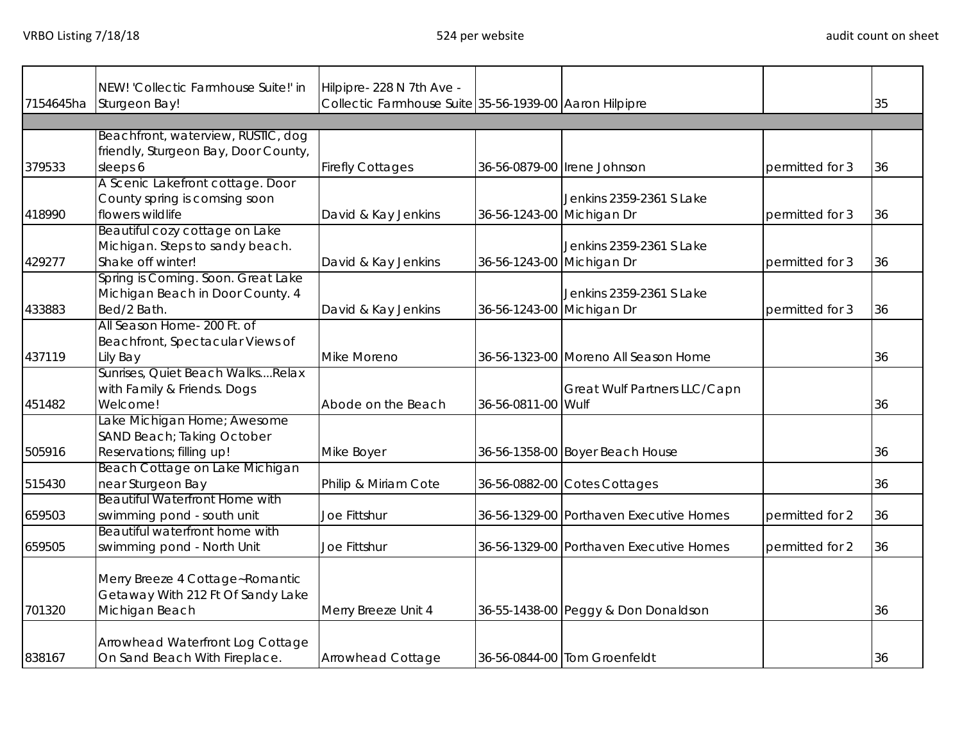|           | NEW! 'Collectic Farmhouse Suite!' in  | Hilpipre-228 N 7th Ave -                               |                           |                                         |                 |    |
|-----------|---------------------------------------|--------------------------------------------------------|---------------------------|-----------------------------------------|-----------------|----|
| 7154645ha | Sturgeon Bay!                         | Collectic Farmhouse Suite 35-56-1939-00 Aaron Hilpipre |                           |                                         |                 | 35 |
|           |                                       |                                                        |                           |                                         |                 |    |
|           | Beachfront, waterview, RUSTIC, dog    |                                                        |                           |                                         |                 |    |
|           | friendly, Sturgeon Bay, Door County,  |                                                        |                           |                                         |                 |    |
| 379533    | sleeps 6                              | <b>Firefly Cottages</b>                                |                           | 36-56-0879-00 Irene Johnson             | permitted for 3 | 36 |
|           | A Scenic Lakefront cottage. Door      |                                                        |                           |                                         |                 |    |
|           | County spring is comsing soon         |                                                        |                           | Jenkins 2359-2361 S Lake                |                 |    |
| 418990    | flowers wildlife                      | David & Kay Jenkins                                    | 36-56-1243-00 Michigan Dr |                                         | permitted for 3 | 36 |
|           | Beautiful cozy cottage on Lake        |                                                        |                           |                                         |                 |    |
|           | Michigan. Steps to sandy beach.       |                                                        |                           | Jenkins 2359-2361 S Lake                |                 |    |
| 429277    | Shake off winter!                     | David & Kay Jenkins                                    | 36-56-1243-00 Michigan Dr |                                         | permitted for 3 | 36 |
|           | Spring is Coming. Soon. Great Lake    |                                                        |                           |                                         |                 |    |
|           | Michigan Beach in Door County. 4      |                                                        |                           | Jenkins 2359-2361 S Lake                |                 |    |
| 433883    | Bed/2 Bath.                           | David & Kay Jenkins                                    | 36-56-1243-00 Michigan Dr |                                         | permitted for 3 | 36 |
|           | All Season Home- 200 Ft. of           |                                                        |                           |                                         |                 |    |
|           | Beachfront, Spectacular Views of      |                                                        |                           |                                         |                 |    |
| 437119    | Lily Bay                              | Mike Moreno                                            |                           | 36-56-1323-00 Moreno All Season Home    |                 | 36 |
|           | Sunrises, Quiet Beach WalksRelax      |                                                        |                           |                                         |                 |    |
|           | with Family & Friends. Dogs           |                                                        |                           | Great Wulf Partners LLC/Capn            |                 |    |
| 451482    | Welcome!                              | Abode on the Beach                                     | 36-56-0811-00 Wulf        |                                         |                 | 36 |
|           | ake Michigan Home; Awesome            |                                                        |                           |                                         |                 |    |
|           | SAND Beach; Taking October            |                                                        |                           |                                         |                 |    |
| 505916    | Reservations; filling up!             | Mike Boyer                                             |                           | 36-56-1358-00 Boyer Beach House         |                 | 36 |
|           | Beach Cottage on Lake Michigan        |                                                        |                           |                                         |                 |    |
| 515430    | near Sturgeon Bay                     | Philip & Miriam Cote                                   |                           | 36-56-0882-00 Cotes Cottages            |                 | 36 |
|           | <b>Beautiful Waterfront Home with</b> |                                                        |                           |                                         |                 |    |
| 659503    | swimming pond - south unit            | Joe Fittshur                                           |                           | 36-56-1329-00 Porthaven Executive Homes | permitted for 2 | 36 |
|           | Beautiful waterfront home with        |                                                        |                           |                                         |                 |    |
| 659505    | swimming pond - North Unit            | Joe Fittshur                                           |                           | 36-56-1329-00 Porthaven Executive Homes | permitted for 2 | 36 |
|           |                                       |                                                        |                           |                                         |                 |    |
|           | Merry Breeze 4 Cottage~Romantic       |                                                        |                           |                                         |                 |    |
|           | Getaway With 212 Ft Of Sandy Lake     |                                                        |                           |                                         |                 |    |
| 701320    | Michigan Beach                        | Merry Breeze Unit 4                                    |                           | 36-55-1438-00 Peggy & Don Donaldson     |                 | 36 |
|           |                                       |                                                        |                           |                                         |                 |    |
|           | Arrowhead Waterfront Log Cottage      |                                                        |                           |                                         |                 |    |
| 838167    | On Sand Beach With Fireplace.         | Arrowhead Cottage                                      |                           | 36-56-0844-00 Tom Groenfeldt            |                 | 36 |
|           |                                       |                                                        |                           |                                         |                 |    |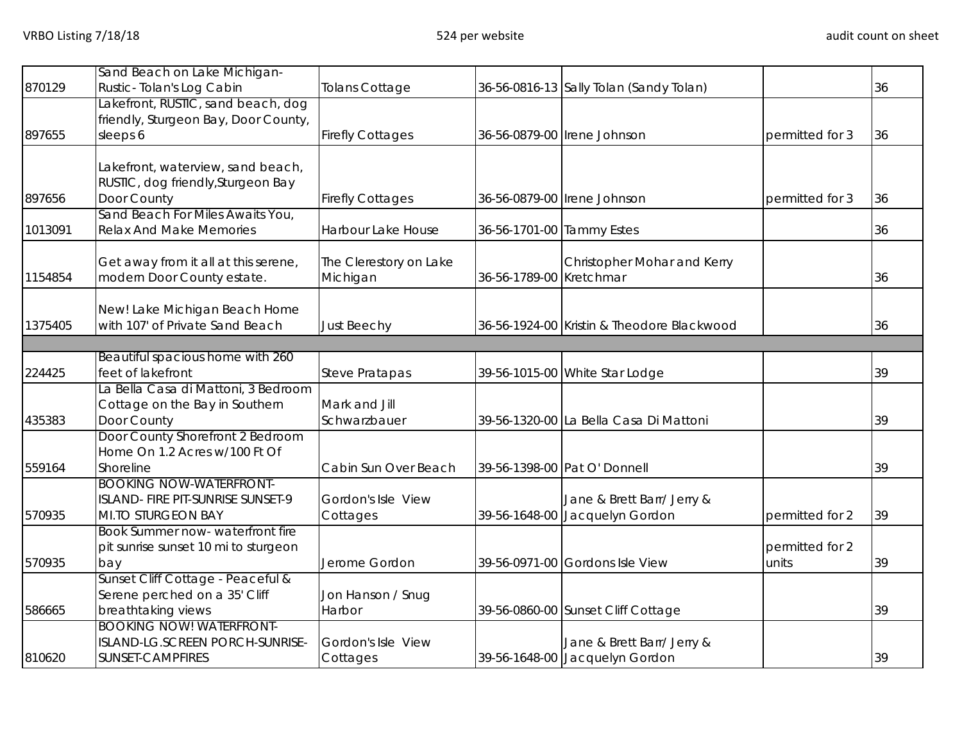|         | Sand Beach on Lake Michigan-                                   |                         |                           |                                                              |                 |    |
|---------|----------------------------------------------------------------|-------------------------|---------------------------|--------------------------------------------------------------|-----------------|----|
| 870129  | Rustic-Tolan's Log Cabin<br>Lakefront, RUSTIC, sand beach, dog | Tolans Cottage          |                           | 36-56-0816-13 Sally Tolan (Sandy Tolan)                      |                 | 36 |
|         | friendly, Sturgeon Bay, Door County,                           |                         |                           |                                                              |                 |    |
| 897655  | sleeps 6                                                       | <b>Firefly Cottages</b> |                           | 36-56-0879-00 Irene Johnson                                  | permitted for 3 | 36 |
|         |                                                                |                         |                           |                                                              |                 |    |
|         | Lakefront, waterview, sand beach,                              |                         |                           |                                                              |                 |    |
|         | RUSTIC, dog friendly, Sturgeon Bay                             |                         |                           |                                                              |                 |    |
| 897656  | Door County                                                    | <b>Firefly Cottages</b> |                           | 36-56-0879-00 Irene Johnson                                  | permitted for 3 | 36 |
|         | Sand Beach For Miles Awaits You,                               |                         |                           |                                                              |                 |    |
| 1013091 | <b>Relax And Make Memories</b>                                 | Harbour Lake House      | 36-56-1701-00 Tammy Estes |                                                              |                 | 36 |
|         | Get away from it all at this serene,                           | The Clerestory on Lake  |                           | Christopher Mohar and Kerry                                  |                 |    |
| 1154854 | modern Door County estate.                                     | Michigan                | 36-56-1789-00 Kretchmar   |                                                              |                 | 36 |
|         |                                                                |                         |                           |                                                              |                 |    |
|         | New! Lake Michigan Beach Home                                  |                         |                           |                                                              |                 |    |
| 1375405 | with 107' of Private Sand Beach                                | <b>Just Beechy</b>      |                           | 36-56-1924-00 Kristin & Theodore Blackwood                   |                 | 36 |
|         | Beautiful spacious home with 260                               |                         |                           |                                                              |                 |    |
| 224425  | feet of lakefront                                              | <b>Steve Pratapas</b>   |                           | 39-56-1015-00 White Star Lodge                               |                 | 39 |
|         | a Bella Casa di Mattoni, 3 Bedroom                             |                         |                           |                                                              |                 |    |
|         | Cottage on the Bay in Southern                                 | Mark and Jill           |                           |                                                              |                 |    |
| 435383  | Door County                                                    | Schwarzbauer            |                           | 39-56-1320-00 La Bella Casa Di Mattoni                       |                 | 39 |
|         | Door County Shorefront 2 Bedroom                               |                         |                           |                                                              |                 |    |
|         | Home On 1.2 Acres w/100 Ft Of                                  |                         |                           |                                                              |                 |    |
| 559164  | Shoreline                                                      | Cabin Sun Over Beach    |                           | 39-56-1398-00 Pat O' Donnell                                 |                 | 39 |
|         | <b>BOOKING NOW-WATERFRONT-</b>                                 |                         |                           |                                                              |                 |    |
| 570935  | ISLAND- FIRE PIT-SUNRISE SUNSET-9<br>MI.TO STURGEON BAY        | Gordon's Isle View      |                           | Jane & Brett Barr/ Jerry &<br>39-56-1648-00 Jacquelyn Gordon |                 | 39 |
|         | Book Summer now- waterfront fire                               | Cottages                |                           |                                                              | permitted for 2 |    |
|         | pit sunrise sunset 10 mi to sturgeon                           |                         |                           |                                                              | permitted for 2 |    |
| 570935  | bay                                                            | Jerome Gordon           |                           | 39-56-0971-00 Gordons Isle View                              | units           | 39 |
|         | Sunset Cliff Cottage - Peaceful &                              |                         |                           |                                                              |                 |    |
|         | Serene perched on a 35' Cliff                                  | Jon Hanson / Snug       |                           |                                                              |                 |    |
| 586665  | breathtaking views                                             | Harbor                  |                           | 39-56-0860-00 Sunset Cliff Cottage                           |                 | 39 |
|         | <b>BOOKING NOW! WATERFRONT-</b>                                |                         |                           |                                                              |                 |    |
|         | ISLAND-LG.SCREEN PORCH-SUNRISE-                                | Gordon's Isle View      |                           | Jane & Brett Barr/ Jerry &                                   |                 |    |
| 810620  | SUNSET-CAMPFIRES                                               | Cottages                |                           | 39-56-1648-00 Jacquelyn Gordon                               |                 | 39 |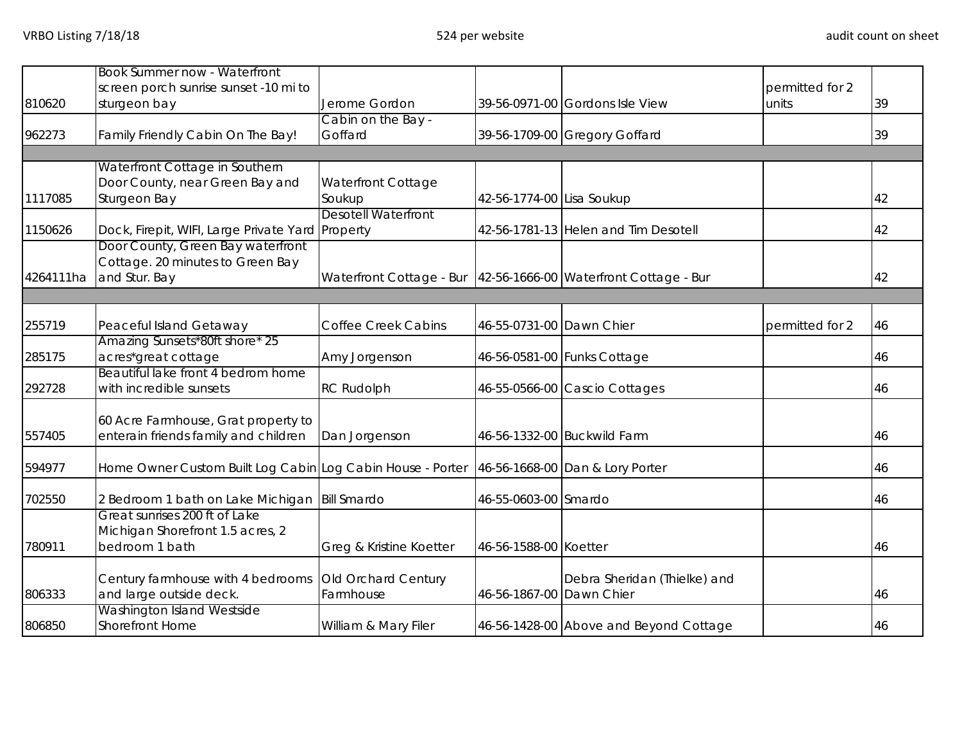|           | <b>Book Summer now - Waterfront</b>                                                        |                                                                   |                           |                                        |                 |    |
|-----------|--------------------------------------------------------------------------------------------|-------------------------------------------------------------------|---------------------------|----------------------------------------|-----------------|----|
|           | screen porch sunrise sunset -10 mi to                                                      |                                                                   |                           |                                        | permitted for 2 |    |
| 810620    | sturgeon bay                                                                               | Jerome Gordon                                                     |                           | 39-56-0971-00 Gordons Isle View        | units           | 39 |
|           |                                                                                            | Cabin on the Bay -                                                |                           |                                        |                 |    |
| 962273    | Family Friendly Cabin On The Bay!                                                          | Goffard                                                           |                           | 39-56-1709-00 Gregory Goffard          |                 | 39 |
|           |                                                                                            |                                                                   |                           |                                        |                 |    |
|           | Waterfront Cottage in Southern                                                             |                                                                   |                           |                                        |                 |    |
|           | Door County, near Green Bay and                                                            | <b>Waterfront Cottage</b>                                         |                           |                                        |                 |    |
| 1117085   | Sturgeon Bay                                                                               | Soukup                                                            | 42-56-1774-00 Lisa Soukup |                                        |                 | 42 |
|           |                                                                                            | <b>Desotell Waterfront</b>                                        |                           |                                        |                 |    |
| 1150626   | Dock, Firepit, WIFI, Large Private Yard Property                                           |                                                                   |                           | 42-56-1781-13 Helen and Tim Desotell   |                 | 42 |
|           | Door County, Green Bay waterfront                                                          |                                                                   |                           |                                        |                 |    |
|           | Cottage. 20 minutes to Green Bay                                                           |                                                                   |                           |                                        |                 |    |
| 4264111ha | and Stur. Bay                                                                              | Waterfront Cottage - Bur   42-56-1666-00 Waterfront Cottage - Bur |                           |                                        |                 | 42 |
|           |                                                                                            |                                                                   |                           |                                        |                 |    |
|           |                                                                                            |                                                                   |                           |                                        |                 |    |
| 255719    | Peaceful Island Getaway                                                                    | <b>Coffee Creek Cabins</b>                                        | 46-55-0731-00 Dawn Chier  |                                        | permitted for 2 | 46 |
|           | Amazing Sunsets*80ft shore* 25                                                             |                                                                   |                           |                                        |                 |    |
| 285175    | acres*great cottage                                                                        | Amy Jorgenson                                                     |                           | 46-56-0581-00 Funks Cottage            |                 | 46 |
|           | Beautiful lake front 4 bedrom home                                                         |                                                                   |                           |                                        |                 |    |
| 292728    | with incredible sunsets                                                                    |                                                                   |                           |                                        |                 | 46 |
|           |                                                                                            | <b>RC Rudolph</b>                                                 |                           | 46-55-0566-00 Cascio Cottages          |                 |    |
|           |                                                                                            |                                                                   |                           |                                        |                 |    |
|           | 60 Acre Farmhouse, Grat property to                                                        |                                                                   |                           |                                        |                 |    |
| 557405    | enterain friends family and children                                                       | Dan Jorgenson                                                     |                           | 46-56-1332-00 Buckwild Farm            |                 | 46 |
|           |                                                                                            |                                                                   |                           |                                        |                 |    |
| 594977    | Home Owner Custom Built Log Cabin Log Cabin House - Porter 46-56-1668-00 Dan & Lory Porter |                                                                   |                           |                                        |                 | 46 |
|           |                                                                                            |                                                                   |                           |                                        |                 |    |
| 702550    | 2 Bedroom 1 bath on Lake Michigan   Bill Smardo                                            |                                                                   | 46-55-0603-00 Smardo      |                                        |                 | 46 |
|           | Great sunrises 200 ft of Lake                                                              |                                                                   |                           |                                        |                 |    |
|           | Michigan Shorefront 1.5 acres, 2                                                           |                                                                   |                           |                                        |                 |    |
| 780911    | bedroom 1 bath                                                                             | Greg & Kristine Koetter                                           | 46-56-1588-00 Koetter     |                                        |                 | 46 |
|           |                                                                                            |                                                                   |                           |                                        |                 |    |
|           | Century farmhouse with 4 bedrooms                                                          | Old Orchard Century                                               |                           | Debra Sheridan (Thielke) and           |                 |    |
| 806333    | and large outside deck.                                                                    | Farmhouse                                                         | 46-56-1867-00 Dawn Chier  |                                        |                 | 46 |
|           | Washington Island Westside                                                                 |                                                                   |                           |                                        |                 |    |
| 806850    | <b>Shorefront Home</b>                                                                     | William & Mary Filer                                              |                           | 46-56-1428-00 Above and Beyond Cottage |                 | 46 |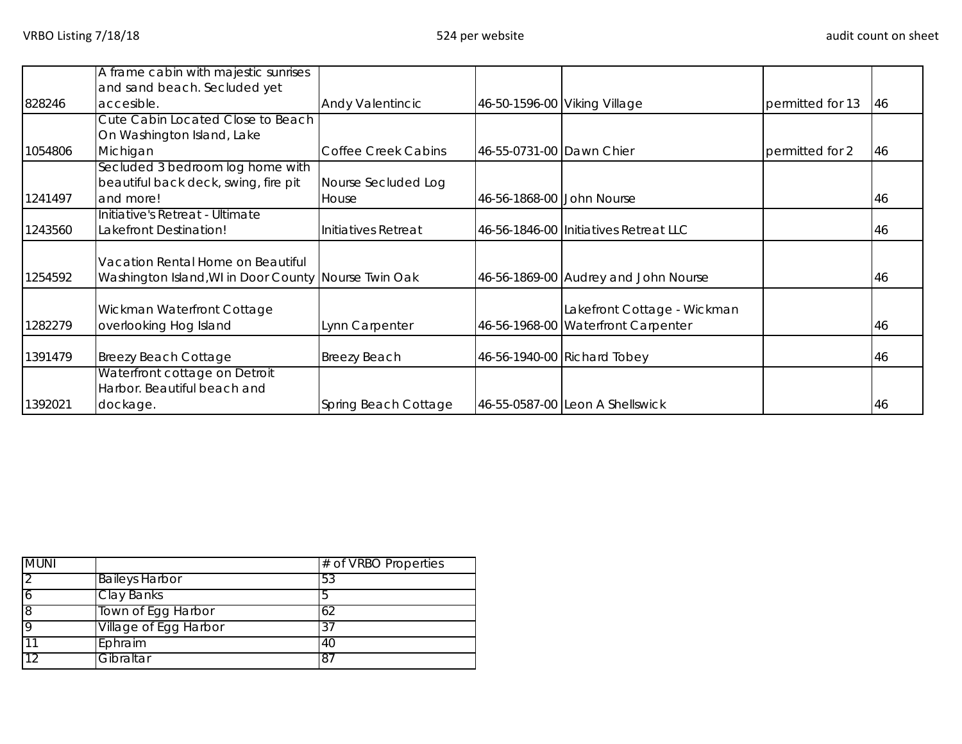|         | A frame cabin with majestic sunrises                 |                            |                              |                                       |                  |     |
|---------|------------------------------------------------------|----------------------------|------------------------------|---------------------------------------|------------------|-----|
|         | and sand beach. Secluded yet                         |                            |                              |                                       |                  |     |
| 828246  | accesible.                                           | <b>Andy Valentincic</b>    | 46-50-1596-00 Viking Village |                                       | permitted for 13 | 46  |
|         | Cute Cabin Located Close to Beach                    |                            |                              |                                       |                  |     |
|         | On Washington Island, Lake                           |                            |                              |                                       |                  |     |
| 1054806 | Michigan                                             | <b>Coffee Creek Cabins</b> | 46-55-0731-00 Dawn Chier     |                                       | permitted for 2  | 46  |
|         | Secluded 3 bedroom log home with                     |                            |                              |                                       |                  |     |
|         | beautiful back deck, swing, fire pit                 | Nourse Secluded Log        |                              |                                       |                  |     |
| 1241497 | and more!                                            | House                      | 46-56-1868-00 John Nourse    |                                       |                  | 46  |
|         | Initiative's Retreat - Ultimate                      |                            |                              |                                       |                  |     |
| 1243560 | Lakefront Destination!                               | Initiatives Retreat        |                              | 46-56-1846-00 Initiatives Retreat LLC |                  | 46  |
|         |                                                      |                            |                              |                                       |                  |     |
|         | Vacation Rental Home on Beautiful                    |                            |                              |                                       |                  |     |
| 1254592 | Washington Island, WI in Door County Nourse Twin Oak |                            |                              | 46-56-1869-00 Audrey and John Nourse  |                  | 46  |
|         |                                                      |                            |                              |                                       |                  |     |
|         | Wickman Waterfront Cottage                           |                            |                              | Lakefront Cottage - Wickman           |                  |     |
| 1282279 | overlooking Hog Island                               | Lynn Carpenter             |                              | 46-56-1968-00 Waterfront Carpenter    |                  | 46  |
| 1391479 |                                                      |                            |                              |                                       |                  |     |
|         | <b>Breezy Beach Cottage</b>                          | <b>Breezy Beach</b>        |                              | 46-56-1940-00 Richard Tobey           |                  | 46  |
|         | Waterfront cottage on Detroit                        |                            |                              |                                       |                  |     |
|         | Harbor. Beautiful beach and                          |                            |                              |                                       |                  |     |
| 1392021 | dockage.                                             | Spring Beach Cottage       |                              | 46-55-0587-00 Leon A Shellswick       |                  | 146 |

| <b>MUNI</b>    |                       | # of VRBO Properties |  |
|----------------|-----------------------|----------------------|--|
| $\overline{2}$ | <b>Baileys Harbor</b> | 53                   |  |
| 6              | <b>Clay Banks</b>     |                      |  |
| 8              | Town of Egg Harbor    | 62                   |  |
| 9              | Village of Egg Harbor | 37                   |  |
| 11             | Ephraim               | 40                   |  |
| 12             | Gibraltar             | <sup>87</sup>        |  |